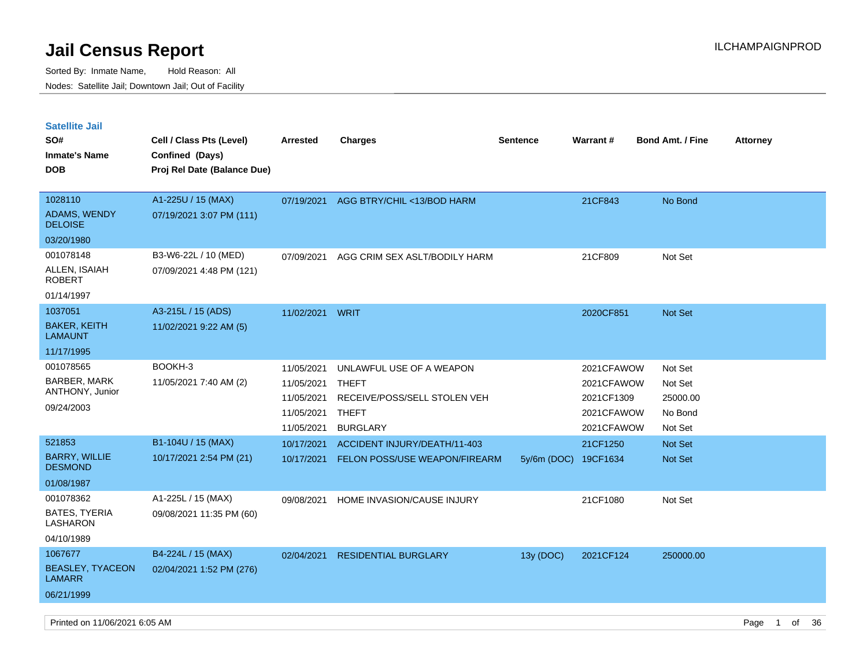| <b>Satellite Jail</b><br>SO#<br>Inmate's Name<br>DOB | Cell / Class Pts (Level)<br>Confined (Days)<br>Proj Rel Date (Balance Due) | Arrested   | <b>Charges</b>                       | Sentence             | Warrant#   | <b>Bond Amt. / Fine</b> | <b>Attorney</b> |
|------------------------------------------------------|----------------------------------------------------------------------------|------------|--------------------------------------|----------------------|------------|-------------------------|-----------------|
| 1028110                                              | A1-225U / 15 (MAX)                                                         | 07/19/2021 | AGG BTRY/CHIL <13/BOD HARM           |                      | 21CF843    | No Bond                 |                 |
| <b>ADAMS, WENDY</b><br><b>DELOISE</b>                | 07/19/2021 3:07 PM (111)                                                   |            |                                      |                      |            |                         |                 |
| 03/20/1980                                           |                                                                            |            |                                      |                      |            |                         |                 |
| 001078148                                            | B3-W6-22L / 10 (MED)                                                       | 07/09/2021 | AGG CRIM SEX ASLT/BODILY HARM        |                      | 21CF809    | Not Set                 |                 |
| ALLEN, ISAIAH<br>ROBERT                              | 07/09/2021 4:48 PM (121)                                                   |            |                                      |                      |            |                         |                 |
| 01/14/1997                                           |                                                                            |            |                                      |                      |            |                         |                 |
| 1037051                                              | A3-215L / 15 (ADS)                                                         | 11/02/2021 | WRIT                                 |                      | 2020CF851  | <b>Not Set</b>          |                 |
| <b>BAKER, KEITH</b><br>LAMAUNT                       | 11/02/2021 9:22 AM (5)                                                     |            |                                      |                      |            |                         |                 |
| 11/17/1995                                           |                                                                            |            |                                      |                      |            |                         |                 |
| 001078565                                            | BOOKH-3                                                                    | 11/05/2021 | UNLAWFUL USE OF A WEAPON             |                      | 2021CFAWOW | Not Set                 |                 |
| BARBER, MARK<br>ANTHONY, Junior                      | 11/05/2021 7:40 AM (2)                                                     | 11/05/2021 | <b>THEFT</b>                         |                      | 2021CFAWOW | Not Set                 |                 |
| 09/24/2003                                           |                                                                            | 11/05/2021 | RECEIVE/POSS/SELL STOLEN VEH         |                      | 2021CF1309 | 25000.00                |                 |
|                                                      |                                                                            | 11/05/2021 | THEFT                                |                      | 2021CFAWOW | No Bond                 |                 |
|                                                      |                                                                            | 11/05/2021 | <b>BURGLARY</b>                      |                      | 2021CFAWOW | Not Set                 |                 |
| 521853                                               | B1-104U / 15 (MAX)                                                         | 10/17/2021 | ACCIDENT INJURY/DEATH/11-403         |                      | 21CF1250   | <b>Not Set</b>          |                 |
| <b>BARRY, WILLIE</b><br><b>DESMOND</b>               | 10/17/2021 2:54 PM (21)                                                    | 10/17/2021 | <b>FELON POSS/USE WEAPON/FIREARM</b> | 5y/6m (DOC) 19CF1634 |            | <b>Not Set</b>          |                 |
| 01/08/1987                                           |                                                                            |            |                                      |                      |            |                         |                 |
| 001078362                                            | A1-225L / 15 (MAX)                                                         | 09/08/2021 | HOME INVASION/CAUSE INJURY           |                      | 21CF1080   | Not Set                 |                 |
| BATES, TYERIA<br>LASHARON                            | 09/08/2021 11:35 PM (60)                                                   |            |                                      |                      |            |                         |                 |
| 04/10/1989                                           |                                                                            |            |                                      |                      |            |                         |                 |
| 1067677                                              | B4-224L / 15 (MAX)                                                         | 02/04/2021 | <b>RESIDENTIAL BURGLARY</b>          | 13y (DOC)            | 2021CF124  | 250000.00               |                 |
| <b>BEASLEY, TYACEON</b><br>LAMARR                    | 02/04/2021 1:52 PM (276)                                                   |            |                                      |                      |            |                         |                 |
| 06/21/1999                                           |                                                                            |            |                                      |                      |            |                         |                 |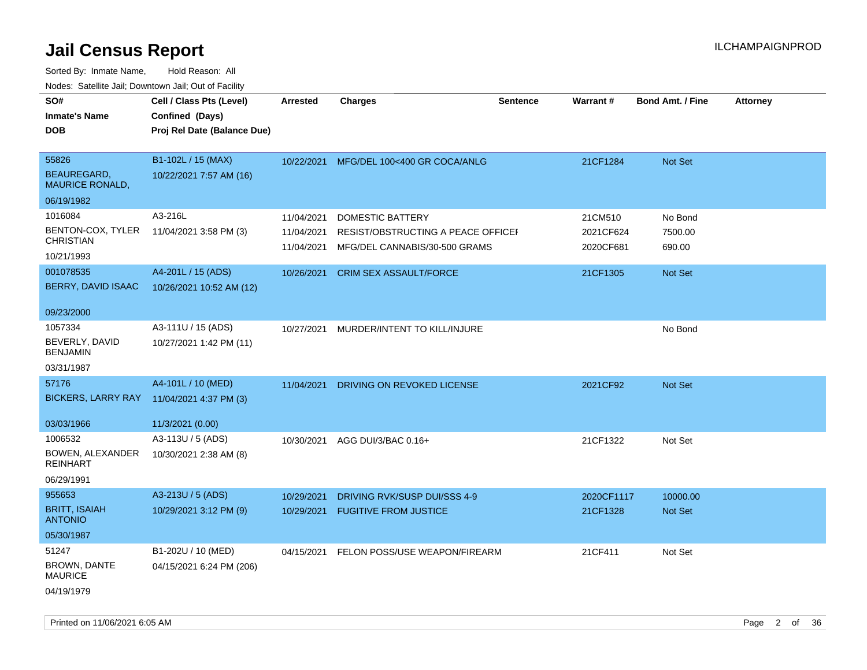Sorted By: Inmate Name, Hold Reason: All Nodes: Satellite Jail; Downtown Jail; Out of Facility

| SO#<br><b>Inmate's Name</b><br><b>DOB</b>                      | Cell / Class Pts (Level)<br>Confined (Days)<br>Proj Rel Date (Balance Due) | <b>Arrested</b>                        | <b>Charges</b>                                                                                 | <b>Sentence</b> | Warrant#                          | <b>Bond Amt. / Fine</b>      | <b>Attorney</b> |
|----------------------------------------------------------------|----------------------------------------------------------------------------|----------------------------------------|------------------------------------------------------------------------------------------------|-----------------|-----------------------------------|------------------------------|-----------------|
| 55826<br>BEAUREGARD,<br><b>MAURICE RONALD,</b>                 | B1-102L / 15 (MAX)<br>10/22/2021 7:57 AM (16)                              | 10/22/2021                             | MFG/DEL 100<400 GR COCA/ANLG                                                                   |                 | 21CF1284                          | <b>Not Set</b>               |                 |
| 06/19/1982                                                     |                                                                            |                                        |                                                                                                |                 |                                   |                              |                 |
| 1016084<br>BENTON-COX, TYLER<br><b>CHRISTIAN</b><br>10/21/1993 | A3-216L<br>11/04/2021 3:58 PM (3)                                          | 11/04/2021<br>11/04/2021<br>11/04/2021 | <b>DOMESTIC BATTERY</b><br>RESIST/OBSTRUCTING A PEACE OFFICEF<br>MFG/DEL CANNABIS/30-500 GRAMS |                 | 21CM510<br>2021CF624<br>2020CF681 | No Bond<br>7500.00<br>690.00 |                 |
| 001078535<br>BERRY, DAVID ISAAC                                | A4-201L / 15 (ADS)<br>10/26/2021 10:52 AM (12)                             | 10/26/2021                             | <b>CRIM SEX ASSAULT/FORCE</b>                                                                  |                 | 21CF1305                          | Not Set                      |                 |
| 09/23/2000                                                     |                                                                            |                                        |                                                                                                |                 |                                   |                              |                 |
| 1057334<br>BEVERLY, DAVID<br><b>BENJAMIN</b>                   | A3-111U / 15 (ADS)<br>10/27/2021 1:42 PM (11)                              | 10/27/2021                             | MURDER/INTENT TO KILL/INJURE                                                                   |                 |                                   | No Bond                      |                 |
| 03/31/1987                                                     |                                                                            |                                        |                                                                                                |                 |                                   |                              |                 |
| 57176<br><b>BICKERS, LARRY RAY</b>                             | A4-101L / 10 (MED)<br>11/04/2021 4:37 PM (3)                               | 11/04/2021                             | DRIVING ON REVOKED LICENSE                                                                     |                 | 2021CF92                          | Not Set                      |                 |
| 03/03/1966                                                     | 11/3/2021 (0.00)                                                           |                                        |                                                                                                |                 |                                   |                              |                 |
| 1006532<br>BOWEN, ALEXANDER<br><b>REINHART</b><br>06/29/1991   | A3-113U / 5 (ADS)<br>10/30/2021 2:38 AM (8)                                | 10/30/2021                             | AGG DUI/3/BAC 0.16+                                                                            |                 | 21CF1322                          | Not Set                      |                 |
| 955653<br><b>BRITT, ISAIAH</b><br><b>ANTONIO</b><br>05/30/1987 | A3-213U / 5 (ADS)<br>10/29/2021 3:12 PM (9)                                | 10/29/2021<br>10/29/2021               | DRIVING RVK/SUSP DUI/SSS 4-9<br><b>FUGITIVE FROM JUSTICE</b>                                   |                 | 2020CF1117<br>21CF1328            | 10000.00<br>Not Set          |                 |
| 51247<br>BROWN, DANTE<br><b>MAURICE</b><br>04/19/1979          | B1-202U / 10 (MED)<br>04/15/2021 6:24 PM (206)                             | 04/15/2021                             | FELON POSS/USE WEAPON/FIREARM                                                                  |                 | 21CF411                           | Not Set                      |                 |

Printed on 11/06/2021 6:05 AM Page 2 of 36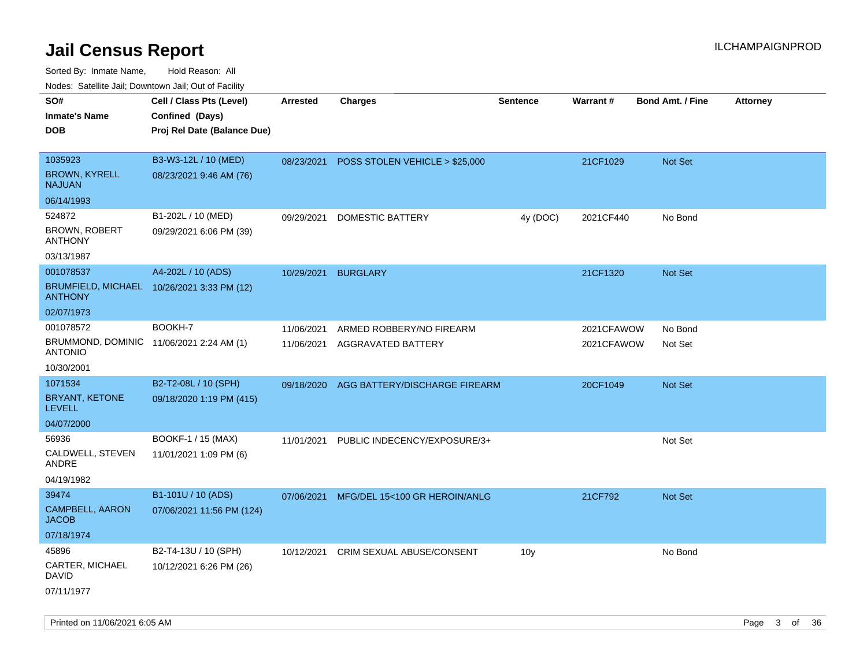Sorted By: Inmate Name, Hold Reason: All Nodes: Satellite Jail; Downtown Jail; Out of Facility

| ivouss. Satellite Jali, Downtown Jali, Out of Facility     |                                            |                 |                                           |                 |            |                         |                 |
|------------------------------------------------------------|--------------------------------------------|-----------------|-------------------------------------------|-----------------|------------|-------------------------|-----------------|
| SO#                                                        | Cell / Class Pts (Level)                   | <b>Arrested</b> | <b>Charges</b>                            | <b>Sentence</b> | Warrant#   | <b>Bond Amt. / Fine</b> | <b>Attorney</b> |
| Inmate's Name                                              | Confined (Days)                            |                 |                                           |                 |            |                         |                 |
| DOB                                                        | Proj Rel Date (Balance Due)                |                 |                                           |                 |            |                         |                 |
|                                                            |                                            |                 |                                           |                 |            |                         |                 |
| 1035923                                                    | B3-W3-12L / 10 (MED)                       |                 | 08/23/2021 POSS STOLEN VEHICLE > \$25,000 |                 | 21CF1029   | <b>Not Set</b>          |                 |
| <b>BROWN, KYRELL</b><br>NAJUAN                             | 08/23/2021 9:46 AM (76)                    |                 |                                           |                 |            |                         |                 |
| 06/14/1993                                                 |                                            |                 |                                           |                 |            |                         |                 |
| 524872                                                     | B1-202L / 10 (MED)                         | 09/29/2021      | DOMESTIC BATTERY                          | 4y (DOC)        | 2021CF440  | No Bond                 |                 |
| <b>BROWN, ROBERT</b><br>ANTHONY                            | 09/29/2021 6:06 PM (39)                    |                 |                                           |                 |            |                         |                 |
| 03/13/1987                                                 |                                            |                 |                                           |                 |            |                         |                 |
| 001078537                                                  | A4-202L / 10 (ADS)                         | 10/29/2021      | <b>BURGLARY</b>                           |                 | 21CF1320   | Not Set                 |                 |
| <b>ANTHONY</b>                                             | BRUMFIELD, MICHAEL 10/26/2021 3:33 PM (12) |                 |                                           |                 |            |                         |                 |
| 02/07/1973                                                 |                                            |                 |                                           |                 |            |                         |                 |
| 001078572                                                  | BOOKH-7                                    | 11/06/2021      | ARMED ROBBERY/NO FIREARM                  |                 | 2021CFAWOW | No Bond                 |                 |
| BRUMMOND, DOMINIC 11/06/2021 2:24 AM (1)<br><b>ANTONIO</b> |                                            | 11/06/2021      | AGGRAVATED BATTERY                        |                 | 2021CFAWOW | Not Set                 |                 |
| 10/30/2001                                                 |                                            |                 |                                           |                 |            |                         |                 |
| 1071534                                                    | B2-T2-08L / 10 (SPH)                       | 09/18/2020      | AGG BATTERY/DISCHARGE FIREARM             |                 | 20CF1049   | <b>Not Set</b>          |                 |
| BRYANT, KETONE<br>LEVELL                                   | 09/18/2020 1:19 PM (415)                   |                 |                                           |                 |            |                         |                 |
| 04/07/2000                                                 |                                            |                 |                                           |                 |            |                         |                 |
| 56936                                                      | BOOKF-1 / 15 (MAX)                         | 11/01/2021      | PUBLIC INDECENCY/EXPOSURE/3+              |                 |            | Not Set                 |                 |
| CALDWELL, STEVEN<br>ANDRE                                  | 11/01/2021 1:09 PM (6)                     |                 |                                           |                 |            |                         |                 |
| 04/19/1982                                                 |                                            |                 |                                           |                 |            |                         |                 |
| 39474                                                      | B1-101U / 10 (ADS)                         | 07/06/2021      | MFG/DEL 15<100 GR HEROIN/ANLG             |                 | 21CF792    | <b>Not Set</b>          |                 |
| <b>CAMPBELL, AARON</b><br>JACOB                            | 07/06/2021 11:56 PM (124)                  |                 |                                           |                 |            |                         |                 |
| 07/18/1974                                                 |                                            |                 |                                           |                 |            |                         |                 |
| 45896                                                      | B2-T4-13U / 10 (SPH)                       | 10/12/2021      | CRIM SEXUAL ABUSE/CONSENT                 | 10 <sub>V</sub> |            | No Bond                 |                 |
| CARTER, MICHAEL<br>David                                   | 10/12/2021 6:26 PM (26)                    |                 |                                           |                 |            |                         |                 |
| 07/11/1977                                                 |                                            |                 |                                           |                 |            |                         |                 |

Printed on 11/06/2021 6:05 AM Page 3 of 36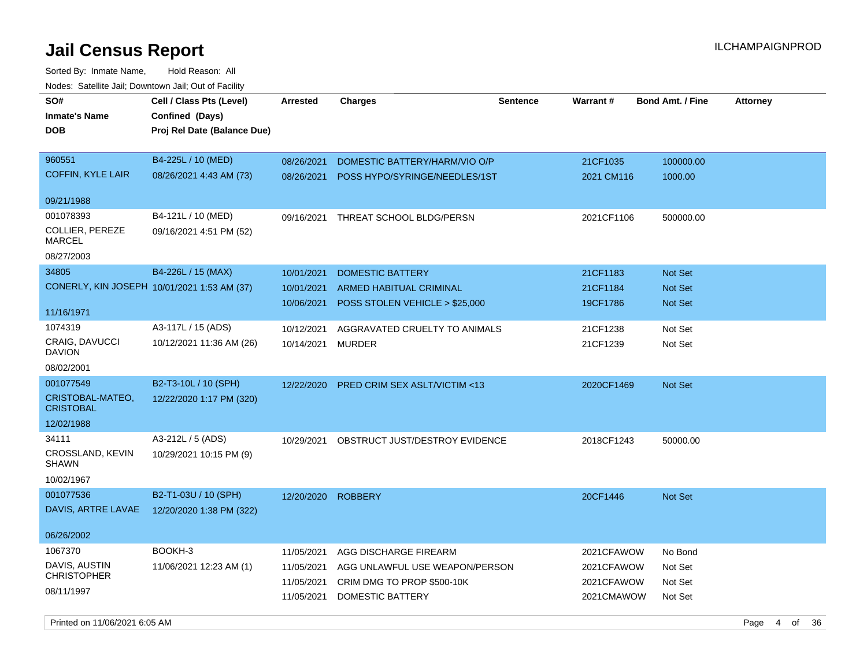| roaco. Oatomto dan, Downtown dan, Oat or Fability |                                                                            |                   |                                |                 |                        |                         |                 |
|---------------------------------------------------|----------------------------------------------------------------------------|-------------------|--------------------------------|-----------------|------------------------|-------------------------|-----------------|
| SO#<br><b>Inmate's Name</b><br><b>DOB</b>         | Cell / Class Pts (Level)<br>Confined (Days)<br>Proj Rel Date (Balance Due) | Arrested          | <b>Charges</b>                 | <b>Sentence</b> | <b>Warrant#</b>        | <b>Bond Amt. / Fine</b> | <b>Attorney</b> |
| 960551                                            | B4-225L / 10 (MED)                                                         |                   |                                |                 |                        |                         |                 |
| <b>COFFIN, KYLE LAIR</b>                          | 08/26/2021 4:43 AM (73)                                                    | 08/26/2021        | DOMESTIC BATTERY/HARM/VIO O/P  |                 | 21CF1035<br>2021 CM116 | 100000.00<br>1000.00    |                 |
|                                                   |                                                                            | 08/26/2021        | POSS HYPO/SYRINGE/NEEDLES/1ST  |                 |                        |                         |                 |
| 09/21/1988                                        |                                                                            |                   |                                |                 |                        |                         |                 |
| 001078393                                         | B4-121L / 10 (MED)                                                         | 09/16/2021        | THREAT SCHOOL BLDG/PERSN       |                 | 2021CF1106             | 500000.00               |                 |
| COLLIER, PEREZE<br>MARCEL                         | 09/16/2021 4:51 PM (52)                                                    |                   |                                |                 |                        |                         |                 |
| 08/27/2003                                        |                                                                            |                   |                                |                 |                        |                         |                 |
| 34805                                             | B4-226L / 15 (MAX)                                                         | 10/01/2021        | <b>DOMESTIC BATTERY</b>        |                 | 21CF1183               | Not Set                 |                 |
| CONERLY, KIN JOSEPH 10/01/2021 1:53 AM (37)       |                                                                            | 10/01/2021        | ARMED HABITUAL CRIMINAL        |                 | 21CF1184               | <b>Not Set</b>          |                 |
|                                                   |                                                                            | 10/06/2021        | POSS STOLEN VEHICLE > \$25,000 |                 | 19CF1786               | <b>Not Set</b>          |                 |
| 11/16/1971                                        |                                                                            |                   |                                |                 |                        |                         |                 |
| 1074319                                           | A3-117L / 15 (ADS)                                                         | 10/12/2021        | AGGRAVATED CRUELTY TO ANIMALS  |                 | 21CF1238               | Not Set                 |                 |
| <b>CRAIG, DAVUCCI</b><br><b>DAVION</b>            | 10/12/2021 11:36 AM (26)                                                   | 10/14/2021 MURDER |                                |                 | 21CF1239               | Not Set                 |                 |
| 08/02/2001                                        |                                                                            |                   |                                |                 |                        |                         |                 |
| 001077549                                         | B2-T3-10L / 10 (SPH)                                                       | 12/22/2020        | PRED CRIM SEX ASLT/VICTIM <13  |                 | 2020CF1469             | Not Set                 |                 |
| CRISTOBAL-MATEO,<br><b>CRISTOBAL</b>              | 12/22/2020 1:17 PM (320)                                                   |                   |                                |                 |                        |                         |                 |
| 12/02/1988                                        |                                                                            |                   |                                |                 |                        |                         |                 |
| 34111                                             | A3-212L / 5 (ADS)                                                          | 10/29/2021        | OBSTRUCT JUST/DESTROY EVIDENCE |                 | 2018CF1243             | 50000.00                |                 |
| CROSSLAND, KEVIN<br><b>SHAWN</b>                  | 10/29/2021 10:15 PM (9)                                                    |                   |                                |                 |                        |                         |                 |
| 10/02/1967                                        |                                                                            |                   |                                |                 |                        |                         |                 |
| 001077536                                         | B2-T1-03U / 10 (SPH)                                                       | 12/20/2020        | <b>ROBBERY</b>                 |                 | 20CF1446               | Not Set                 |                 |
| DAVIS, ARTRE LAVAE                                | 12/20/2020 1:38 PM (322)                                                   |                   |                                |                 |                        |                         |                 |
|                                                   |                                                                            |                   |                                |                 |                        |                         |                 |
| 06/26/2002                                        |                                                                            |                   |                                |                 |                        |                         |                 |
| 1067370                                           | BOOKH-3                                                                    | 11/05/2021        | AGG DISCHARGE FIREARM          |                 | 2021CFAWOW             | No Bond                 |                 |
| DAVIS, AUSTIN<br><b>CHRISTOPHER</b>               | 11/06/2021 12:23 AM (1)                                                    | 11/05/2021        | AGG UNLAWFUL USE WEAPON/PERSON |                 | 2021CFAWOW             | Not Set                 |                 |
|                                                   |                                                                            | 11/05/2021        | CRIM DMG TO PROP \$500-10K     |                 | 2021CFAWOW             | Not Set                 |                 |
| 08/11/1997                                        |                                                                            | 11/05/2021        | DOMESTIC BATTERY               |                 | 2021CMAWOW             | Not Set                 |                 |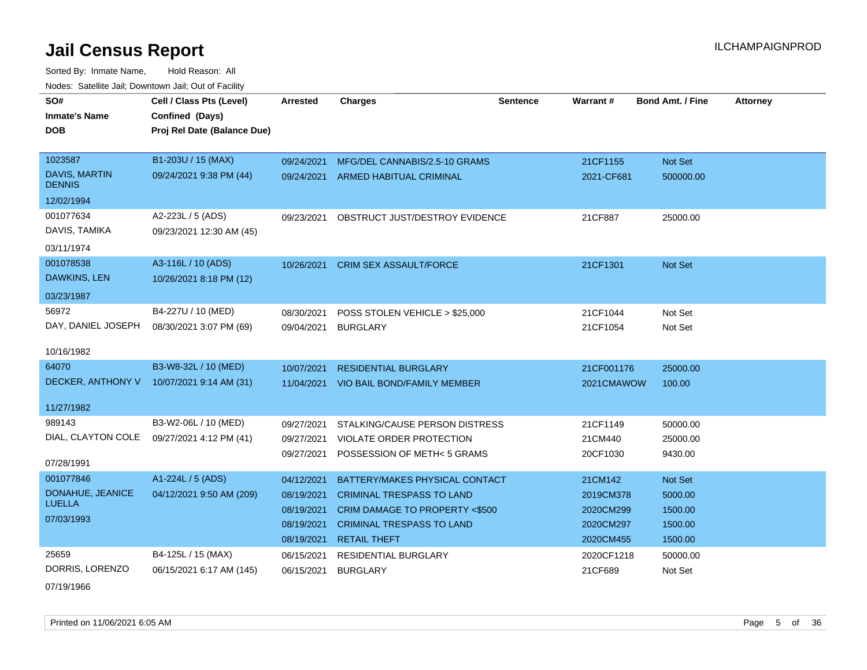Sorted By: Inmate Name, Hold Reason: All Nodes: Satellite Jail; Downtown Jail; Out of Facility

| SO#<br><b>Inmate's Name</b><br><b>DOB</b> | Cell / Class Pts (Level)<br>Confined (Days)<br>Proj Rel Date (Balance Due) | <b>Arrested</b> | <b>Charges</b>                            | <b>Sentence</b> | <b>Warrant#</b> | <b>Bond Amt. / Fine</b> | <b>Attorney</b> |
|-------------------------------------------|----------------------------------------------------------------------------|-----------------|-------------------------------------------|-----------------|-----------------|-------------------------|-----------------|
| 1023587                                   | B1-203U / 15 (MAX)                                                         | 09/24/2021      | MFG/DEL CANNABIS/2.5-10 GRAMS             |                 | 21CF1155        | Not Set                 |                 |
| <b>DAVIS, MARTIN</b><br><b>DENNIS</b>     | 09/24/2021 9:38 PM (44)                                                    |                 | 09/24/2021 ARMED HABITUAL CRIMINAL        |                 | 2021-CF681      | 500000.00               |                 |
| 12/02/1994                                |                                                                            |                 |                                           |                 |                 |                         |                 |
| 001077634                                 | A2-223L / 5 (ADS)                                                          |                 | 09/23/2021 OBSTRUCT JUST/DESTROY EVIDENCE |                 | 21CF887         | 25000.00                |                 |
| DAVIS, TAMIKA                             | 09/23/2021 12:30 AM (45)                                                   |                 |                                           |                 |                 |                         |                 |
| 03/11/1974                                |                                                                            |                 |                                           |                 |                 |                         |                 |
| 001078538                                 | A3-116L / 10 (ADS)                                                         | 10/26/2021      | <b>CRIM SEX ASSAULT/FORCE</b>             |                 | 21CF1301        | Not Set                 |                 |
| <b>DAWKINS, LEN</b>                       | 10/26/2021 8:18 PM (12)                                                    |                 |                                           |                 |                 |                         |                 |
| 03/23/1987                                |                                                                            |                 |                                           |                 |                 |                         |                 |
| 56972                                     | B4-227U / 10 (MED)                                                         | 08/30/2021      | POSS STOLEN VEHICLE > \$25,000            |                 | 21CF1044        | Not Set                 |                 |
| DAY, DANIEL JOSEPH                        | 08/30/2021 3:07 PM (69)                                                    | 09/04/2021      | BURGLARY                                  |                 | 21CF1054        | Not Set                 |                 |
| 10/16/1982                                |                                                                            |                 |                                           |                 |                 |                         |                 |
| 64070                                     | B3-W8-32L / 10 (MED)                                                       | 10/07/2021      | <b>RESIDENTIAL BURGLARY</b>               |                 | 21CF001176      | 25000.00                |                 |
| DECKER, ANTHONY V                         | 10/07/2021 9:14 AM (31)                                                    |                 | 11/04/2021 VIO BAIL BOND/FAMILY MEMBER    |                 | 2021CMAWOW      | 100.00                  |                 |
| 11/27/1982                                |                                                                            |                 |                                           |                 |                 |                         |                 |
| 989143                                    | B3-W2-06L / 10 (MED)                                                       | 09/27/2021      | STALKING/CAUSE PERSON DISTRESS            |                 | 21CF1149        | 50000.00                |                 |
| DIAL, CLAYTON COLE                        | 09/27/2021 4:12 PM (41)                                                    | 09/27/2021      | VIOLATE ORDER PROTECTION                  |                 | 21CM440         | 25000.00                |                 |
| 07/28/1991                                |                                                                            |                 | 09/27/2021 POSSESSION OF METH< 5 GRAMS    |                 | 20CF1030        | 9430.00                 |                 |
| 001077846                                 | A1-224L / 5 (ADS)                                                          | 04/12/2021      | BATTERY/MAKES PHYSICAL CONTACT            |                 | 21CM142         | Not Set                 |                 |
| DONAHUE, JEANICE                          | 04/12/2021 9:50 AM (209)                                                   | 08/19/2021      | <b>CRIMINAL TRESPASS TO LAND</b>          |                 | 2019CM378       | 5000.00                 |                 |
| <b>LUELLA</b>                             |                                                                            | 08/19/2021      | <b>CRIM DAMAGE TO PROPERTY &lt;\$500</b>  |                 | 2020CM299       | 1500.00                 |                 |
| 07/03/1993                                |                                                                            | 08/19/2021      | <b>CRIMINAL TRESPASS TO LAND</b>          |                 | 2020CM297       | 1500.00                 |                 |
|                                           |                                                                            | 08/19/2021      | <b>RETAIL THEFT</b>                       |                 | 2020CM455       | 1500.00                 |                 |
| 25659                                     | B4-125L / 15 (MAX)                                                         | 06/15/2021      | <b>RESIDENTIAL BURGLARY</b>               |                 | 2020CF1218      | 50000.00                |                 |
| DORRIS, LORENZO                           | 06/15/2021 6:17 AM (145)                                                   | 06/15/2021      | <b>BURGLARY</b>                           |                 | 21CF689         | Not Set                 |                 |

07/19/1966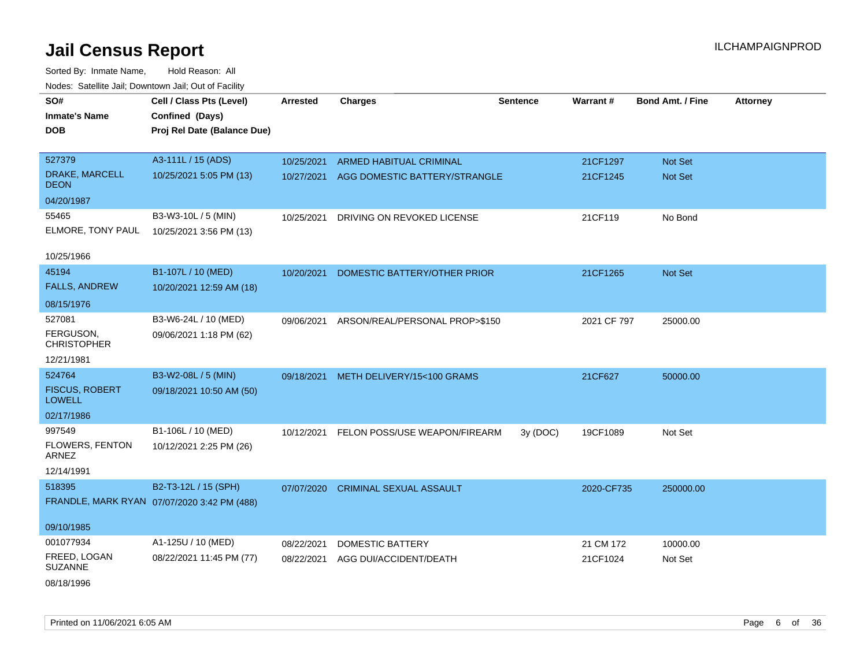| voues. Salemie Jan, Downtown Jan, Out of Facility |                                             |                 |                                |                 |             |                         |                 |
|---------------------------------------------------|---------------------------------------------|-----------------|--------------------------------|-----------------|-------------|-------------------------|-----------------|
| SO#                                               | Cell / Class Pts (Level)                    | <b>Arrested</b> | <b>Charges</b>                 | <b>Sentence</b> | Warrant#    | <b>Bond Amt. / Fine</b> | <b>Attorney</b> |
| <b>Inmate's Name</b>                              | Confined (Days)                             |                 |                                |                 |             |                         |                 |
| <b>DOB</b>                                        | Proj Rel Date (Balance Due)                 |                 |                                |                 |             |                         |                 |
|                                                   |                                             |                 |                                |                 |             |                         |                 |
| 527379                                            | A3-111L / 15 (ADS)                          | 10/25/2021      | <b>ARMED HABITUAL CRIMINAL</b> |                 | 21CF1297    | <b>Not Set</b>          |                 |
| DRAKE, MARCELL<br><b>DEON</b>                     | 10/25/2021 5:05 PM (13)                     | 10/27/2021      | AGG DOMESTIC BATTERY/STRANGLE  |                 | 21CF1245    | <b>Not Set</b>          |                 |
| 04/20/1987                                        |                                             |                 |                                |                 |             |                         |                 |
| 55465                                             | B3-W3-10L / 5 (MIN)                         | 10/25/2021      | DRIVING ON REVOKED LICENSE     |                 | 21CF119     | No Bond                 |                 |
| ELMORE, TONY PAUL                                 | 10/25/2021 3:56 PM (13)                     |                 |                                |                 |             |                         |                 |
|                                                   |                                             |                 |                                |                 |             |                         |                 |
| 10/25/1966                                        |                                             |                 |                                |                 |             |                         |                 |
| 45194                                             | B1-107L / 10 (MED)                          | 10/20/2021      | DOMESTIC BATTERY/OTHER PRIOR   |                 | 21CF1265    | <b>Not Set</b>          |                 |
| <b>FALLS, ANDREW</b>                              | 10/20/2021 12:59 AM (18)                    |                 |                                |                 |             |                         |                 |
| 08/15/1976                                        |                                             |                 |                                |                 |             |                         |                 |
| 527081                                            | B3-W6-24L / 10 (MED)                        | 09/06/2021      | ARSON/REAL/PERSONAL PROP>\$150 |                 | 2021 CF 797 | 25000.00                |                 |
| FERGUSON,                                         | 09/06/2021 1:18 PM (62)                     |                 |                                |                 |             |                         |                 |
| <b>CHRISTOPHER</b>                                |                                             |                 |                                |                 |             |                         |                 |
| 12/21/1981                                        |                                             |                 |                                |                 |             |                         |                 |
| 524764                                            | B3-W2-08L / 5 (MIN)                         | 09/18/2021      | METH DELIVERY/15<100 GRAMS     |                 | 21CF627     | 50000.00                |                 |
| <b>FISCUS, ROBERT</b><br><b>LOWELL</b>            | 09/18/2021 10:50 AM (50)                    |                 |                                |                 |             |                         |                 |
| 02/17/1986                                        |                                             |                 |                                |                 |             |                         |                 |
| 997549                                            | B1-106L / 10 (MED)                          | 10/12/2021      | FELON POSS/USE WEAPON/FIREARM  | 3y (DOC)        | 19CF1089    | Not Set                 |                 |
| FLOWERS, FENTON<br>ARNEZ                          | 10/12/2021 2:25 PM (26)                     |                 |                                |                 |             |                         |                 |
| 12/14/1991                                        |                                             |                 |                                |                 |             |                         |                 |
| 518395                                            | B2-T3-12L / 15 (SPH)                        | 07/07/2020      | <b>CRIMINAL SEXUAL ASSAULT</b> |                 | 2020-CF735  | 250000.00               |                 |
|                                                   | FRANDLE, MARK RYAN 07/07/2020 3:42 PM (488) |                 |                                |                 |             |                         |                 |
|                                                   |                                             |                 |                                |                 |             |                         |                 |
| 09/10/1985                                        |                                             |                 |                                |                 |             |                         |                 |
| 001077934                                         | A1-125U / 10 (MED)                          | 08/22/2021      | <b>DOMESTIC BATTERY</b>        |                 | 21 CM 172   | 10000.00                |                 |
| FREED, LOGAN<br><b>SUZANNE</b>                    | 08/22/2021 11:45 PM (77)                    | 08/22/2021      | AGG DUI/ACCIDENT/DEATH         |                 | 21CF1024    | Not Set                 |                 |
| 08/18/1996                                        |                                             |                 |                                |                 |             |                         |                 |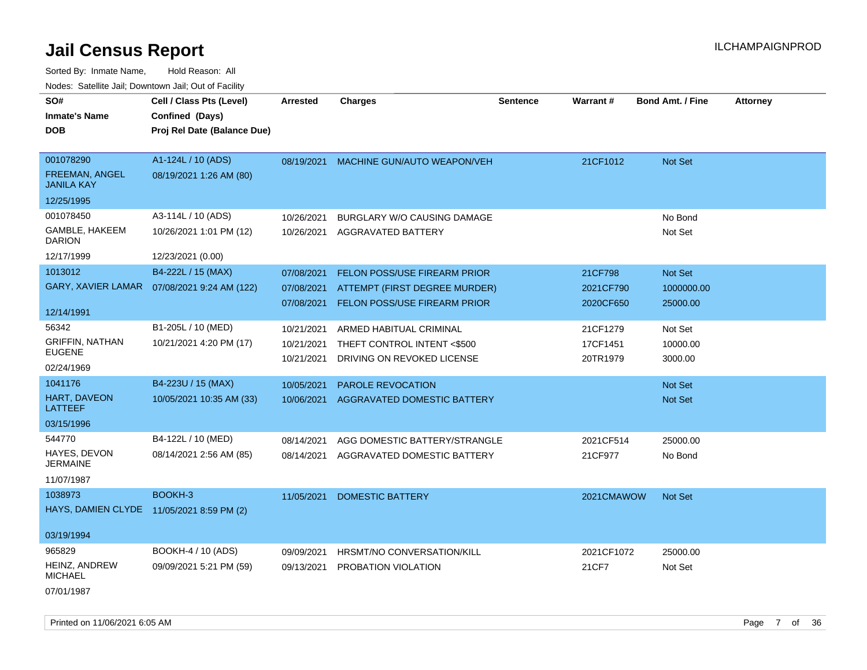Sorted By: Inmate Name, Hold Reason: All Nodes: Satellite Jail; Downtown Jail; Out of Facility

| SO#                                        | Cell / Class Pts (Level)                     | <b>Arrested</b> | <b>Charges</b>                         | <b>Sentence</b> | Warrant#   | <b>Bond Amt. / Fine</b> | <b>Attorney</b> |
|--------------------------------------------|----------------------------------------------|-----------------|----------------------------------------|-----------------|------------|-------------------------|-----------------|
| <b>Inmate's Name</b>                       | Confined (Days)                              |                 |                                        |                 |            |                         |                 |
| <b>DOB</b>                                 | Proj Rel Date (Balance Due)                  |                 |                                        |                 |            |                         |                 |
|                                            |                                              |                 |                                        |                 |            |                         |                 |
| 001078290                                  | A1-124L / 10 (ADS)                           |                 | 08/19/2021 MACHINE GUN/AUTO WEAPON/VEH |                 | 21CF1012   | Not Set                 |                 |
| <b>FREEMAN, ANGEL</b><br><b>JANILA KAY</b> | 08/19/2021 1:26 AM (80)                      |                 |                                        |                 |            |                         |                 |
| 12/25/1995                                 |                                              |                 |                                        |                 |            |                         |                 |
| 001078450                                  | A3-114L / 10 (ADS)                           | 10/26/2021      | <b>BURGLARY W/O CAUSING DAMAGE</b>     |                 |            | No Bond                 |                 |
| GAMBLE, HAKEEM<br><b>DARION</b>            | 10/26/2021 1:01 PM (12)                      | 10/26/2021      | AGGRAVATED BATTERY                     |                 |            | Not Set                 |                 |
| 12/17/1999                                 | 12/23/2021 (0.00)                            |                 |                                        |                 |            |                         |                 |
| 1013012                                    | B4-222L / 15 (MAX)                           | 07/08/2021      | FELON POSS/USE FIREARM PRIOR           |                 | 21CF798    | Not Set                 |                 |
|                                            | GARY, XAVIER LAMAR  07/08/2021 9:24 AM (122) | 07/08/2021      | ATTEMPT (FIRST DEGREE MURDER)          |                 | 2021CF790  | 1000000.00              |                 |
|                                            |                                              | 07/08/2021      | <b>FELON POSS/USE FIREARM PRIOR</b>    |                 | 2020CF650  | 25000.00                |                 |
| 12/14/1991                                 |                                              |                 |                                        |                 |            |                         |                 |
| 56342                                      | B1-205L / 10 (MED)                           | 10/21/2021      | ARMED HABITUAL CRIMINAL                |                 | 21CF1279   | Not Set                 |                 |
| <b>GRIFFIN, NATHAN</b>                     | 10/21/2021 4:20 PM (17)                      | 10/21/2021      | THEFT CONTROL INTENT <\$500            |                 | 17CF1451   | 10000.00                |                 |
| <b>EUGENE</b>                              |                                              | 10/21/2021      | DRIVING ON REVOKED LICENSE             |                 | 20TR1979   | 3000.00                 |                 |
| 02/24/1969                                 |                                              |                 |                                        |                 |            |                         |                 |
| 1041176                                    | B4-223U / 15 (MAX)                           | 10/05/2021      | PAROLE REVOCATION                      |                 |            | Not Set                 |                 |
| <b>HART, DAVEON</b><br><b>LATTEEF</b>      | 10/05/2021 10:35 AM (33)                     |                 | 10/06/2021 AGGRAVATED DOMESTIC BATTERY |                 |            | Not Set                 |                 |
| 03/15/1996                                 |                                              |                 |                                        |                 |            |                         |                 |
| 544770                                     | B4-122L / 10 (MED)                           | 08/14/2021      | AGG DOMESTIC BATTERY/STRANGLE          |                 | 2021CF514  | 25000.00                |                 |
| HAYES, DEVON<br><b>JERMAINE</b>            | 08/14/2021 2:56 AM (85)                      | 08/14/2021      | AGGRAVATED DOMESTIC BATTERY            |                 | 21CF977    | No Bond                 |                 |
| 11/07/1987                                 |                                              |                 |                                        |                 |            |                         |                 |
| 1038973                                    | BOOKH-3                                      | 11/05/2021      | <b>DOMESTIC BATTERY</b>                |                 | 2021CMAWOW | Not Set                 |                 |
| HAYS, DAMIEN CLYDE 11/05/2021 8:59 PM (2)  |                                              |                 |                                        |                 |            |                         |                 |
|                                            |                                              |                 |                                        |                 |            |                         |                 |
| 03/19/1994                                 |                                              |                 |                                        |                 |            |                         |                 |
| 965829                                     | BOOKH-4 / 10 (ADS)                           | 09/09/2021      | HRSMT/NO CONVERSATION/KILL             |                 | 2021CF1072 | 25000.00                |                 |
| HEINZ, ANDREW<br><b>MICHAEL</b>            | 09/09/2021 5:21 PM (59)                      | 09/13/2021      | PROBATION VIOLATION                    |                 | 21CF7      | Not Set                 |                 |
| 07/01/1987                                 |                                              |                 |                                        |                 |            |                         |                 |

Printed on 11/06/2021 6:05 AM **Page 7** of 36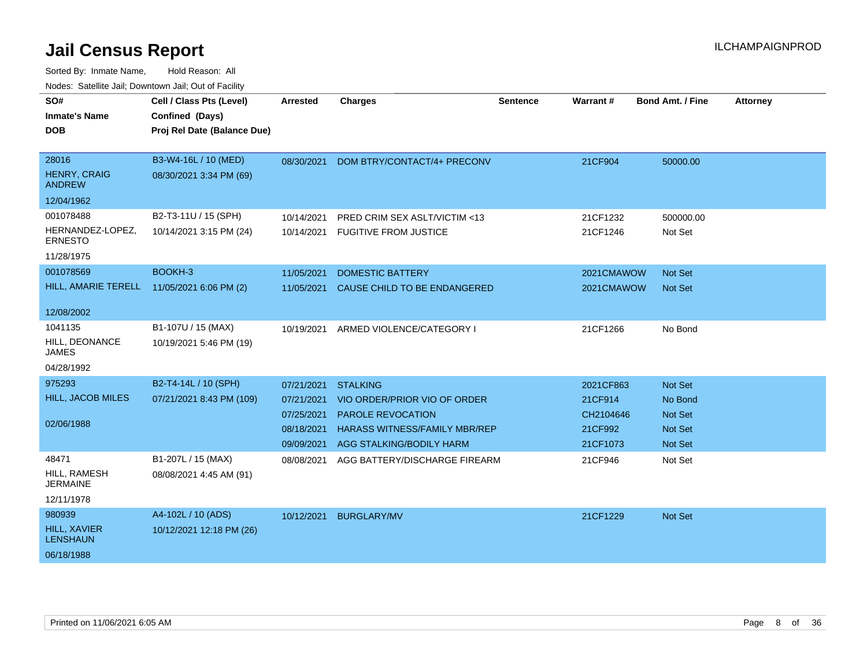| SO#<br><b>Inmate's Name</b>          | Cell / Class Pts (Level)<br>Confined (Days) | <b>Arrested</b> | <b>Charges</b>                       | <b>Sentence</b> | Warrant#   | <b>Bond Amt. / Fine</b> | <b>Attorney</b> |
|--------------------------------------|---------------------------------------------|-----------------|--------------------------------------|-----------------|------------|-------------------------|-----------------|
| <b>DOB</b>                           | Proj Rel Date (Balance Due)                 |                 |                                      |                 |            |                         |                 |
|                                      |                                             |                 |                                      |                 |            |                         |                 |
| 28016                                | B3-W4-16L / 10 (MED)                        | 08/30/2021      | DOM BTRY/CONTACT/4+ PRECONV          |                 | 21CF904    | 50000.00                |                 |
| <b>HENRY, CRAIG</b><br><b>ANDREW</b> | 08/30/2021 3:34 PM (69)                     |                 |                                      |                 |            |                         |                 |
| 12/04/1962                           |                                             |                 |                                      |                 |            |                         |                 |
| 001078488                            | B2-T3-11U / 15 (SPH)                        | 10/14/2021      | PRED CRIM SEX ASLT/VICTIM <13        |                 | 21CF1232   | 500000.00               |                 |
| HERNANDEZ-LOPEZ,<br><b>ERNESTO</b>   | 10/14/2021 3:15 PM (24)                     |                 | 10/14/2021 FUGITIVE FROM JUSTICE     |                 | 21CF1246   | Not Set                 |                 |
| 11/28/1975                           |                                             |                 |                                      |                 |            |                         |                 |
| 001078569                            | BOOKH-3                                     | 11/05/2021      | <b>DOMESTIC BATTERY</b>              |                 | 2021CMAWOW | Not Set                 |                 |
| HILL, AMARIE TERELL                  | 11/05/2021 6:06 PM (2)                      | 11/05/2021      | CAUSE CHILD TO BE ENDANGERED         |                 | 2021CMAWOW | Not Set                 |                 |
| 12/08/2002                           |                                             |                 |                                      |                 |            |                         |                 |
| 1041135                              | B1-107U / 15 (MAX)                          | 10/19/2021      | ARMED VIOLENCE/CATEGORY I            |                 | 21CF1266   | No Bond                 |                 |
| HILL, DEONANCE<br><b>JAMES</b>       | 10/19/2021 5:46 PM (19)                     |                 |                                      |                 |            |                         |                 |
| 04/28/1992                           |                                             |                 |                                      |                 |            |                         |                 |
| 975293                               | B2-T4-14L / 10 (SPH)                        | 07/21/2021      | <b>STALKING</b>                      |                 | 2021CF863  | Not Set                 |                 |
| <b>HILL, JACOB MILES</b>             | 07/21/2021 8:43 PM (109)                    | 07/21/2021      | VIO ORDER/PRIOR VIO OF ORDER         |                 | 21CF914    | No Bond                 |                 |
|                                      |                                             | 07/25/2021      | <b>PAROLE REVOCATION</b>             |                 | CH2104646  | Not Set                 |                 |
| 02/06/1988                           |                                             | 08/18/2021      | <b>HARASS WITNESS/FAMILY MBR/REP</b> |                 | 21CF992    | <b>Not Set</b>          |                 |
|                                      |                                             | 09/09/2021      | AGG STALKING/BODILY HARM             |                 | 21CF1073   | Not Set                 |                 |
| 48471                                | B1-207L / 15 (MAX)                          | 08/08/2021      | AGG BATTERY/DISCHARGE FIREARM        |                 | 21CF946    | Not Set                 |                 |
| HILL, RAMESH<br><b>JERMAINE</b>      | 08/08/2021 4:45 AM (91)                     |                 |                                      |                 |            |                         |                 |
| 12/11/1978                           |                                             |                 |                                      |                 |            |                         |                 |
| 980939                               | A4-102L / 10 (ADS)                          | 10/12/2021      | <b>BURGLARY/MV</b>                   |                 | 21CF1229   | Not Set                 |                 |
| HILL, XAVIER<br><b>LENSHAUN</b>      | 10/12/2021 12:18 PM (26)                    |                 |                                      |                 |            |                         |                 |
| 06/18/1988                           |                                             |                 |                                      |                 |            |                         |                 |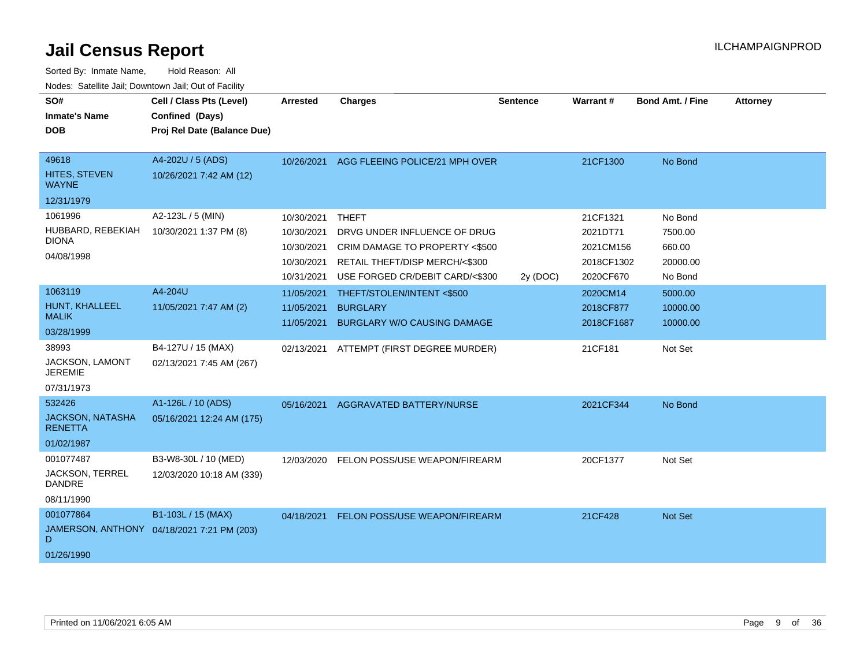| Sorted By: Inmate Name,                               | Hold Reason: All                           |                 |                                    |                 |                 |                         |                 |  |
|-------------------------------------------------------|--------------------------------------------|-----------------|------------------------------------|-----------------|-----------------|-------------------------|-----------------|--|
| Nodes: Satellite Jail; Downtown Jail; Out of Facility |                                            |                 |                                    |                 |                 |                         |                 |  |
| SO#                                                   | Cell / Class Pts (Level)                   | <b>Arrested</b> | <b>Charges</b>                     | <b>Sentence</b> | <b>Warrant#</b> | <b>Bond Amt. / Fine</b> | <b>Attorney</b> |  |
| Inmate's Name                                         | Confined (Days)                            |                 |                                    |                 |                 |                         |                 |  |
| DOB                                                   | Proj Rel Date (Balance Due)                |                 |                                    |                 |                 |                         |                 |  |
|                                                       |                                            |                 |                                    |                 |                 |                         |                 |  |
| 49618                                                 | A4-202U / 5 (ADS)                          | 10/26/2021      | AGG FLEEING POLICE/21 MPH OVER     |                 | 21CF1300        | No Bond                 |                 |  |
| HITES, STEVEN<br>WAYNE                                | 10/26/2021 7:42 AM (12)                    |                 |                                    |                 |                 |                         |                 |  |
| 12/31/1979                                            |                                            |                 |                                    |                 |                 |                         |                 |  |
| 1061996                                               | A2-123L / 5 (MIN)                          | 10/30/2021      | <b>THEFT</b>                       |                 | 21CF1321        | No Bond                 |                 |  |
| HUBBARD, REBEKIAH                                     | 10/30/2021 1:37 PM (8)                     | 10/30/2021      | DRVG UNDER INFLUENCE OF DRUG       |                 | 2021DT71        | 7500.00                 |                 |  |
| DIONA                                                 |                                            | 10/30/2021      | CRIM DAMAGE TO PROPERTY <\$500     |                 | 2021CM156       | 660.00                  |                 |  |
| 04/08/1998                                            |                                            | 10/30/2021      | RETAIL THEFT/DISP MERCH/<\$300     |                 | 2018CF1302      | 20000.00                |                 |  |
|                                                       |                                            | 10/31/2021      | USE FORGED CR/DEBIT CARD/<\$300    | 2y (DOC)        | 2020CF670       | No Bond                 |                 |  |
| 1063119                                               | A4-204U                                    | 11/05/2021      | THEFT/STOLEN/INTENT <\$500         |                 | 2020CM14        | 5000.00                 |                 |  |
| HUNT, KHALLEEL                                        | 11/05/2021 7:47 AM (2)                     | 11/05/2021      | <b>BURGLARY</b>                    |                 | 2018CF877       | 10000.00                |                 |  |
| MALIK                                                 |                                            | 11/05/2021      | <b>BURGLARY W/O CAUSING DAMAGE</b> |                 | 2018CF1687      | 10000.00                |                 |  |
| 03/28/1999                                            |                                            |                 |                                    |                 |                 |                         |                 |  |
| 38993                                                 | B4-127U / 15 (MAX)                         | 02/13/2021      | ATTEMPT (FIRST DEGREE MURDER)      |                 | 21CF181         | Not Set                 |                 |  |
| <b>JACKSON, LAMONT</b><br>JEREMIE                     | 02/13/2021 7:45 AM (267)                   |                 |                                    |                 |                 |                         |                 |  |
| 07/31/1973                                            |                                            |                 |                                    |                 |                 |                         |                 |  |
| 532426                                                | A1-126L / 10 (ADS)                         | 05/16/2021      | AGGRAVATED BATTERY/NURSE           |                 | 2021CF344       | No Bond                 |                 |  |
| <b>JACKSON, NATASHA</b><br>RENETTA                    | 05/16/2021 12:24 AM (175)                  |                 |                                    |                 |                 |                         |                 |  |
| 01/02/1987                                            |                                            |                 |                                    |                 |                 |                         |                 |  |
| 001077487                                             | B3-W8-30L / 10 (MED)                       | 12/03/2020      | FELON POSS/USE WEAPON/FIREARM      |                 | 20CF1377        | Not Set                 |                 |  |
| JACKSON, TERREL<br>DANDRE                             | 12/03/2020 10:18 AM (339)                  |                 |                                    |                 |                 |                         |                 |  |
| 08/11/1990                                            |                                            |                 |                                    |                 |                 |                         |                 |  |
| 001077864                                             | B1-103L / 15 (MAX)                         | 04/18/2021      | FELON POSS/USE WEAPON/FIREARM      |                 | 21CF428         | <b>Not Set</b>          |                 |  |
| D                                                     | JAMERSON, ANTHONY 04/18/2021 7:21 PM (203) |                 |                                    |                 |                 |                         |                 |  |
| 01/26/1990                                            |                                            |                 |                                    |                 |                 |                         |                 |  |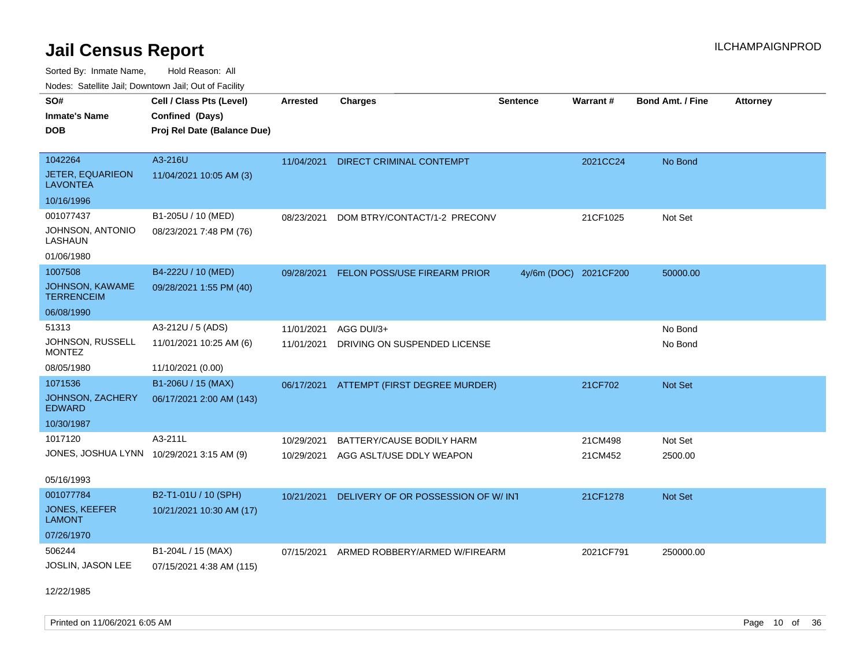Sorted By: Inmate Name, Hold Reason: All

Nodes: Satellite Jail; Downtown Jail; Out of Facility

| SO#                                       | Cell / Class Pts (Level)    | <b>Arrested</b> | <b>Charges</b>                     | <b>Sentence</b> | <b>Warrant#</b>       | <b>Bond Amt. / Fine</b> | <b>Attorney</b> |
|-------------------------------------------|-----------------------------|-----------------|------------------------------------|-----------------|-----------------------|-------------------------|-----------------|
| <b>Inmate's Name</b>                      | Confined (Days)             |                 |                                    |                 |                       |                         |                 |
| <b>DOB</b>                                | Proj Rel Date (Balance Due) |                 |                                    |                 |                       |                         |                 |
|                                           |                             |                 |                                    |                 |                       |                         |                 |
| 1042264                                   | A3-216U                     | 11/04/2021      | DIRECT CRIMINAL CONTEMPT           |                 | 2021CC24              | No Bond                 |                 |
| JETER, EQUARIEON<br><b>LAVONTEA</b>       | 11/04/2021 10:05 AM (3)     |                 |                                    |                 |                       |                         |                 |
| 10/16/1996                                |                             |                 |                                    |                 |                       |                         |                 |
| 001077437                                 | B1-205U / 10 (MED)          | 08/23/2021      | DOM BTRY/CONTACT/1-2 PRECONV       |                 | 21CF1025              | Not Set                 |                 |
| JOHNSON, ANTONIO<br>LASHAUN               | 08/23/2021 7:48 PM (76)     |                 |                                    |                 |                       |                         |                 |
| 01/06/1980                                |                             |                 |                                    |                 |                       |                         |                 |
| 1007508                                   | B4-222U / 10 (MED)          | 09/28/2021      | FELON POSS/USE FIREARM PRIOR       |                 | 4y/6m (DOC) 2021CF200 | 50000.00                |                 |
| JOHNSON, KAWAME<br><b>TERRENCEIM</b>      | 09/28/2021 1:55 PM (40)     |                 |                                    |                 |                       |                         |                 |
| 06/08/1990                                |                             |                 |                                    |                 |                       |                         |                 |
| 51313                                     | A3-212U / 5 (ADS)           | 11/01/2021      | AGG DUI/3+                         |                 |                       | No Bond                 |                 |
| JOHNSON, RUSSELL<br><b>MONTEZ</b>         | 11/01/2021 10:25 AM (6)     | 11/01/2021      | DRIVING ON SUSPENDED LICENSE       |                 |                       | No Bond                 |                 |
| 08/05/1980                                | 11/10/2021 (0.00)           |                 |                                    |                 |                       |                         |                 |
| 1071536                                   | B1-206U / 15 (MAX)          | 06/17/2021      | ATTEMPT (FIRST DEGREE MURDER)      |                 | 21CF702               | <b>Not Set</b>          |                 |
| JOHNSON, ZACHERY<br><b>EDWARD</b>         | 06/17/2021 2:00 AM (143)    |                 |                                    |                 |                       |                         |                 |
| 10/30/1987                                |                             |                 |                                    |                 |                       |                         |                 |
| 1017120                                   | A3-211L                     | 10/29/2021      | BATTERY/CAUSE BODILY HARM          |                 | 21CM498               | Not Set                 |                 |
| JONES, JOSHUA LYNN 10/29/2021 3:15 AM (9) |                             | 10/29/2021      | AGG ASLT/USE DDLY WEAPON           |                 | 21CM452               | 2500.00                 |                 |
| 05/16/1993                                |                             |                 |                                    |                 |                       |                         |                 |
| 001077784                                 | B2-T1-01U / 10 (SPH)        | 10/21/2021      | DELIVERY OF OR POSSESSION OF W/INT |                 | 21CF1278              | <b>Not Set</b>          |                 |
| <b>JONES, KEEFER</b><br><b>LAMONT</b>     | 10/21/2021 10:30 AM (17)    |                 |                                    |                 |                       |                         |                 |
| 07/26/1970                                |                             |                 |                                    |                 |                       |                         |                 |
| 506244                                    | B1-204L / 15 (MAX)          | 07/15/2021      | ARMED ROBBERY/ARMED W/FIREARM      |                 | 2021CF791             | 250000.00               |                 |
| JOSLIN, JASON LEE                         | 07/15/2021 4:38 AM (115)    |                 |                                    |                 |                       |                         |                 |
|                                           |                             |                 |                                    |                 |                       |                         |                 |

12/22/1985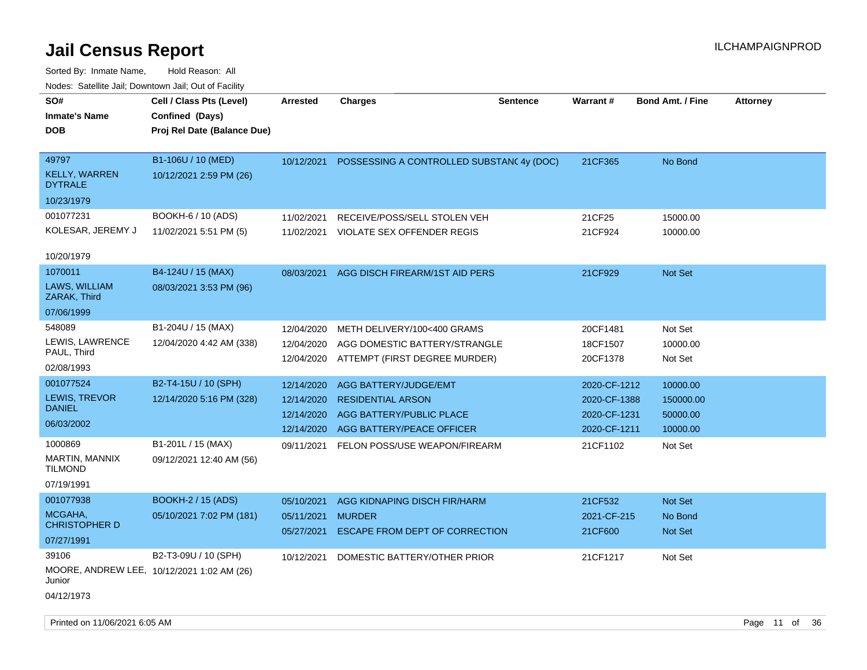| SO#<br><b>Inmate's Name</b><br><b>DOB</b>                     | Cell / Class Pts (Level)<br>Confined (Days)<br>Proj Rel Date (Balance Due) | <b>Arrested</b>                                      | <b>Charges</b>                                                                                             | <b>Sentence</b> | <b>Warrant#</b>                                              | <b>Bond Amt. / Fine</b>                       | <b>Attorney</b> |
|---------------------------------------------------------------|----------------------------------------------------------------------------|------------------------------------------------------|------------------------------------------------------------------------------------------------------------|-----------------|--------------------------------------------------------------|-----------------------------------------------|-----------------|
| 49797<br><b>KELLY, WARREN</b><br><b>DYTRALE</b><br>10/23/1979 | B1-106U / 10 (MED)<br>10/12/2021 2:59 PM (26)                              |                                                      | 10/12/2021 POSSESSING A CONTROLLED SUBSTANC4y (DOC)                                                        |                 | 21CF365                                                      | No Bond                                       |                 |
| 001077231<br>KOLESAR, JEREMY J<br>10/20/1979                  | BOOKH-6 / 10 (ADS)<br>11/02/2021 5:51 PM (5)                               | 11/02/2021<br>11/02/2021                             | RECEIVE/POSS/SELL STOLEN VEH<br>VIOLATE SEX OFFENDER REGIS                                                 |                 | 21CF25<br>21CF924                                            | 15000.00<br>10000.00                          |                 |
| 1070011<br>LAWS, WILLIAM<br>ZARAK, Third<br>07/06/1999        | B4-124U / 15 (MAX)<br>08/03/2021 3:53 PM (96)                              | 08/03/2021                                           | AGG DISCH FIREARM/1ST AID PERS                                                                             |                 | 21CF929                                                      | Not Set                                       |                 |
| 548089<br>LEWIS, LAWRENCE<br>PAUL, Third<br>02/08/1993        | B1-204U / 15 (MAX)<br>12/04/2020 4:42 AM (338)                             | 12/04/2020<br>12/04/2020<br>12/04/2020               | METH DELIVERY/100<400 GRAMS<br>AGG DOMESTIC BATTERY/STRANGLE<br>ATTEMPT (FIRST DEGREE MURDER)              |                 | 20CF1481<br>18CF1507<br>20CF1378                             | Not Set<br>10000.00<br>Not Set                |                 |
| 001077524<br>LEWIS, TREVOR<br><b>DANIEL</b><br>06/03/2002     | B2-T4-15U / 10 (SPH)<br>12/14/2020 5:16 PM (328)                           | 12/14/2020<br>12/14/2020<br>12/14/2020<br>12/14/2020 | AGG BATTERY/JUDGE/EMT<br><b>RESIDENTIAL ARSON</b><br>AGG BATTERY/PUBLIC PLACE<br>AGG BATTERY/PEACE OFFICER |                 | 2020-CF-1212<br>2020-CF-1388<br>2020-CF-1231<br>2020-CF-1211 | 10000.00<br>150000.00<br>50000.00<br>10000.00 |                 |
| 1000869<br>MARTIN, MANNIX<br><b>TILMOND</b><br>07/19/1991     | B1-201L / 15 (MAX)<br>09/12/2021 12:40 AM (56)                             | 09/11/2021                                           | FELON POSS/USE WEAPON/FIREARM                                                                              |                 | 21CF1102                                                     | Not Set                                       |                 |
| 001077938<br>MCGAHA,<br><b>CHRISTOPHER D</b><br>07/27/1991    | <b>BOOKH-2 / 15 (ADS)</b><br>05/10/2021 7:02 PM (181)                      | 05/10/2021<br>05/11/2021<br>05/27/2021               | AGG KIDNAPING DISCH FIR/HARM<br><b>MURDER</b><br><b>ESCAPE FROM DEPT OF CORRECTION</b>                     |                 | 21CF532<br>2021-CF-215<br>21CF600                            | <b>Not Set</b><br>No Bond<br><b>Not Set</b>   |                 |
| 39106<br>Junior<br>04/12/1973                                 | B2-T3-09U / 10 (SPH)<br>MOORE, ANDREW LEE, 10/12/2021 1:02 AM (26)         | 10/12/2021                                           | DOMESTIC BATTERY/OTHER PRIOR                                                                               |                 | 21CF1217                                                     | Not Set                                       |                 |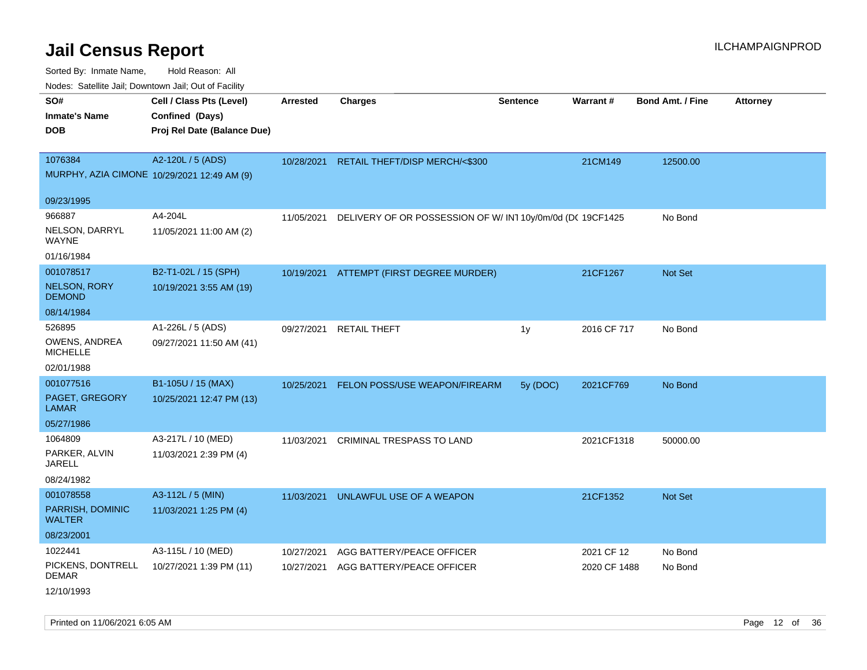| roaco. Catolino dall, Downtown dall, Out of Fability |                                             |                 |                                                            |                 |              |                         |                 |
|------------------------------------------------------|---------------------------------------------|-----------------|------------------------------------------------------------|-----------------|--------------|-------------------------|-----------------|
| SO#                                                  | Cell / Class Pts (Level)                    | <b>Arrested</b> | <b>Charges</b>                                             | <b>Sentence</b> | Warrant#     | <b>Bond Amt. / Fine</b> | <b>Attorney</b> |
| <b>Inmate's Name</b>                                 | Confined (Days)                             |                 |                                                            |                 |              |                         |                 |
| <b>DOB</b>                                           | Proj Rel Date (Balance Due)                 |                 |                                                            |                 |              |                         |                 |
|                                                      |                                             |                 |                                                            |                 |              |                         |                 |
| 1076384                                              | A2-120L / 5 (ADS)                           |                 | 10/28/2021 RETAIL THEFT/DISP MERCH/<\$300                  |                 | 21CM149      | 12500.00                |                 |
|                                                      | MURPHY, AZIA CIMONE 10/29/2021 12:49 AM (9) |                 |                                                            |                 |              |                         |                 |
| 09/23/1995                                           |                                             |                 |                                                            |                 |              |                         |                 |
| 966887                                               | A4-204L                                     | 11/05/2021      | DELIVERY OF OR POSSESSION OF W/ IN1 10y/0m/0d (DC 19CF1425 |                 |              | No Bond                 |                 |
| NELSON, DARRYL<br><b>WAYNE</b>                       | 11/05/2021 11:00 AM (2)                     |                 |                                                            |                 |              |                         |                 |
| 01/16/1984                                           |                                             |                 |                                                            |                 |              |                         |                 |
| 001078517                                            | B2-T1-02L / 15 (SPH)                        |                 | 10/19/2021 ATTEMPT (FIRST DEGREE MURDER)                   |                 | 21CF1267     | <b>Not Set</b>          |                 |
| NELSON, RORY<br><b>DEMOND</b>                        | 10/19/2021 3:55 AM (19)                     |                 |                                                            |                 |              |                         |                 |
| 08/14/1984                                           |                                             |                 |                                                            |                 |              |                         |                 |
| 526895                                               | A1-226L / 5 (ADS)                           | 09/27/2021      | <b>RETAIL THEFT</b>                                        | 1y              | 2016 CF 717  | No Bond                 |                 |
| OWENS, ANDREA<br><b>MICHELLE</b>                     | 09/27/2021 11:50 AM (41)                    |                 |                                                            |                 |              |                         |                 |
| 02/01/1988                                           |                                             |                 |                                                            |                 |              |                         |                 |
| 001077516                                            | B1-105U / 15 (MAX)                          | 10/25/2021      | <b>FELON POSS/USE WEAPON/FIREARM</b>                       | 5y (DOC)        | 2021CF769    | No Bond                 |                 |
| PAGET, GREGORY<br>LAMAR                              | 10/25/2021 12:47 PM (13)                    |                 |                                                            |                 |              |                         |                 |
| 05/27/1986                                           |                                             |                 |                                                            |                 |              |                         |                 |
| 1064809                                              | A3-217L / 10 (MED)                          | 11/03/2021      | CRIMINAL TRESPASS TO LAND                                  |                 | 2021CF1318   | 50000.00                |                 |
| PARKER, ALVIN<br>JARELL                              | 11/03/2021 2:39 PM (4)                      |                 |                                                            |                 |              |                         |                 |
| 08/24/1982                                           |                                             |                 |                                                            |                 |              |                         |                 |
| 001078558                                            | A3-112L / 5 (MIN)                           | 11/03/2021      | UNLAWFUL USE OF A WEAPON                                   |                 | 21CF1352     | <b>Not Set</b>          |                 |
| PARRISH, DOMINIC<br><b>WALTER</b>                    | 11/03/2021 1:25 PM (4)                      |                 |                                                            |                 |              |                         |                 |
| 08/23/2001                                           |                                             |                 |                                                            |                 |              |                         |                 |
| 1022441                                              | A3-115L / 10 (MED)                          | 10/27/2021      | AGG BATTERY/PEACE OFFICER                                  |                 | 2021 CF 12   | No Bond                 |                 |
| PICKENS, DONTRELL<br><b>DEMAR</b>                    | 10/27/2021 1:39 PM (11)                     | 10/27/2021      | AGG BATTERY/PEACE OFFICER                                  |                 | 2020 CF 1488 | No Bond                 |                 |
| 12/10/1993                                           |                                             |                 |                                                            |                 |              |                         |                 |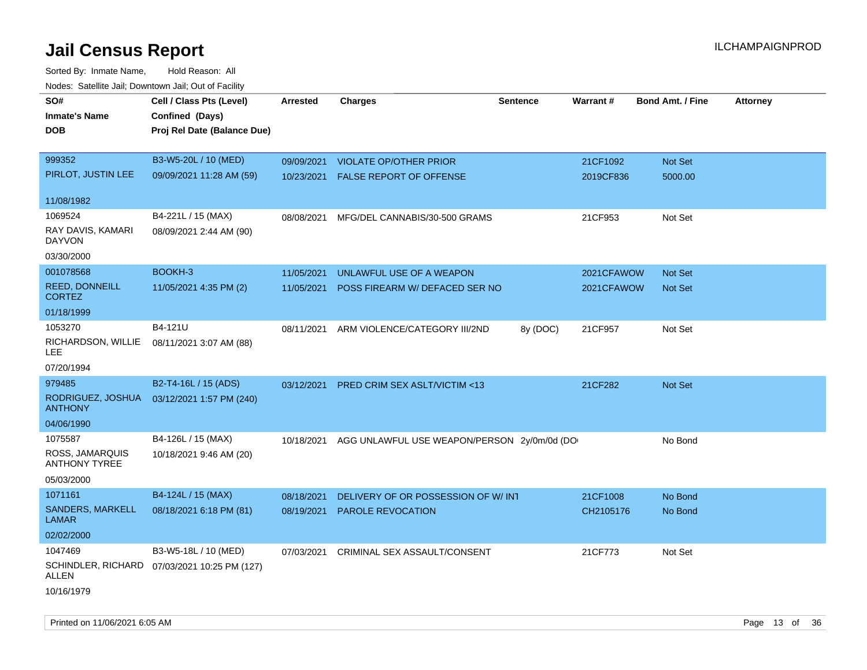| roaco. Oatomto dan, Downtown dan, Oat or Fability |                                              |                 |                                                        |                 |            |                         |                 |
|---------------------------------------------------|----------------------------------------------|-----------------|--------------------------------------------------------|-----------------|------------|-------------------------|-----------------|
| SO#                                               | Cell / Class Pts (Level)                     | <b>Arrested</b> | <b>Charges</b>                                         | <b>Sentence</b> | Warrant#   | <b>Bond Amt. / Fine</b> | <b>Attorney</b> |
| <b>Inmate's Name</b>                              | Confined (Days)                              |                 |                                                        |                 |            |                         |                 |
| <b>DOB</b>                                        | Proj Rel Date (Balance Due)                  |                 |                                                        |                 |            |                         |                 |
|                                                   |                                              |                 |                                                        |                 |            |                         |                 |
| 999352                                            | B3-W5-20L / 10 (MED)                         | 09/09/2021      | <b>VIOLATE OP/OTHER PRIOR</b>                          |                 | 21CF1092   | Not Set                 |                 |
| PIRLOT, JUSTIN LEE                                | 09/09/2021 11:28 AM (59)                     |                 | 10/23/2021 FALSE REPORT OF OFFENSE                     |                 | 2019CF836  | 5000.00                 |                 |
|                                                   |                                              |                 |                                                        |                 |            |                         |                 |
| 11/08/1982                                        |                                              |                 |                                                        |                 |            |                         |                 |
| 1069524                                           | B4-221L / 15 (MAX)                           | 08/08/2021      | MFG/DEL CANNABIS/30-500 GRAMS                          |                 | 21CF953    | Not Set                 |                 |
| RAY DAVIS, KAMARI<br><b>DAYVON</b>                | 08/09/2021 2:44 AM (90)                      |                 |                                                        |                 |            |                         |                 |
| 03/30/2000                                        |                                              |                 |                                                        |                 |            |                         |                 |
| 001078568                                         | BOOKH-3                                      | 11/05/2021      | UNLAWFUL USE OF A WEAPON                               |                 | 2021CFAWOW | <b>Not Set</b>          |                 |
| REED, DONNEILL<br><b>CORTEZ</b>                   | 11/05/2021 4:35 PM (2)                       | 11/05/2021      | POSS FIREARM W/ DEFACED SER NO                         |                 | 2021CFAWOW | <b>Not Set</b>          |                 |
| 01/18/1999                                        |                                              |                 |                                                        |                 |            |                         |                 |
| 1053270                                           | B4-121U                                      | 08/11/2021      | ARM VIOLENCE/CATEGORY III/2ND                          | 8y (DOC)        | 21CF957    | Not Set                 |                 |
| RICHARDSON, WILLIE<br>LEE.                        | 08/11/2021 3:07 AM (88)                      |                 |                                                        |                 |            |                         |                 |
| 07/20/1994                                        |                                              |                 |                                                        |                 |            |                         |                 |
| 979485                                            | B2-T4-16L / 15 (ADS)                         | 03/12/2021      | PRED CRIM SEX ASLT/VICTIM <13                          |                 | 21CF282    | Not Set                 |                 |
| RODRIGUEZ, JOSHUA<br><b>ANTHONY</b>               | 03/12/2021 1:57 PM (240)                     |                 |                                                        |                 |            |                         |                 |
| 04/06/1990                                        |                                              |                 |                                                        |                 |            |                         |                 |
| 1075587                                           | B4-126L / 15 (MAX)                           |                 | 10/18/2021 AGG UNLAWFUL USE WEAPON/PERSON 2y/0m/0d (DO |                 |            | No Bond                 |                 |
| ROSS, JAMARQUIS<br><b>ANTHONY TYREE</b>           | 10/18/2021 9:46 AM (20)                      |                 |                                                        |                 |            |                         |                 |
| 05/03/2000                                        |                                              |                 |                                                        |                 |            |                         |                 |
| 1071161                                           | B4-124L / 15 (MAX)                           | 08/18/2021      | DELIVERY OF OR POSSESSION OF W/INT                     |                 | 21CF1008   | No Bond                 |                 |
| SANDERS, MARKELL<br><b>LAMAR</b>                  | 08/18/2021 6:18 PM (81)                      | 08/19/2021      | <b>PAROLE REVOCATION</b>                               |                 | CH2105176  | No Bond                 |                 |
| 02/02/2000                                        |                                              |                 |                                                        |                 |            |                         |                 |
| 1047469                                           | B3-W5-18L / 10 (MED)                         | 07/03/2021      | CRIMINAL SEX ASSAULT/CONSENT                           |                 | 21CF773    | Not Set                 |                 |
| ALLEN                                             | SCHINDLER, RICHARD 07/03/2021 10:25 PM (127) |                 |                                                        |                 |            |                         |                 |
| 10/16/1979                                        |                                              |                 |                                                        |                 |            |                         |                 |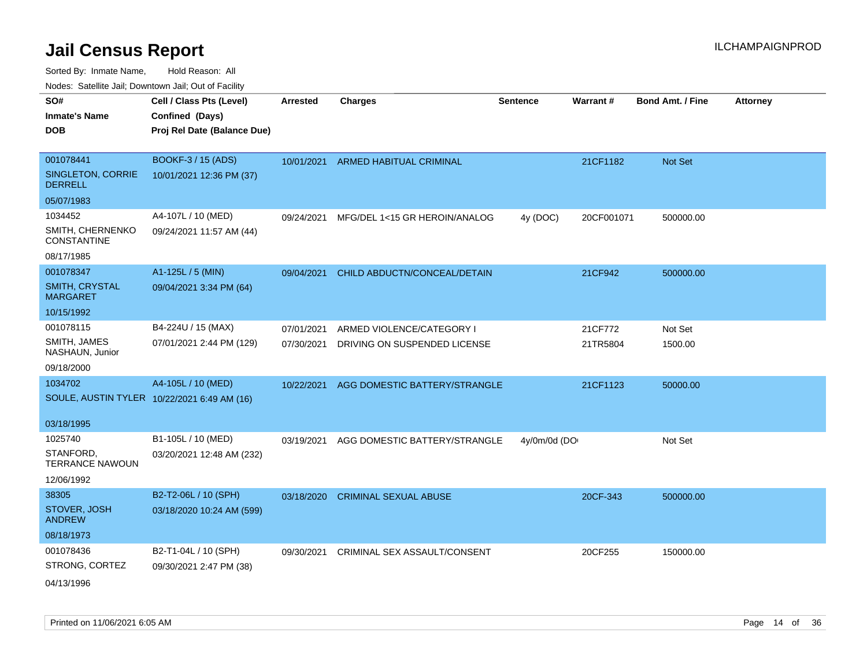| ivuutos. Saltiilit Jall, Duwilluwii Jall, Oul of Facility |                             |                 |                               |                 |            |                  |                 |
|-----------------------------------------------------------|-----------------------------|-----------------|-------------------------------|-----------------|------------|------------------|-----------------|
| SO#                                                       | Cell / Class Pts (Level)    | <b>Arrested</b> | <b>Charges</b>                | <b>Sentence</b> | Warrant#   | Bond Amt. / Fine | <b>Attorney</b> |
| <b>Inmate's Name</b>                                      | Confined (Days)             |                 |                               |                 |            |                  |                 |
| DOB                                                       | Proj Rel Date (Balance Due) |                 |                               |                 |            |                  |                 |
|                                                           |                             |                 |                               |                 |            |                  |                 |
| 001078441                                                 | <b>BOOKF-3 / 15 (ADS)</b>   | 10/01/2021      | ARMED HABITUAL CRIMINAL       |                 | 21CF1182   | Not Set          |                 |
| SINGLETON, CORRIE<br><b>DERRELL</b>                       | 10/01/2021 12:36 PM (37)    |                 |                               |                 |            |                  |                 |
| 05/07/1983                                                |                             |                 |                               |                 |            |                  |                 |
| 1034452                                                   | A4-107L / 10 (MED)          | 09/24/2021      | MFG/DEL 1<15 GR HEROIN/ANALOG | 4y (DOC)        | 20CF001071 | 500000.00        |                 |
| SMITH, CHERNENKO<br><b>CONSTANTINE</b>                    | 09/24/2021 11:57 AM (44)    |                 |                               |                 |            |                  |                 |
| 08/17/1985                                                |                             |                 |                               |                 |            |                  |                 |
| 001078347                                                 | A1-125L / 5 (MIN)           | 09/04/2021      | CHILD ABDUCTN/CONCEAL/DETAIN  |                 | 21CF942    | 500000.00        |                 |
| <b>SMITH, CRYSTAL</b><br><b>MARGARET</b>                  | 09/04/2021 3:34 PM (64)     |                 |                               |                 |            |                  |                 |
| 10/15/1992                                                |                             |                 |                               |                 |            |                  |                 |
| 001078115                                                 | B4-224U / 15 (MAX)          | 07/01/2021      | ARMED VIOLENCE/CATEGORY I     |                 | 21CF772    | Not Set          |                 |
| SMITH, JAMES<br>NASHAUN, Junior                           | 07/01/2021 2:44 PM (129)    | 07/30/2021      | DRIVING ON SUSPENDED LICENSE  |                 | 21TR5804   | 1500.00          |                 |
| 09/18/2000                                                |                             |                 |                               |                 |            |                  |                 |
| 1034702                                                   | A4-105L / 10 (MED)          | 10/22/2021      | AGG DOMESTIC BATTERY/STRANGLE |                 | 21CF1123   | 50000.00         |                 |
| SOULE, AUSTIN TYLER 10/22/2021 6:49 AM (16)               |                             |                 |                               |                 |            |                  |                 |
|                                                           |                             |                 |                               |                 |            |                  |                 |
| 03/18/1995                                                |                             |                 |                               |                 |            |                  |                 |
| 1025740                                                   | B1-105L / 10 (MED)          | 03/19/2021      | AGG DOMESTIC BATTERY/STRANGLE | 4y/0m/0d (DO    |            | Not Set          |                 |
| STANFORD,<br><b>TERRANCE NAWOUN</b>                       | 03/20/2021 12:48 AM (232)   |                 |                               |                 |            |                  |                 |
| 12/06/1992                                                |                             |                 |                               |                 |            |                  |                 |
| 38305                                                     | B2-T2-06L / 10 (SPH)        | 03/18/2020      | <b>CRIMINAL SEXUAL ABUSE</b>  |                 | 20CF-343   | 500000.00        |                 |
| STOVER, JOSH<br><b>ANDREW</b>                             | 03/18/2020 10:24 AM (599)   |                 |                               |                 |            |                  |                 |
| 08/18/1973                                                |                             |                 |                               |                 |            |                  |                 |
| 001078436                                                 | B2-T1-04L / 10 (SPH)        | 09/30/2021      | CRIMINAL SEX ASSAULT/CONSENT  |                 | 20CF255    | 150000.00        |                 |
| STRONG, CORTEZ                                            | 09/30/2021 2:47 PM (38)     |                 |                               |                 |            |                  |                 |
| 04/13/1996                                                |                             |                 |                               |                 |            |                  |                 |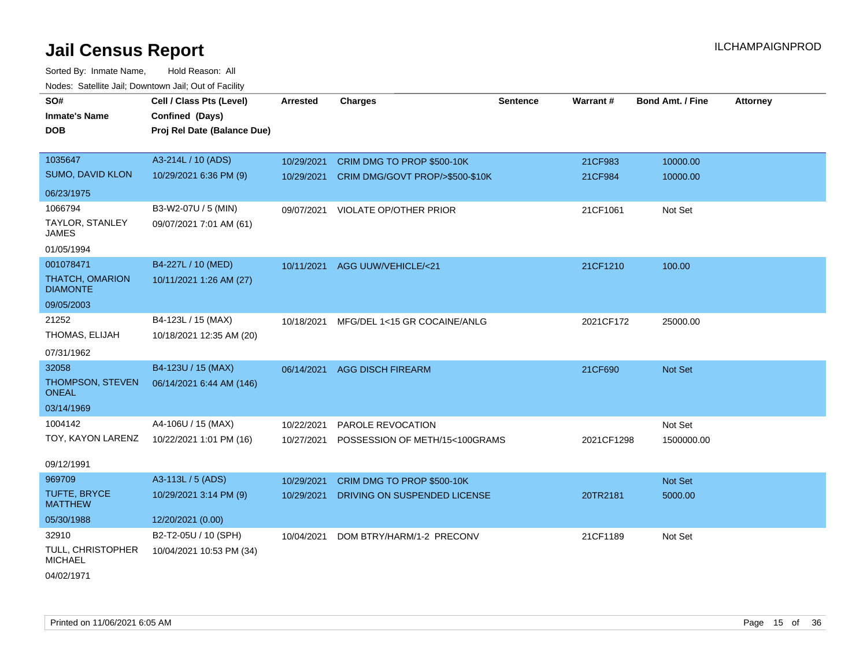Sorted By: Inmate Name, Hold Reason: All Nodes: Satellite Jail; Downtown Jail; Out of Facility

| SO#<br><b>Inmate's Name</b>               | Cell / Class Pts (Level)<br>Confined (Days) | <b>Arrested</b> | <b>Charges</b>                             | <b>Sentence</b> | Warrant#   | <b>Bond Amt. / Fine</b> | <b>Attorney</b> |
|-------------------------------------------|---------------------------------------------|-----------------|--------------------------------------------|-----------------|------------|-------------------------|-----------------|
| <b>DOB</b>                                | Proj Rel Date (Balance Due)                 |                 |                                            |                 |            |                         |                 |
| 1035647                                   | A3-214L / 10 (ADS)                          | 10/29/2021      | CRIM DMG TO PROP \$500-10K                 |                 | 21CF983    | 10000.00                |                 |
| <b>SUMO, DAVID KLON</b>                   | 10/29/2021 6:36 PM (9)                      |                 | 10/29/2021 CRIM DMG/GOVT PROP/>\$500-\$10K |                 | 21CF984    | 10000.00                |                 |
| 06/23/1975                                |                                             |                 |                                            |                 |            |                         |                 |
| 1066794                                   | B3-W2-07U / 5 (MIN)                         |                 | 09/07/2021 VIOLATE OP/OTHER PRIOR          |                 | 21CF1061   | Not Set                 |                 |
| TAYLOR, STANLEY<br><b>JAMES</b>           | 09/07/2021 7:01 AM (61)                     |                 |                                            |                 |            |                         |                 |
| 01/05/1994                                |                                             |                 |                                            |                 |            |                         |                 |
| 001078471                                 | B4-227L / 10 (MED)                          | 10/11/2021      | AGG UUW/VEHICLE/<21                        |                 | 21CF1210   | 100.00                  |                 |
| <b>THATCH, OMARION</b><br><b>DIAMONTE</b> | 10/11/2021 1:26 AM (27)                     |                 |                                            |                 |            |                         |                 |
| 09/05/2003                                |                                             |                 |                                            |                 |            |                         |                 |
| 21252                                     | B4-123L / 15 (MAX)                          |                 | 10/18/2021 MFG/DEL 1<15 GR COCAINE/ANLG    |                 | 2021CF172  | 25000.00                |                 |
| THOMAS, ELIJAH                            | 10/18/2021 12:35 AM (20)                    |                 |                                            |                 |            |                         |                 |
| 07/31/1962                                |                                             |                 |                                            |                 |            |                         |                 |
| 32058                                     | B4-123U / 15 (MAX)                          | 06/14/2021      | <b>AGG DISCH FIREARM</b>                   |                 | 21CF690    | Not Set                 |                 |
| THOMPSON, STEVEN<br><b>ONEAL</b>          | 06/14/2021 6:44 AM (146)                    |                 |                                            |                 |            |                         |                 |
| 03/14/1969                                |                                             |                 |                                            |                 |            |                         |                 |
| 1004142                                   | A4-106U / 15 (MAX)                          | 10/22/2021      | PAROLE REVOCATION                          |                 |            | Not Set                 |                 |
| TOY, KAYON LARENZ                         | 10/22/2021 1:01 PM (16)                     | 10/27/2021      | POSSESSION OF METH/15<100GRAMS             |                 | 2021CF1298 | 1500000.00              |                 |
| 09/12/1991                                |                                             |                 |                                            |                 |            |                         |                 |
| 969709                                    | A3-113L / 5 (ADS)                           | 10/29/2021      | CRIM DMG TO PROP \$500-10K                 |                 |            | Not Set                 |                 |
| <b>TUFTE, BRYCE</b><br><b>MATTHEW</b>     | 10/29/2021 3:14 PM (9)                      | 10/29/2021      | DRIVING ON SUSPENDED LICENSE               |                 | 20TR2181   | 5000.00                 |                 |
| 05/30/1988                                | 12/20/2021 (0.00)                           |                 |                                            |                 |            |                         |                 |
| 32910                                     | B2-T2-05U / 10 (SPH)                        | 10/04/2021      | DOM BTRY/HARM/1-2 PRECONV                  |                 | 21CF1189   | Not Set                 |                 |
| TULL, CHRISTOPHER<br><b>MICHAEL</b>       | 10/04/2021 10:53 PM (34)                    |                 |                                            |                 |            |                         |                 |
| 04/02/1971                                |                                             |                 |                                            |                 |            |                         |                 |

Printed on 11/06/2021 6:05 AM **Page 15** of 36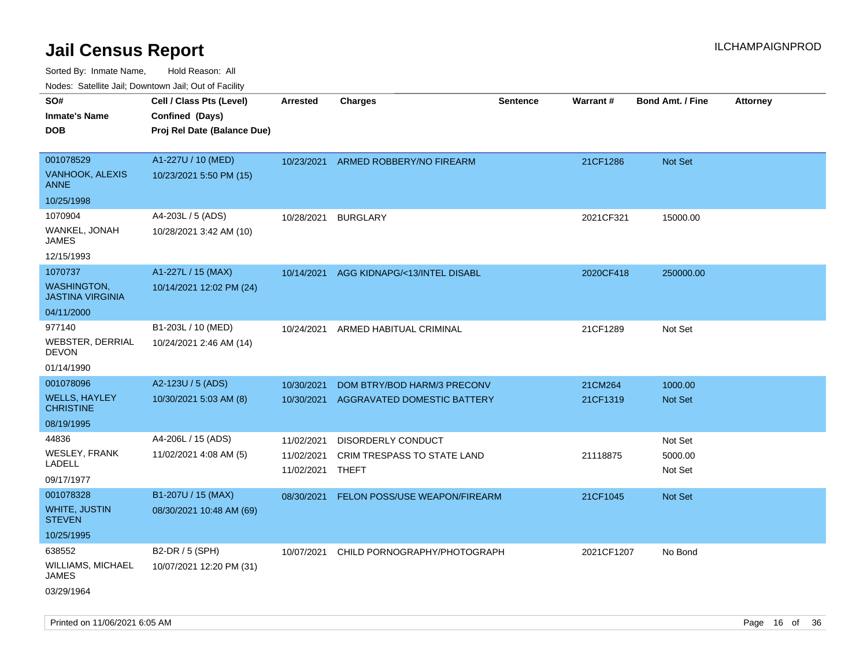Sorted By: Inmate Name, Hold Reason: All Nodes: Satellite Jail; Downtown Jail; Out of Facility

| Cell / Class Pts (Level)    | Arrested                                       | <b>Charges</b>              | <b>Sentence</b>                                                                              |                                                                                              | <b>Bond Amt. / Fine</b>     | <b>Attorney</b>                                                  |
|-----------------------------|------------------------------------------------|-----------------------------|----------------------------------------------------------------------------------------------|----------------------------------------------------------------------------------------------|-----------------------------|------------------------------------------------------------------|
| Confined (Days)             |                                                |                             |                                                                                              |                                                                                              |                             |                                                                  |
| Proj Rel Date (Balance Due) |                                                |                             |                                                                                              |                                                                                              |                             |                                                                  |
|                             |                                                |                             |                                                                                              |                                                                                              |                             |                                                                  |
| A1-227U / 10 (MED)          | 10/23/2021                                     |                             |                                                                                              | 21CF1286                                                                                     | <b>Not Set</b>              |                                                                  |
| 10/23/2021 5:50 PM (15)     |                                                |                             |                                                                                              |                                                                                              |                             |                                                                  |
|                             |                                                |                             |                                                                                              |                                                                                              |                             |                                                                  |
| A4-203L / 5 (ADS)           | 10/28/2021                                     | <b>BURGLARY</b>             |                                                                                              | 2021CF321                                                                                    | 15000.00                    |                                                                  |
| 10/28/2021 3:42 AM (10)     |                                                |                             |                                                                                              |                                                                                              |                             |                                                                  |
|                             |                                                |                             |                                                                                              |                                                                                              |                             |                                                                  |
| A1-227L / 15 (MAX)          | 10/14/2021                                     |                             |                                                                                              | 2020CF418                                                                                    | 250000.00                   |                                                                  |
| 10/14/2021 12:02 PM (24)    |                                                |                             |                                                                                              |                                                                                              |                             |                                                                  |
|                             |                                                |                             |                                                                                              |                                                                                              |                             |                                                                  |
| B1-203L / 10 (MED)          | 10/24/2021                                     |                             |                                                                                              | 21CF1289                                                                                     | Not Set                     |                                                                  |
| 10/24/2021 2:46 AM (14)     |                                                |                             |                                                                                              |                                                                                              |                             |                                                                  |
|                             |                                                |                             |                                                                                              |                                                                                              |                             |                                                                  |
| A2-123U / 5 (ADS)           | 10/30/2021                                     | DOM BTRY/BOD HARM/3 PRECONV |                                                                                              | 21CM264                                                                                      | 1000.00                     |                                                                  |
| 10/30/2021 5:03 AM (8)      | 10/30/2021                                     |                             |                                                                                              | 21CF1319                                                                                     | <b>Not Set</b>              |                                                                  |
|                             |                                                |                             |                                                                                              |                                                                                              |                             |                                                                  |
| A4-206L / 15 (ADS)          | 11/02/2021                                     | <b>DISORDERLY CONDUCT</b>   |                                                                                              |                                                                                              | Not Set                     |                                                                  |
| 11/02/2021 4:08 AM (5)      | 11/02/2021                                     | CRIM TRESPASS TO STATE LAND |                                                                                              | 21118875                                                                                     | 5000.00                     |                                                                  |
|                             | 11/02/2021                                     |                             |                                                                                              |                                                                                              | Not Set                     |                                                                  |
|                             |                                                |                             |                                                                                              |                                                                                              |                             |                                                                  |
|                             | 08/30/2021                                     |                             |                                                                                              |                                                                                              | Not Set                     |                                                                  |
|                             |                                                |                             |                                                                                              |                                                                                              |                             |                                                                  |
|                             |                                                |                             |                                                                                              |                                                                                              |                             |                                                                  |
| B2-DR / 5 (SPH)             | 10/07/2021                                     |                             |                                                                                              |                                                                                              | No Bond                     |                                                                  |
| 10/07/2021 12:20 PM (31)    |                                                |                             |                                                                                              |                                                                                              |                             |                                                                  |
|                             |                                                |                             |                                                                                              |                                                                                              |                             |                                                                  |
|                             | B1-207U / 15 (MAX)<br>08/30/2021 10:48 AM (69) |                             | ARMED ROBBERY/NO FIREARM<br>AGG KIDNAPG/<13/INTEL DISABL<br>ARMED HABITUAL CRIMINAL<br>THEFT | AGGRAVATED DOMESTIC BATTERY<br>FELON POSS/USE WEAPON/FIREARM<br>CHILD PORNOGRAPHY/PHOTOGRAPH | <b>Warrant#</b><br>21CF1045 | roaco. Calcinio dan, Downtown dan, Cal or Fability<br>2021CF1207 |

Printed on 11/06/2021 6:05 AM **Page 16** of 36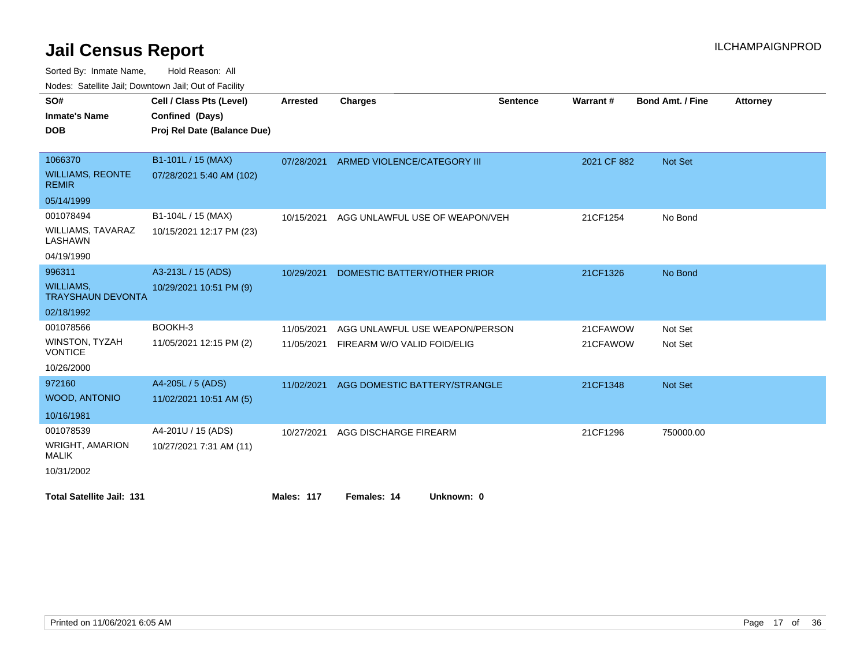Sorted By: Inmate Name, Hold Reason: All

Nodes: Satellite Jail; Downtown Jail; Out of Facility

| SO#                                          | Cell / Class Pts (Level)    | <b>Arrested</b>   | Charges                        | <b>Sentence</b> | Warrant#    | <b>Bond Amt. / Fine</b> | <b>Attorney</b> |
|----------------------------------------------|-----------------------------|-------------------|--------------------------------|-----------------|-------------|-------------------------|-----------------|
|                                              |                             |                   |                                |                 |             |                         |                 |
| <b>Inmate's Name</b>                         | Confined (Days)             |                   |                                |                 |             |                         |                 |
| <b>DOB</b>                                   | Proj Rel Date (Balance Due) |                   |                                |                 |             |                         |                 |
|                                              |                             |                   |                                |                 |             |                         |                 |
| 1066370                                      | B1-101L / 15 (MAX)          | 07/28/2021        | ARMED VIOLENCE/CATEGORY III    |                 | 2021 CF 882 | <b>Not Set</b>          |                 |
| <b>WILLIAMS, REONTE</b><br><b>REMIR</b>      | 07/28/2021 5:40 AM (102)    |                   |                                |                 |             |                         |                 |
| 05/14/1999                                   |                             |                   |                                |                 |             |                         |                 |
| 001078494                                    | B1-104L / 15 (MAX)          | 10/15/2021        | AGG UNLAWFUL USE OF WEAPON/VEH |                 | 21CF1254    | No Bond                 |                 |
| <b>WILLIAMS, TAVARAZ</b><br>LASHAWN          | 10/15/2021 12:17 PM (23)    |                   |                                |                 |             |                         |                 |
| 04/19/1990                                   |                             |                   |                                |                 |             |                         |                 |
| 996311                                       | A3-213L / 15 (ADS)          | 10/29/2021        | DOMESTIC BATTERY/OTHER PRIOR   |                 | 21CF1326    | No Bond                 |                 |
| <b>WILLIAMS,</b><br><b>TRAYSHAUN DEVONTA</b> | 10/29/2021 10:51 PM (9)     |                   |                                |                 |             |                         |                 |
| 02/18/1992                                   |                             |                   |                                |                 |             |                         |                 |
| 001078566                                    | BOOKH-3                     | 11/05/2021        | AGG UNLAWFUL USE WEAPON/PERSON |                 | 21CFAWOW    | Not Set                 |                 |
| <b>WINSTON, TYZAH</b><br><b>VONTICE</b>      | 11/05/2021 12:15 PM (2)     | 11/05/2021        | FIREARM W/O VALID FOID/ELIG    |                 | 21CFAWOW    | Not Set                 |                 |
| 10/26/2000                                   |                             |                   |                                |                 |             |                         |                 |
| 972160                                       | A4-205L / 5 (ADS)           | 11/02/2021        | AGG DOMESTIC BATTERY/STRANGLE  |                 | 21CF1348    | <b>Not Set</b>          |                 |
| <b>WOOD, ANTONIO</b>                         | 11/02/2021 10:51 AM (5)     |                   |                                |                 |             |                         |                 |
| 10/16/1981                                   |                             |                   |                                |                 |             |                         |                 |
| 001078539                                    | A4-201U / 15 (ADS)          | 10/27/2021        | AGG DISCHARGE FIREARM          |                 | 21CF1296    | 750000.00               |                 |
| <b>WRIGHT, AMARION</b><br><b>MALIK</b>       | 10/27/2021 7:31 AM (11)     |                   |                                |                 |             |                         |                 |
| 10/31/2002                                   |                             |                   |                                |                 |             |                         |                 |
| <b>Total Satellite Jail: 131</b>             |                             | <b>Males: 117</b> | Females: 14<br>Unknown: 0      |                 |             |                         |                 |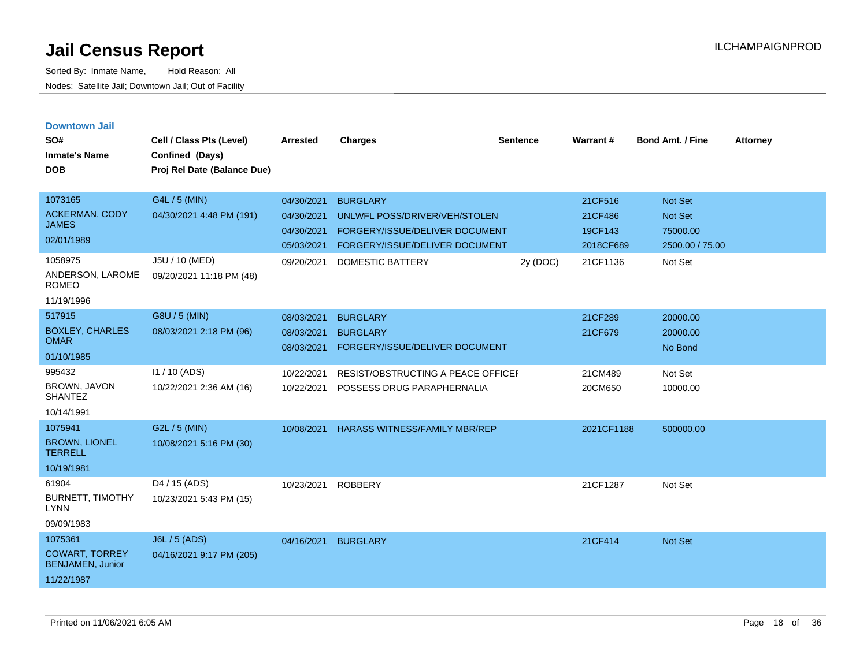| <b>Downtown Jail</b>                             |                             |                 |                                           |                 |                 |                         |                 |
|--------------------------------------------------|-----------------------------|-----------------|-------------------------------------------|-----------------|-----------------|-------------------------|-----------------|
| SO#                                              | Cell / Class Pts (Level)    | <b>Arrested</b> | <b>Charges</b>                            | <b>Sentence</b> | <b>Warrant#</b> | <b>Bond Amt. / Fine</b> | <b>Attorney</b> |
| <b>Inmate's Name</b>                             | Confined (Days)             |                 |                                           |                 |                 |                         |                 |
| <b>DOB</b>                                       | Proj Rel Date (Balance Due) |                 |                                           |                 |                 |                         |                 |
|                                                  |                             |                 |                                           |                 |                 |                         |                 |
| 1073165                                          | G4L / 5 (MIN)               | 04/30/2021      | <b>BURGLARY</b>                           |                 | 21CF516         | <b>Not Set</b>          |                 |
| <b>ACKERMAN, CODY</b><br><b>JAMES</b>            | 04/30/2021 4:48 PM (191)    | 04/30/2021      | UNLWFL POSS/DRIVER/VEH/STOLEN             |                 | 21CF486         | <b>Not Set</b>          |                 |
|                                                  |                             | 04/30/2021      | FORGERY/ISSUE/DELIVER DOCUMENT            |                 | 19CF143         | 75000.00                |                 |
| 02/01/1989                                       |                             | 05/03/2021      | FORGERY/ISSUE/DELIVER DOCUMENT            |                 | 2018CF689       | 2500.00 / 75.00         |                 |
| 1058975                                          | J5U / 10 (MED)              | 09/20/2021      | DOMESTIC BATTERY                          | 2y (DOC)        | 21CF1136        | Not Set                 |                 |
| ANDERSON, LAROME<br><b>ROMEO</b>                 | 09/20/2021 11:18 PM (48)    |                 |                                           |                 |                 |                         |                 |
| 11/19/1996                                       |                             |                 |                                           |                 |                 |                         |                 |
| 517915                                           | G8U / 5 (MIN)               | 08/03/2021      | <b>BURGLARY</b>                           |                 | 21CF289         | 20000.00                |                 |
| <b>BOXLEY, CHARLES</b>                           | 08/03/2021 2:18 PM (96)     | 08/03/2021      | <b>BURGLARY</b>                           |                 | 21CF679         | 20000.00                |                 |
| <b>OMAR</b>                                      |                             | 08/03/2021      | FORGERY/ISSUE/DELIVER DOCUMENT            |                 |                 | No Bond                 |                 |
| 01/10/1985                                       |                             |                 |                                           |                 |                 |                         |                 |
| 995432                                           | $11/10$ (ADS)               | 10/22/2021      | <b>RESIST/OBSTRUCTING A PEACE OFFICEF</b> |                 | 21CM489         | Not Set                 |                 |
| <b>BROWN, JAVON</b><br><b>SHANTEZ</b>            | 10/22/2021 2:36 AM (16)     | 10/22/2021      | POSSESS DRUG PARAPHERNALIA                |                 | 20CM650         | 10000.00                |                 |
| 10/14/1991                                       |                             |                 |                                           |                 |                 |                         |                 |
| 1075941                                          | G2L / 5 (MIN)               | 10/08/2021      | <b>HARASS WITNESS/FAMILY MBR/REP</b>      |                 | 2021CF1188      | 500000.00               |                 |
| <b>BROWN, LIONEL</b><br><b>TERRELL</b>           | 10/08/2021 5:16 PM (30)     |                 |                                           |                 |                 |                         |                 |
| 10/19/1981                                       |                             |                 |                                           |                 |                 |                         |                 |
| 61904                                            | D4 / 15 (ADS)               | 10/23/2021      | <b>ROBBERY</b>                            |                 | 21CF1287        | Not Set                 |                 |
| <b>BURNETT, TIMOTHY</b><br>LYNN                  | 10/23/2021 5:43 PM (15)     |                 |                                           |                 |                 |                         |                 |
| 09/09/1983                                       |                             |                 |                                           |                 |                 |                         |                 |
| 1075361                                          | J6L / 5 (ADS)               | 04/16/2021      | <b>BURGLARY</b>                           |                 | 21CF414         | <b>Not Set</b>          |                 |
| <b>COWART, TORREY</b><br><b>BENJAMEN, Junior</b> | 04/16/2021 9:17 PM (205)    |                 |                                           |                 |                 |                         |                 |
| 11/22/1987                                       |                             |                 |                                           |                 |                 |                         |                 |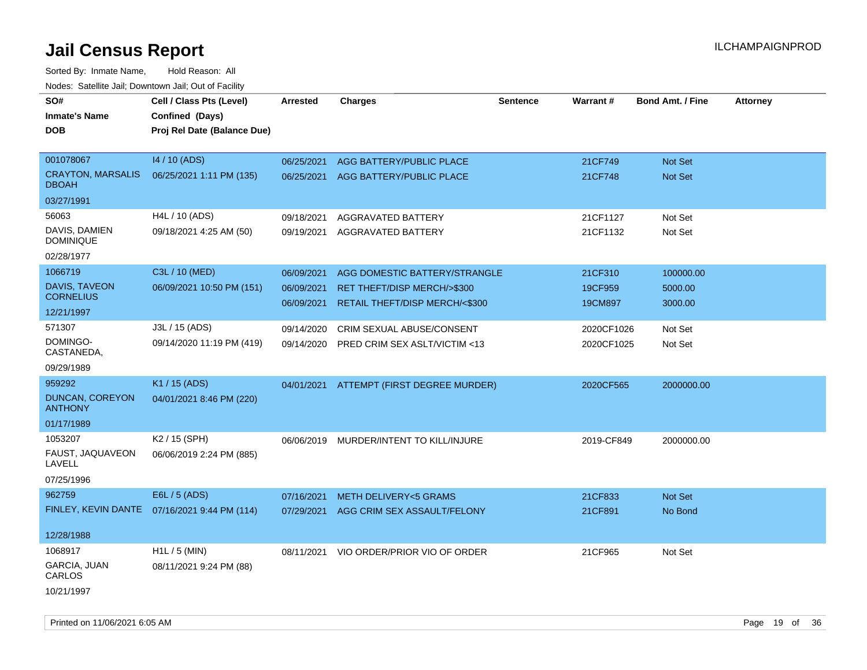| roaco. Catolino cali, Domntonn cali, Out of Facility<br>SO# |                                               |            |                                          |                 |            |                         |                 |
|-------------------------------------------------------------|-----------------------------------------------|------------|------------------------------------------|-----------------|------------|-------------------------|-----------------|
|                                                             | Cell / Class Pts (Level)                      | Arrested   | <b>Charges</b>                           | <b>Sentence</b> | Warrant#   | <b>Bond Amt. / Fine</b> | <b>Attorney</b> |
| <b>Inmate's Name</b>                                        | Confined (Days)                               |            |                                          |                 |            |                         |                 |
| <b>DOB</b>                                                  | Proj Rel Date (Balance Due)                   |            |                                          |                 |            |                         |                 |
| 001078067                                                   | 14 / 10 (ADS)                                 | 06/25/2021 | AGG BATTERY/PUBLIC PLACE                 |                 | 21CF749    | Not Set                 |                 |
| <b>CRAYTON, MARSALIS</b>                                    | 06/25/2021 1:11 PM (135)                      | 06/25/2021 | AGG BATTERY/PUBLIC PLACE                 |                 | 21CF748    | Not Set                 |                 |
| <b>DBOAH</b>                                                |                                               |            |                                          |                 |            |                         |                 |
| 03/27/1991                                                  |                                               |            |                                          |                 |            |                         |                 |
| 56063                                                       | H4L / 10 (ADS)                                | 09/18/2021 | <b>AGGRAVATED BATTERY</b>                |                 | 21CF1127   | Not Set                 |                 |
| DAVIS, DAMIEN<br><b>DOMINIQUE</b>                           | 09/18/2021 4:25 AM (50)                       | 09/19/2021 | AGGRAVATED BATTERY                       |                 | 21CF1132   | Not Set                 |                 |
| 02/28/1977                                                  |                                               |            |                                          |                 |            |                         |                 |
| 1066719                                                     | C3L / 10 (MED)                                | 06/09/2021 | AGG DOMESTIC BATTERY/STRANGLE            |                 | 21CF310    | 100000.00               |                 |
| DAVIS, TAVEON                                               | 06/09/2021 10:50 PM (151)                     | 06/09/2021 | <b>RET THEFT/DISP MERCH/&gt;\$300</b>    |                 | 19CF959    | 5000.00                 |                 |
| <b>CORNELIUS</b>                                            |                                               | 06/09/2021 | RETAIL THEFT/DISP MERCH/<\$300           |                 | 19CM897    | 3000.00                 |                 |
| 12/21/1997                                                  |                                               |            |                                          |                 |            |                         |                 |
| 571307                                                      | J3L / 15 (ADS)                                | 09/14/2020 | CRIM SEXUAL ABUSE/CONSENT                |                 | 2020CF1026 | Not Set                 |                 |
| DOMINGO-<br>CASTANEDA,                                      | 09/14/2020 11:19 PM (419)                     | 09/14/2020 | PRED CRIM SEX ASLT/VICTIM <13            |                 | 2020CF1025 | Not Set                 |                 |
| 09/29/1989                                                  |                                               |            |                                          |                 |            |                         |                 |
| 959292                                                      | K1 / 15 (ADS)                                 |            | 04/01/2021 ATTEMPT (FIRST DEGREE MURDER) |                 | 2020CF565  | 2000000.00              |                 |
| DUNCAN, COREYON<br><b>ANTHONY</b>                           | 04/01/2021 8:46 PM (220)                      |            |                                          |                 |            |                         |                 |
| 01/17/1989                                                  |                                               |            |                                          |                 |            |                         |                 |
| 1053207                                                     | K2 / 15 (SPH)                                 |            | 06/06/2019 MURDER/INTENT TO KILL/INJURE  |                 | 2019-CF849 | 2000000.00              |                 |
| FAUST, JAQUAVEON<br>LAVELL                                  | 06/06/2019 2:24 PM (885)                      |            |                                          |                 |            |                         |                 |
| 07/25/1996                                                  |                                               |            |                                          |                 |            |                         |                 |
| 962759                                                      | E6L / 5 (ADS)                                 | 07/16/2021 | <b>METH DELIVERY&lt;5 GRAMS</b>          |                 | 21CF833    | Not Set                 |                 |
|                                                             | FINLEY, KEVIN DANTE  07/16/2021 9:44 PM (114) | 07/29/2021 | AGG CRIM SEX ASSAULT/FELONY              |                 | 21CF891    | No Bond                 |                 |
| 12/28/1988                                                  |                                               |            |                                          |                 |            |                         |                 |
| 1068917                                                     | $H1L / 5$ (MIN)                               | 08/11/2021 | VIO ORDER/PRIOR VIO OF ORDER             |                 | 21CF965    | Not Set                 |                 |
| GARCIA, JUAN<br>CARLOS                                      | 08/11/2021 9:24 PM (88)                       |            |                                          |                 |            |                         |                 |
| 10/21/1997                                                  |                                               |            |                                          |                 |            |                         |                 |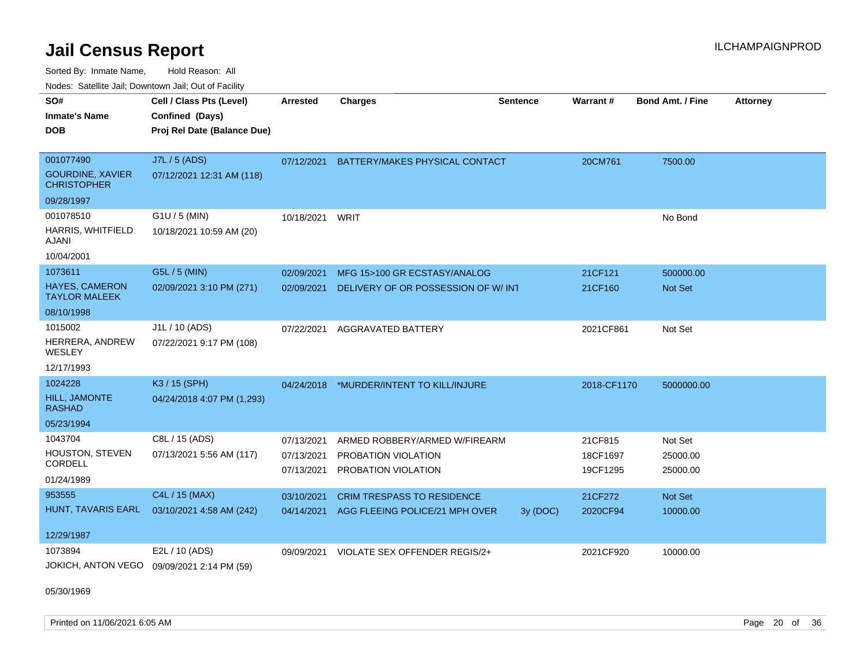Sorted By: Inmate Name, Hold Reason: All

Nodes: Satellite Jail; Downtown Jail; Out of Facility

| SO#<br><b>Inmate's Name</b><br><b>DOB</b><br>001077490<br><b>GOURDINE, XAVIER</b><br><b>CHRISTOPHER</b> | Cell / Class Pts (Level)<br>Confined (Days)<br>Proj Rel Date (Balance Due)<br>J7L / 5 (ADS)<br>07/12/2021 12:31 AM (118) | <b>Arrested</b><br>07/12/2021 | <b>Charges</b><br>BATTERY/MAKES PHYSICAL CONTACT                    | <b>Sentence</b> | Warrant#<br>20CM761  | Bond Amt. / Fine<br>7500.00 | <b>Attorney</b> |
|---------------------------------------------------------------------------------------------------------|--------------------------------------------------------------------------------------------------------------------------|-------------------------------|---------------------------------------------------------------------|-----------------|----------------------|-----------------------------|-----------------|
| 09/28/1997                                                                                              |                                                                                                                          |                               |                                                                     |                 |                      |                             |                 |
| 001078510<br>HARRIS, WHITFIELD<br>AJANI<br>10/04/2001                                                   | G1U / 5 (MIN)<br>10/18/2021 10:59 AM (20)                                                                                | 10/18/2021                    | WRIT                                                                |                 |                      | No Bond                     |                 |
| 1073611                                                                                                 | G5L / 5 (MIN)                                                                                                            | 02/09/2021                    | MFG 15>100 GR ECSTASY/ANALOG                                        |                 | 21CF121              | 500000.00                   |                 |
| <b>HAYES, CAMERON</b><br><b>TAYLOR MALEEK</b>                                                           | 02/09/2021 3:10 PM (271)                                                                                                 | 02/09/2021                    | DELIVERY OF OR POSSESSION OF W/ INT                                 |                 | 21CF160              | <b>Not Set</b>              |                 |
| 08/10/1998                                                                                              |                                                                                                                          |                               |                                                                     |                 |                      |                             |                 |
| 1015002<br>HERRERA, ANDREW<br>WESLEY<br>12/17/1993                                                      | J1L / 10 (ADS)<br>07/22/2021 9:17 PM (108)                                                                               | 07/22/2021                    | AGGRAVATED BATTERY                                                  |                 | 2021CF861            | Not Set                     |                 |
| 1024228                                                                                                 | K3 / 15 (SPH)                                                                                                            | 04/24/2018                    | *MURDER/INTENT TO KILL/INJURE                                       |                 | 2018-CF1170          | 5000000.00                  |                 |
| <b>HILL, JAMONTE</b><br><b>RASHAD</b>                                                                   | 04/24/2018 4:07 PM (1,293)                                                                                               |                               |                                                                     |                 |                      |                             |                 |
| 05/23/1994                                                                                              |                                                                                                                          |                               |                                                                     |                 |                      |                             |                 |
| 1043704                                                                                                 | C8L / 15 (ADS)                                                                                                           | 07/13/2021                    | ARMED ROBBERY/ARMED W/FIREARM                                       |                 | 21CF815              | Not Set                     |                 |
| <b>HOUSTON, STEVEN</b><br>CORDELL                                                                       | 07/13/2021 5:56 AM (117)                                                                                                 | 07/13/2021<br>07/13/2021      | PROBATION VIOLATION<br>PROBATION VIOLATION                          |                 | 18CF1697<br>19CF1295 | 25000.00<br>25000.00        |                 |
| 01/24/1989                                                                                              |                                                                                                                          |                               |                                                                     |                 |                      |                             |                 |
| 953555<br>HUNT, TAVARIS EARL<br>12/29/1987                                                              | C4L / 15 (MAX)<br>03/10/2021 4:58 AM (242)                                                                               | 03/10/2021<br>04/14/2021      | <b>CRIM TRESPASS TO RESIDENCE</b><br>AGG FLEEING POLICE/21 MPH OVER | 3y (DOC)        | 21CF272<br>2020CF94  | Not Set<br>10000.00         |                 |
| 1073894                                                                                                 | E2L / 10 (ADS)                                                                                                           | 09/09/2021                    | VIOLATE SEX OFFENDER REGIS/2+                                       |                 | 2021CF920            | 10000.00                    |                 |
| JOKICH, ANTON VEGO                                                                                      | 09/09/2021 2:14 PM (59)                                                                                                  |                               |                                                                     |                 |                      |                             |                 |

05/30/1969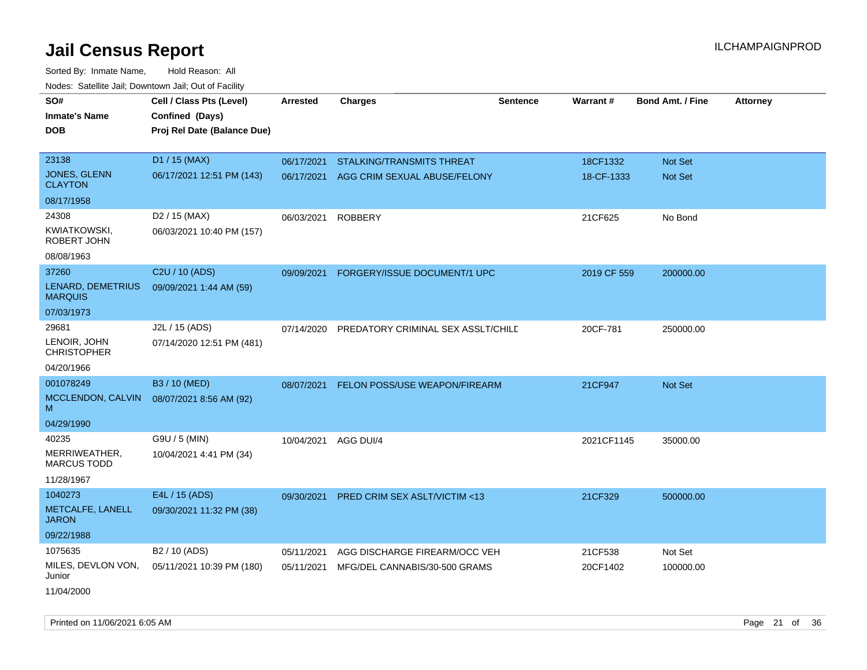| soupois catomic can, Dominomii can, Cat or Faomt<br>SO# | Cell / Class Pts (Level)    | <b>Arrested</b> | <b>Charges</b>                          | <b>Sentence</b> | Warrant#    | <b>Bond Amt. / Fine</b> | <b>Attorney</b> |
|---------------------------------------------------------|-----------------------------|-----------------|-----------------------------------------|-----------------|-------------|-------------------------|-----------------|
| <b>Inmate's Name</b>                                    | Confined (Days)             |                 |                                         |                 |             |                         |                 |
| <b>DOB</b>                                              | Proj Rel Date (Balance Due) |                 |                                         |                 |             |                         |                 |
|                                                         |                             |                 |                                         |                 |             |                         |                 |
| 23138                                                   | D1 / 15 (MAX)               | 06/17/2021      | <b>STALKING/TRANSMITS THREAT</b>        |                 | 18CF1332    | Not Set                 |                 |
| JONES, GLENN                                            | 06/17/2021 12:51 PM (143)   |                 |                                         |                 |             |                         |                 |
| <b>CLAYTON</b>                                          |                             |                 | 06/17/2021 AGG CRIM SEXUAL ABUSE/FELONY |                 | 18-CF-1333  | Not Set                 |                 |
| 08/17/1958                                              |                             |                 |                                         |                 |             |                         |                 |
| 24308                                                   | D <sub>2</sub> / 15 (MAX)   | 06/03/2021      | <b>ROBBERY</b>                          |                 | 21CF625     | No Bond                 |                 |
| KWIATKOWSKI,<br>ROBERT JOHN                             | 06/03/2021 10:40 PM (157)   |                 |                                         |                 |             |                         |                 |
| 08/08/1963                                              |                             |                 |                                         |                 |             |                         |                 |
| 37260                                                   | C <sub>2</sub> U / 10 (ADS) | 09/09/2021      | FORGERY/ISSUE DOCUMENT/1 UPC            |                 | 2019 CF 559 | 200000.00               |                 |
| LENARD, DEMETRIUS<br><b>MARQUIS</b>                     | 09/09/2021 1:44 AM (59)     |                 |                                         |                 |             |                         |                 |
| 07/03/1973                                              |                             |                 |                                         |                 |             |                         |                 |
| 29681                                                   | J2L / 15 (ADS)              | 07/14/2020      | PREDATORY CRIMINAL SEX ASSLT/CHILE      |                 | 20CF-781    | 250000.00               |                 |
| LENOIR, JOHN<br><b>CHRISTOPHER</b>                      | 07/14/2020 12:51 PM (481)   |                 |                                         |                 |             |                         |                 |
| 04/20/1966                                              |                             |                 |                                         |                 |             |                         |                 |
| 001078249                                               | B3 / 10 (MED)               | 08/07/2021      | FELON POSS/USE WEAPON/FIREARM           |                 | 21CF947     | Not Set                 |                 |
| MCCLENDON, CALVIN<br>M                                  | 08/07/2021 8:56 AM (92)     |                 |                                         |                 |             |                         |                 |
| 04/29/1990                                              |                             |                 |                                         |                 |             |                         |                 |
| 40235                                                   | G9U / 5 (MIN)               | 10/04/2021      | AGG DUI/4                               |                 | 2021CF1145  | 35000.00                |                 |
| MERRIWEATHER,<br><b>MARCUS TODD</b>                     | 10/04/2021 4:41 PM (34)     |                 |                                         |                 |             |                         |                 |
| 11/28/1967                                              |                             |                 |                                         |                 |             |                         |                 |
| 1040273                                                 | E4L / 15 (ADS)              | 09/30/2021      | PRED CRIM SEX ASLT/VICTIM <13           |                 | 21CF329     | 500000.00               |                 |
| METCALFE, LANELL<br><b>JARON</b>                        | 09/30/2021 11:32 PM (38)    |                 |                                         |                 |             |                         |                 |
| 09/22/1988                                              |                             |                 |                                         |                 |             |                         |                 |
| 1075635                                                 | B <sub>2</sub> / 10 (ADS)   | 05/11/2021      | AGG DISCHARGE FIREARM/OCC VEH           |                 | 21CF538     | Not Set                 |                 |
| MILES, DEVLON VON,<br>Junior                            | 05/11/2021 10:39 PM (180)   | 05/11/2021      | MFG/DEL CANNABIS/30-500 GRAMS           |                 | 20CF1402    | 100000.00               |                 |
| 11/04/2000                                              |                             |                 |                                         |                 |             |                         |                 |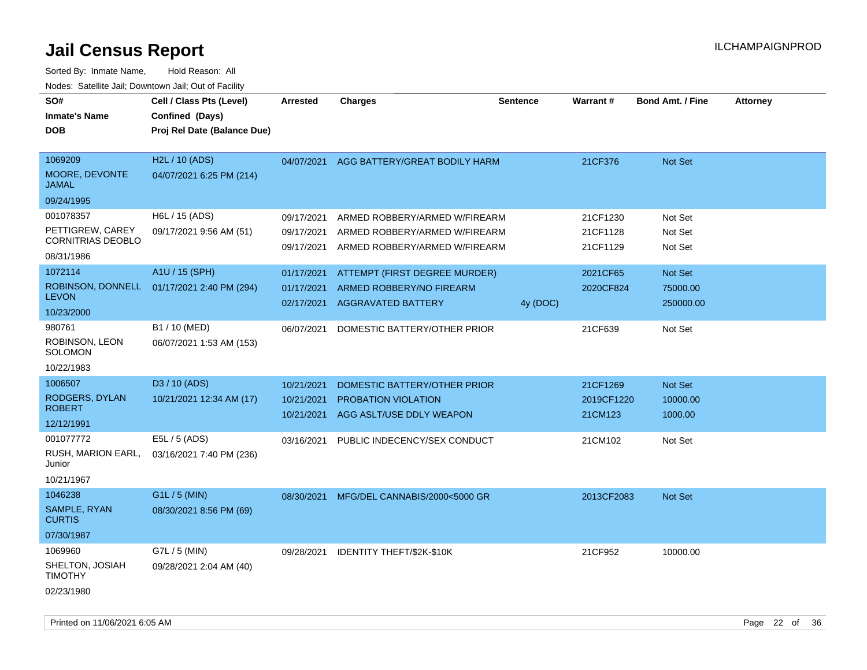| SO#<br><b>Inmate's Name</b><br><b>DOB</b>                        | Cell / Class Pts (Level)<br>Confined (Days)<br>Proj Rel Date (Balance Due) | <b>Arrested</b>                        | <b>Charges</b>                                                                                  | <b>Sentence</b> | <b>Warrant#</b>                   | <b>Bond Amt. / Fine</b>          | <b>Attorney</b> |
|------------------------------------------------------------------|----------------------------------------------------------------------------|----------------------------------------|-------------------------------------------------------------------------------------------------|-----------------|-----------------------------------|----------------------------------|-----------------|
| 1069209<br>MOORE, DEVONTE<br><b>JAMAL</b><br>09/24/1995          | H2L / 10 (ADS)<br>04/07/2021 6:25 PM (214)                                 | 04/07/2021                             | AGG BATTERY/GREAT BODILY HARM                                                                   |                 | 21CF376                           | <b>Not Set</b>                   |                 |
| 001078357<br>PETTIGREW, CAREY<br>CORNITRIAS DEOBLO<br>08/31/1986 | H6L / 15 (ADS)<br>09/17/2021 9:56 AM (51)                                  | 09/17/2021<br>09/17/2021<br>09/17/2021 | ARMED ROBBERY/ARMED W/FIREARM<br>ARMED ROBBERY/ARMED W/FIREARM<br>ARMED ROBBERY/ARMED W/FIREARM |                 | 21CF1230<br>21CF1128<br>21CF1129  | Not Set<br>Not Set<br>Not Set    |                 |
| 1072114<br>ROBINSON, DONNELL<br><b>LEVON</b><br>10/23/2000       | A1U / 15 (SPH)<br>01/17/2021 2:40 PM (294)                                 | 01/17/2021<br>01/17/2021               | ATTEMPT (FIRST DEGREE MURDER)<br>ARMED ROBBERY/NO FIREARM<br>02/17/2021 AGGRAVATED BATTERY      | 4y (DOC)        | 2021CF65<br>2020CF824             | Not Set<br>75000.00<br>250000.00 |                 |
| 980761<br>ROBINSON, LEON<br><b>SOLOMON</b><br>10/22/1983         | B1 / 10 (MED)<br>06/07/2021 1:53 AM (153)                                  | 06/07/2021                             | DOMESTIC BATTERY/OTHER PRIOR                                                                    |                 | 21CF639                           | Not Set                          |                 |
| 1006507<br>RODGERS, DYLAN<br><b>ROBERT</b><br>12/12/1991         | D3 / 10 (ADS)<br>10/21/2021 12:34 AM (17)                                  | 10/21/2021<br>10/21/2021<br>10/21/2021 | DOMESTIC BATTERY/OTHER PRIOR<br>PROBATION VIOLATION<br>AGG ASLT/USE DDLY WEAPON                 |                 | 21CF1269<br>2019CF1220<br>21CM123 | Not Set<br>10000.00<br>1000.00   |                 |
| 001077772<br>RUSH, MARION EARL,<br>Junior<br>10/21/1967          | E5L / 5 (ADS)<br>03/16/2021 7:40 PM (236)                                  | 03/16/2021                             | PUBLIC INDECENCY/SEX CONDUCT                                                                    |                 | 21CM102                           | Not Set                          |                 |
| 1046238<br>SAMPLE, RYAN<br><b>CURTIS</b><br>07/30/1987           | G1L / 5 (MIN)<br>08/30/2021 8:56 PM (69)                                   | 08/30/2021                             | MFG/DEL CANNABIS/2000<5000 GR                                                                   |                 | 2013CF2083                        | Not Set                          |                 |
| 1069960<br>SHELTON, JOSIAH<br><b>TIMOTHY</b><br>02/23/1980       | G7L / 5 (MIN)<br>09/28/2021 2:04 AM (40)                                   | 09/28/2021                             | IDENTITY THEFT/\$2K-\$10K                                                                       |                 | 21CF952                           | 10000.00                         |                 |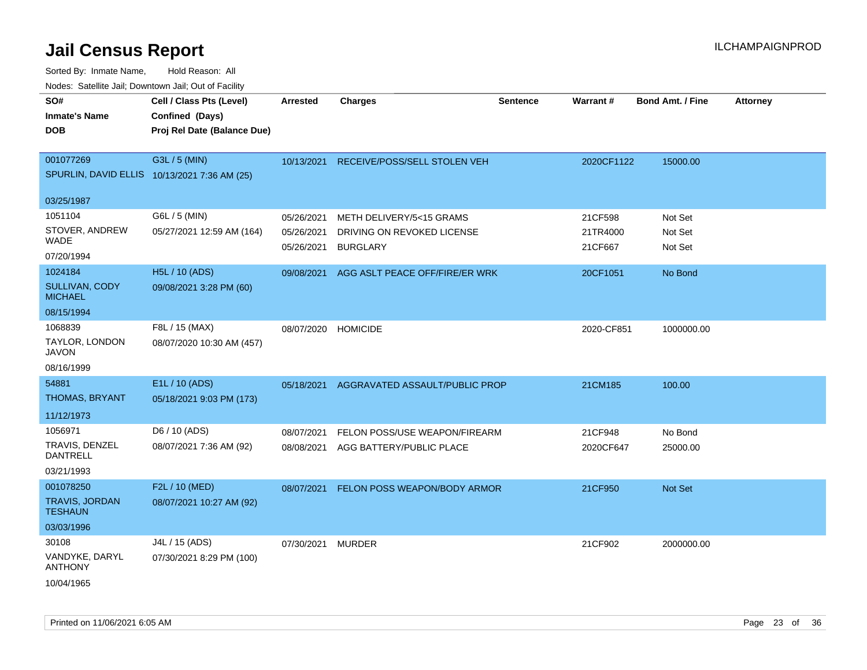| <u>Rodos.</u> Odiolino dali, Downtown dali, Odi of Fabilit         |                                                                            |                                        |                                                                           |                 |                                |                               |                 |
|--------------------------------------------------------------------|----------------------------------------------------------------------------|----------------------------------------|---------------------------------------------------------------------------|-----------------|--------------------------------|-------------------------------|-----------------|
| SO#<br><b>Inmate's Name</b><br><b>DOB</b>                          | Cell / Class Pts (Level)<br>Confined (Days)<br>Proj Rel Date (Balance Due) | <b>Arrested</b>                        | <b>Charges</b>                                                            | <b>Sentence</b> | Warrant#                       | <b>Bond Amt. / Fine</b>       | <b>Attorney</b> |
| 001077269<br>SPURLIN, DAVID ELLIS 10/13/2021 7:36 AM (25)          | G3L / 5 (MIN)                                                              | 10/13/2021                             | RECEIVE/POSS/SELL STOLEN VEH                                              |                 | 2020CF1122                     | 15000.00                      |                 |
| 03/25/1987                                                         |                                                                            |                                        |                                                                           |                 |                                |                               |                 |
| 1051104<br>STOVER, ANDREW<br>WADE<br>07/20/1994                    | G6L / 5 (MIN)<br>05/27/2021 12:59 AM (164)                                 | 05/26/2021<br>05/26/2021<br>05/26/2021 | METH DELIVERY/5<15 GRAMS<br>DRIVING ON REVOKED LICENSE<br><b>BURGLARY</b> |                 | 21CF598<br>21TR4000<br>21CF667 | Not Set<br>Not Set<br>Not Set |                 |
| 1024184<br><b>SULLIVAN, CODY</b><br><b>MICHAEL</b><br>08/15/1994   | <b>H5L / 10 (ADS)</b><br>09/08/2021 3:28 PM (60)                           | 09/08/2021                             | AGG ASLT PEACE OFF/FIRE/ER WRK                                            |                 | 20CF1051                       | No Bond                       |                 |
| 1068839<br>TAYLOR, LONDON<br><b>JAVON</b><br>08/16/1999            | F8L / 15 (MAX)<br>08/07/2020 10:30 AM (457)                                | 08/07/2020                             | <b>HOMICIDE</b>                                                           |                 | 2020-CF851                     | 1000000.00                    |                 |
| 54881<br>THOMAS, BRYANT<br>11/12/1973                              | E1L / 10 (ADS)<br>05/18/2021 9:03 PM (173)                                 | 05/18/2021                             | AGGRAVATED ASSAULT/PUBLIC PROP                                            |                 | 21CM185                        | 100.00                        |                 |
| 1056971<br>TRAVIS, DENZEL<br>DANTRELL<br>03/21/1993                | D6 / 10 (ADS)<br>08/07/2021 7:36 AM (92)                                   | 08/07/2021                             | FELON POSS/USE WEAPON/FIREARM<br>08/08/2021 AGG BATTERY/PUBLIC PLACE      |                 | 21CF948<br>2020CF647           | No Bond<br>25000.00           |                 |
| 001078250<br><b>TRAVIS, JORDAN</b><br><b>TESHAUN</b><br>03/03/1996 | F2L / 10 (MED)<br>08/07/2021 10:27 AM (92)                                 | 08/07/2021                             | FELON POSS WEAPON/BODY ARMOR                                              |                 | 21CF950                        | <b>Not Set</b>                |                 |
| 30108<br>VANDYKE, DARYL<br><b>ANTHONY</b><br>10/04/1965            | J4L / 15 (ADS)<br>07/30/2021 8:29 PM (100)                                 | 07/30/2021 MURDER                      |                                                                           |                 | 21CF902                        | 2000000.00                    |                 |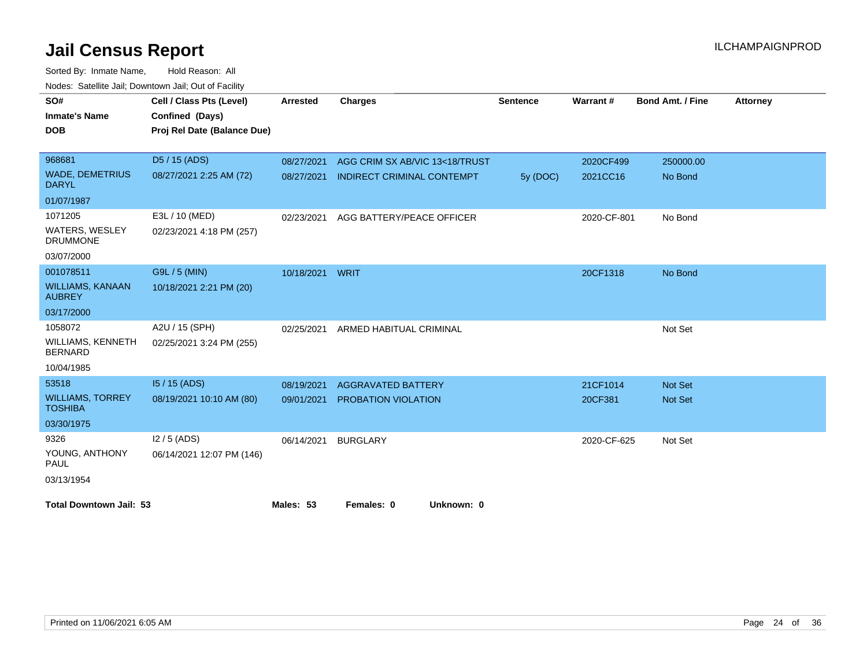| SO#                                        | Cell / Class Pts (Level)    | <b>Arrested</b> | <b>Charges</b>                    | <b>Sentence</b> | <b>Warrant#</b> | <b>Bond Amt. / Fine</b> | <b>Attorney</b> |
|--------------------------------------------|-----------------------------|-----------------|-----------------------------------|-----------------|-----------------|-------------------------|-----------------|
| <b>Inmate's Name</b>                       | Confined (Days)             |                 |                                   |                 |                 |                         |                 |
| <b>DOB</b>                                 | Proj Rel Date (Balance Due) |                 |                                   |                 |                 |                         |                 |
|                                            |                             |                 |                                   |                 |                 |                         |                 |
| 968681                                     | D <sub>5</sub> / 15 (ADS)   | 08/27/2021      | AGG CRIM SX AB/VIC 13<18/TRUST    |                 | 2020CF499       | 250000.00               |                 |
| <b>WADE, DEMETRIUS</b><br><b>DARYL</b>     | 08/27/2021 2:25 AM (72)     | 08/27/2021      | <b>INDIRECT CRIMINAL CONTEMPT</b> | 5y (DOC)        | 2021CC16        | No Bond                 |                 |
| 01/07/1987                                 |                             |                 |                                   |                 |                 |                         |                 |
| 1071205                                    | E3L / 10 (MED)              | 02/23/2021      | AGG BATTERY/PEACE OFFICER         |                 | 2020-CF-801     | No Bond                 |                 |
| <b>WATERS, WESLEY</b><br><b>DRUMMONE</b>   | 02/23/2021 4:18 PM (257)    |                 |                                   |                 |                 |                         |                 |
| 03/07/2000                                 |                             |                 |                                   |                 |                 |                         |                 |
| 001078511                                  | G9L / 5 (MIN)               | 10/18/2021      | <b>WRIT</b>                       |                 | 20CF1318        | No Bond                 |                 |
| <b>WILLIAMS, KANAAN</b><br><b>AUBREY</b>   | 10/18/2021 2:21 PM (20)     |                 |                                   |                 |                 |                         |                 |
| 03/17/2000                                 |                             |                 |                                   |                 |                 |                         |                 |
| 1058072                                    | A2U / 15 (SPH)              | 02/25/2021      | ARMED HABITUAL CRIMINAL           |                 |                 | Not Set                 |                 |
| <b>WILLIAMS, KENNETH</b><br><b>BERNARD</b> | 02/25/2021 3:24 PM (255)    |                 |                                   |                 |                 |                         |                 |
| 10/04/1985                                 |                             |                 |                                   |                 |                 |                         |                 |
| 53518                                      | 15 / 15 (ADS)               | 08/19/2021      | <b>AGGRAVATED BATTERY</b>         |                 | 21CF1014        | Not Set                 |                 |
| <b>WILLIAMS, TORREY</b><br><b>TOSHIBA</b>  | 08/19/2021 10:10 AM (80)    | 09/01/2021      | PROBATION VIOLATION               |                 | 20CF381         | Not Set                 |                 |
| 03/30/1975                                 |                             |                 |                                   |                 |                 |                         |                 |
| 9326                                       | $12/5$ (ADS)                | 06/14/2021      | <b>BURGLARY</b>                   |                 | 2020-CF-625     | Not Set                 |                 |
| YOUNG, ANTHONY<br><b>PAUL</b>              | 06/14/2021 12:07 PM (146)   |                 |                                   |                 |                 |                         |                 |
| 03/13/1954                                 |                             |                 |                                   |                 |                 |                         |                 |
| <b>Total Downtown Jail: 53</b>             |                             | Males: 53       | Females: 0<br>Unknown: 0          |                 |                 |                         |                 |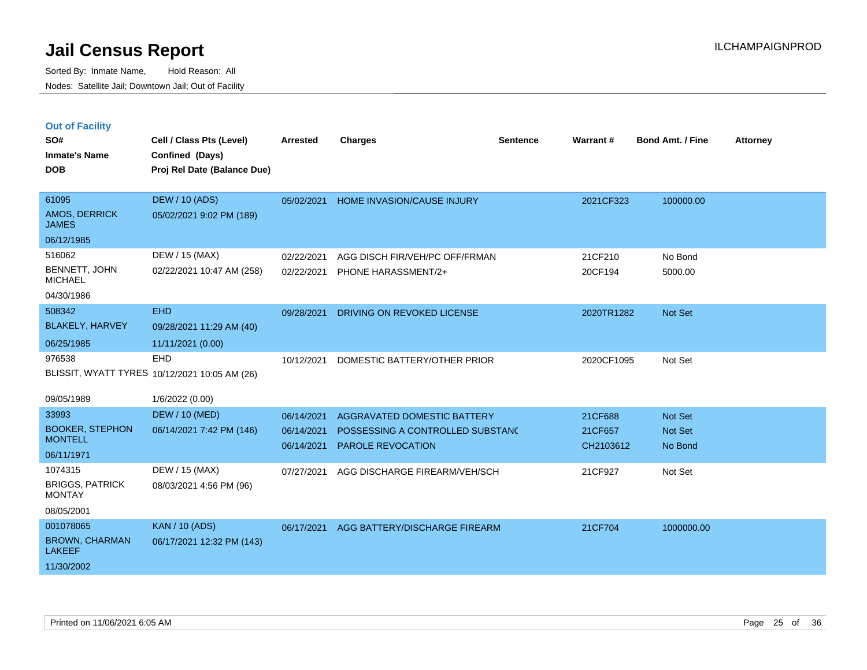|  | <b>Out of Facility</b> |  |
|--|------------------------|--|

| SO#<br><b>Inmate's Name</b><br><b>DOB</b>                                     | Cell / Class Pts (Level)<br>Confined (Days)<br>Proj Rel Date (Balance Due) | <b>Arrested</b>                        | <b>Charges</b>                                                                              | <b>Sentence</b> | Warrant#                        | <b>Bond Amt. / Fine</b>              | <b>Attorney</b> |
|-------------------------------------------------------------------------------|----------------------------------------------------------------------------|----------------------------------------|---------------------------------------------------------------------------------------------|-----------------|---------------------------------|--------------------------------------|-----------------|
| 61095<br>AMOS, DERRICK<br><b>JAMES</b>                                        | <b>DEW / 10 (ADS)</b><br>05/02/2021 9:02 PM (189)                          |                                        | 05/02/2021 HOME INVASION/CAUSE INJURY                                                       |                 | 2021CF323                       | 100000.00                            |                 |
| 06/12/1985<br>516062<br><b>BENNETT, JOHN</b><br><b>MICHAEL</b><br>04/30/1986  | DEW / 15 (MAX)<br>02/22/2021 10:47 AM (258)                                | 02/22/2021<br>02/22/2021               | AGG DISCH FIR/VEH/PC OFF/FRMAN<br>PHONE HARASSMENT/2+                                       |                 | 21CF210<br>20CF194              | No Bond<br>5000.00                   |                 |
| 508342<br><b>BLAKELY, HARVEY</b><br>06/25/1985                                | <b>EHD</b><br>09/28/2021 11:29 AM (40)<br>11/11/2021 (0.00)                | 09/28/2021                             | DRIVING ON REVOKED LICENSE                                                                  |                 | 2020TR1282                      | <b>Not Set</b>                       |                 |
| 976538                                                                        | <b>EHD</b><br>BLISSIT, WYATT TYRES 10/12/2021 10:05 AM (26)                | 10/12/2021                             | DOMESTIC BATTERY/OTHER PRIOR                                                                |                 | 2020CF1095                      | Not Set                              |                 |
| 09/05/1989<br>33993<br><b>BOOKER, STEPHON</b><br><b>MONTELL</b><br>06/11/1971 | 1/6/2022 (0.00)<br><b>DEW / 10 (MED)</b><br>06/14/2021 7:42 PM (146)       | 06/14/2021<br>06/14/2021<br>06/14/2021 | AGGRAVATED DOMESTIC BATTERY<br>POSSESSING A CONTROLLED SUBSTANC<br><b>PAROLE REVOCATION</b> |                 | 21CF688<br>21CF657<br>CH2103612 | Not Set<br><b>Not Set</b><br>No Bond |                 |
| 1074315<br><b>BRIGGS, PATRICK</b><br><b>MONTAY</b><br>08/05/2001              | DEW / 15 (MAX)<br>08/03/2021 4:56 PM (96)                                  | 07/27/2021                             | AGG DISCHARGE FIREARM/VEH/SCH                                                               |                 | 21CF927                         | Not Set                              |                 |
| 001078065<br><b>BROWN, CHARMAN</b><br><b>LAKEEF</b><br>11/30/2002             | <b>KAN / 10 (ADS)</b><br>06/17/2021 12:32 PM (143)                         | 06/17/2021                             | AGG BATTERY/DISCHARGE FIREARM                                                               |                 | 21CF704                         | 1000000.00                           |                 |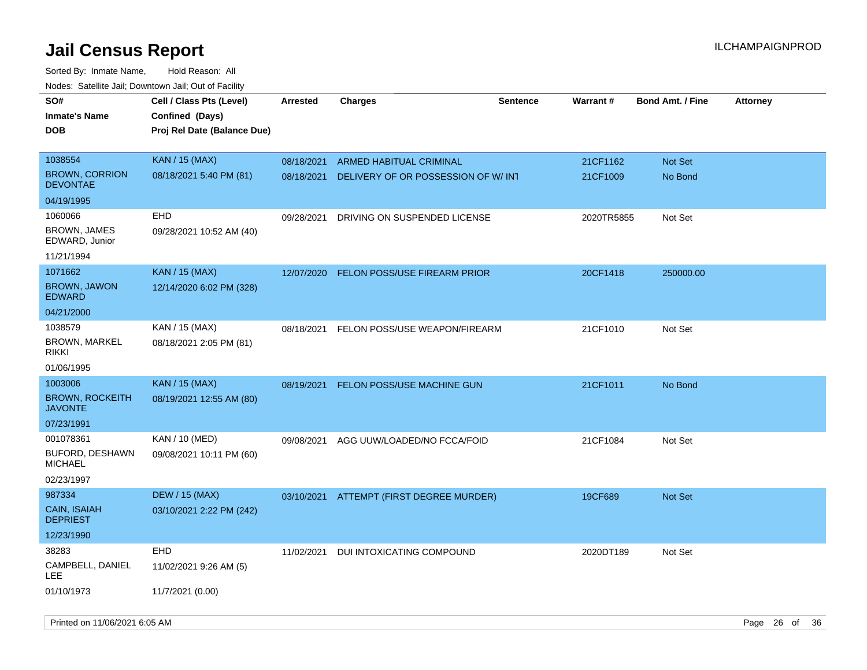| roaco. Catolino dall, Downtown dall, Out of Fability |                                                                            |                 |                                          |                 |                 |                         |                 |
|------------------------------------------------------|----------------------------------------------------------------------------|-----------------|------------------------------------------|-----------------|-----------------|-------------------------|-----------------|
| SO#<br><b>Inmate's Name</b><br><b>DOB</b>            | Cell / Class Pts (Level)<br>Confined (Days)<br>Proj Rel Date (Balance Due) | <b>Arrested</b> | Charges                                  | <b>Sentence</b> | <b>Warrant#</b> | <b>Bond Amt. / Fine</b> | <b>Attorney</b> |
| 1038554                                              | <b>KAN / 15 (MAX)</b>                                                      | 08/18/2021      | ARMED HABITUAL CRIMINAL                  |                 | 21CF1162        | <b>Not Set</b>          |                 |
| <b>BROWN, CORRION</b><br><b>DEVONTAE</b>             | 08/18/2021 5:40 PM (81)                                                    | 08/18/2021      | DELIVERY OF OR POSSESSION OF W/INT       |                 | 21CF1009        | No Bond                 |                 |
| 04/19/1995                                           |                                                                            |                 |                                          |                 |                 |                         |                 |
| 1060066                                              | <b>EHD</b>                                                                 | 09/28/2021      | DRIVING ON SUSPENDED LICENSE             |                 | 2020TR5855      | Not Set                 |                 |
| <b>BROWN, JAMES</b><br>EDWARD, Junior                | 09/28/2021 10:52 AM (40)                                                   |                 |                                          |                 |                 |                         |                 |
| 11/21/1994                                           |                                                                            |                 |                                          |                 |                 |                         |                 |
| 1071662                                              | <b>KAN / 15 (MAX)</b>                                                      | 12/07/2020      | <b>FELON POSS/USE FIREARM PRIOR</b>      |                 | 20CF1418        | 250000.00               |                 |
| <b>BROWN, JAWON</b><br><b>EDWARD</b>                 | 12/14/2020 6:02 PM (328)                                                   |                 |                                          |                 |                 |                         |                 |
| 04/21/2000                                           |                                                                            |                 |                                          |                 |                 |                         |                 |
| 1038579                                              | KAN / 15 (MAX)                                                             | 08/18/2021      | FELON POSS/USE WEAPON/FIREARM            |                 | 21CF1010        | Not Set                 |                 |
| <b>BROWN, MARKEL</b><br><b>RIKKI</b>                 | 08/18/2021 2:05 PM (81)                                                    |                 |                                          |                 |                 |                         |                 |
| 01/06/1995                                           |                                                                            |                 |                                          |                 |                 |                         |                 |
| 1003006                                              | <b>KAN / 15 (MAX)</b>                                                      | 08/19/2021      | <b>FELON POSS/USE MACHINE GUN</b>        |                 | 21CF1011        | No Bond                 |                 |
| <b>BROWN, ROCKEITH</b><br><b>JAVONTE</b>             | 08/19/2021 12:55 AM (80)                                                   |                 |                                          |                 |                 |                         |                 |
| 07/23/1991                                           |                                                                            |                 |                                          |                 |                 |                         |                 |
| 001078361                                            | KAN / 10 (MED)                                                             | 09/08/2021      | AGG UUW/LOADED/NO FCCA/FOID              |                 | 21CF1084        | Not Set                 |                 |
| <b>BUFORD, DESHAWN</b><br><b>MICHAEL</b>             | 09/08/2021 10:11 PM (60)                                                   |                 |                                          |                 |                 |                         |                 |
| 02/23/1997                                           |                                                                            |                 |                                          |                 |                 |                         |                 |
| 987334                                               | <b>DEW / 15 (MAX)</b>                                                      |                 | 03/10/2021 ATTEMPT (FIRST DEGREE MURDER) |                 | 19CF689         | Not Set                 |                 |
| CAIN, ISAIAH<br><b>DEPRIEST</b>                      | 03/10/2021 2:22 PM (242)                                                   |                 |                                          |                 |                 |                         |                 |
| 12/23/1990                                           |                                                                            |                 |                                          |                 |                 |                         |                 |
| 38283                                                | <b>EHD</b>                                                                 | 11/02/2021      | DUI INTOXICATING COMPOUND                |                 | 2020DT189       | Not Set                 |                 |
| CAMPBELL, DANIEL<br>LEE.                             | 11/02/2021 9:26 AM (5)                                                     |                 |                                          |                 |                 |                         |                 |
| 01/10/1973                                           | 11/7/2021 (0.00)                                                           |                 |                                          |                 |                 |                         |                 |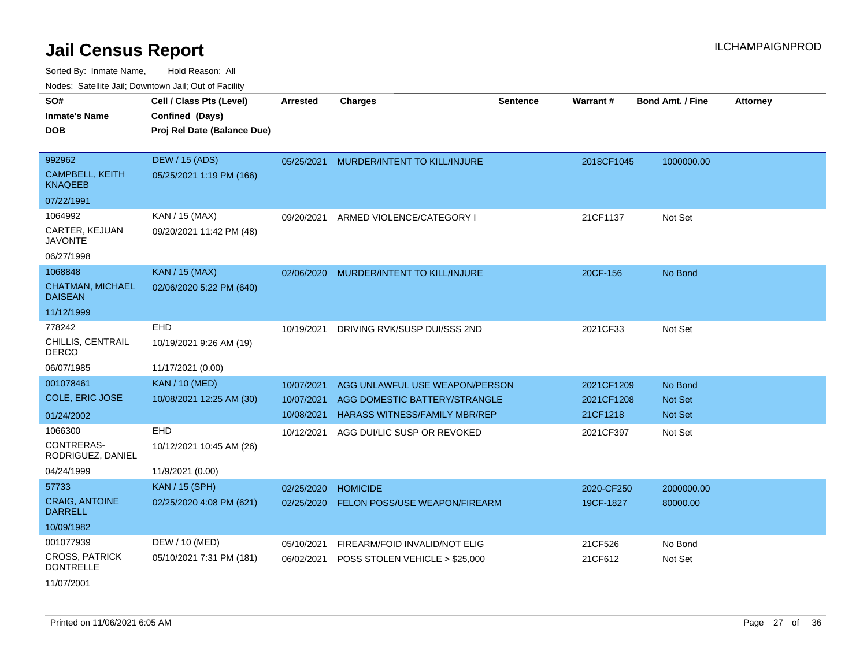Sorted By: Inmate Name, Hold Reason: All Nodes: Satellite Jail; Downtown Jail; Out of Facility

| Noucs. Calcillic Jail, Downtown Jail, Out of Facility |                             |                 |                                      |                 |                 |                         |                 |
|-------------------------------------------------------|-----------------------------|-----------------|--------------------------------------|-----------------|-----------------|-------------------------|-----------------|
| SO#                                                   | Cell / Class Pts (Level)    | <b>Arrested</b> | <b>Charges</b>                       | <b>Sentence</b> | <b>Warrant#</b> | <b>Bond Amt. / Fine</b> | <b>Attorney</b> |
| <b>Inmate's Name</b>                                  | Confined (Days)             |                 |                                      |                 |                 |                         |                 |
| <b>DOB</b>                                            | Proj Rel Date (Balance Due) |                 |                                      |                 |                 |                         |                 |
|                                                       |                             |                 |                                      |                 |                 |                         |                 |
| 992962                                                | DEW / 15 (ADS)              | 05/25/2021      | MURDER/INTENT TO KILL/INJURE         |                 | 2018CF1045      | 1000000.00              |                 |
| <b>CAMPBELL, KEITH</b><br><b>KNAQEEB</b>              | 05/25/2021 1:19 PM (166)    |                 |                                      |                 |                 |                         |                 |
| 07/22/1991                                            |                             |                 |                                      |                 |                 |                         |                 |
| 1064992                                               | KAN / 15 (MAX)              | 09/20/2021      | ARMED VIOLENCE/CATEGORY I            |                 | 21CF1137        | Not Set                 |                 |
| CARTER, KEJUAN<br><b>JAVONTE</b>                      | 09/20/2021 11:42 PM (48)    |                 |                                      |                 |                 |                         |                 |
| 06/27/1998                                            |                             |                 |                                      |                 |                 |                         |                 |
| 1068848                                               | <b>KAN / 15 (MAX)</b>       | 02/06/2020      | MURDER/INTENT TO KILL/INJURE         |                 | 20CF-156        | No Bond                 |                 |
| <b>CHATMAN, MICHAEL</b><br><b>DAISEAN</b>             | 02/06/2020 5:22 PM (640)    |                 |                                      |                 |                 |                         |                 |
| 11/12/1999                                            |                             |                 |                                      |                 |                 |                         |                 |
| 778242                                                | EHD                         | 10/19/2021      | DRIVING RVK/SUSP DUI/SSS 2ND         |                 | 2021CF33        | Not Set                 |                 |
| CHILLIS, CENTRAIL<br><b>DERCO</b>                     | 10/19/2021 9:26 AM (19)     |                 |                                      |                 |                 |                         |                 |
| 06/07/1985                                            | 11/17/2021 (0.00)           |                 |                                      |                 |                 |                         |                 |
| 001078461                                             | <b>KAN / 10 (MED)</b>       | 10/07/2021      | AGG UNLAWFUL USE WEAPON/PERSON       |                 | 2021CF1209      | No Bond                 |                 |
| <b>COLE, ERIC JOSE</b>                                | 10/08/2021 12:25 AM (30)    | 10/07/2021      | AGG DOMESTIC BATTERY/STRANGLE        |                 | 2021CF1208      | Not Set                 |                 |
| 01/24/2002                                            |                             | 10/08/2021      | <b>HARASS WITNESS/FAMILY MBR/REP</b> |                 | 21CF1218        | <b>Not Set</b>          |                 |
| 1066300                                               | <b>EHD</b>                  | 10/12/2021      | AGG DUI/LIC SUSP OR REVOKED          |                 | 2021CF397       | Not Set                 |                 |
| CONTRERAS-<br>RODRIGUEZ, DANIEL                       | 10/12/2021 10:45 AM (26)    |                 |                                      |                 |                 |                         |                 |
| 04/24/1999                                            | 11/9/2021 (0.00)            |                 |                                      |                 |                 |                         |                 |
| 57733                                                 | <b>KAN / 15 (SPH)</b>       | 02/25/2020      | <b>HOMICIDE</b>                      |                 | 2020-CF250      | 2000000.00              |                 |
| <b>CRAIG, ANTOINE</b><br><b>DARRELL</b>               | 02/25/2020 4:08 PM (621)    | 02/25/2020      | FELON POSS/USE WEAPON/FIREARM        |                 | 19CF-1827       | 80000.00                |                 |
| 10/09/1982                                            |                             |                 |                                      |                 |                 |                         |                 |
| 001077939                                             | DEW / 10 (MED)              | 05/10/2021      | FIREARM/FOID INVALID/NOT ELIG        |                 | 21CF526         | No Bond                 |                 |
| <b>CROSS, PATRICK</b><br><b>DONTRELLE</b>             | 05/10/2021 7:31 PM (181)    | 06/02/2021      | POSS STOLEN VEHICLE > \$25,000       |                 | 21CF612         | Not Set                 |                 |
| 11/07/2001                                            |                             |                 |                                      |                 |                 |                         |                 |

Printed on 11/06/2021 6:05 AM **Page 27** of 36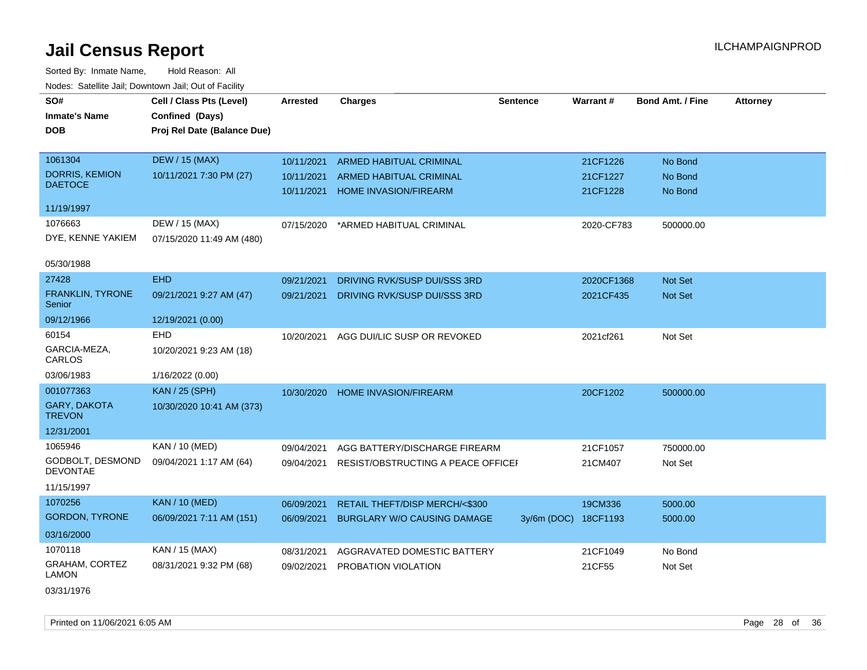| SO#                                  | Cell / Class Pts (Level)    | <b>Arrested</b> | <b>Charges</b>                     | <b>Sentence</b> | <b>Warrant#</b> | <b>Bond Amt. / Fine</b> | <b>Attorney</b> |
|--------------------------------------|-----------------------------|-----------------|------------------------------------|-----------------|-----------------|-------------------------|-----------------|
| <b>Inmate's Name</b>                 | Confined (Days)             |                 |                                    |                 |                 |                         |                 |
| <b>DOB</b>                           | Proj Rel Date (Balance Due) |                 |                                    |                 |                 |                         |                 |
|                                      |                             |                 |                                    |                 |                 |                         |                 |
| 1061304                              | <b>DEW / 15 (MAX)</b>       | 10/11/2021      | ARMED HABITUAL CRIMINAL            |                 | 21CF1226        | No Bond                 |                 |
| <b>DORRIS, KEMION</b>                | 10/11/2021 7:30 PM (27)     | 10/11/2021      | ARMED HABITUAL CRIMINAL            |                 | 21CF1227        | No Bond                 |                 |
| <b>DAETOCE</b>                       |                             | 10/11/2021      | <b>HOME INVASION/FIREARM</b>       |                 | 21CF1228        | No Bond                 |                 |
| 11/19/1997                           |                             |                 |                                    |                 |                 |                         |                 |
| 1076663                              | DEW / 15 (MAX)              | 07/15/2020      | *ARMED HABITUAL CRIMINAL           |                 | 2020-CF783      | 500000.00               |                 |
| DYE, KENNE YAKIEM                    | 07/15/2020 11:49 AM (480)   |                 |                                    |                 |                 |                         |                 |
|                                      |                             |                 |                                    |                 |                 |                         |                 |
| 05/30/1988                           |                             |                 |                                    |                 |                 |                         |                 |
| 27428                                | <b>EHD</b>                  | 09/21/2021      | DRIVING RVK/SUSP DUI/SSS 3RD       |                 | 2020CF1368      | Not Set                 |                 |
| FRANKLIN, TYRONE<br>Senior           | 09/21/2021 9:27 AM (47)     | 09/21/2021      | DRIVING RVK/SUSP DUI/SSS 3RD       |                 | 2021CF435       | Not Set                 |                 |
| 09/12/1966                           | 12/19/2021 (0.00)           |                 |                                    |                 |                 |                         |                 |
| 60154                                | <b>EHD</b>                  | 10/20/2021      | AGG DUI/LIC SUSP OR REVOKED        |                 | 2021cf261       | Not Set                 |                 |
| GARCIA-MEZA,<br>CARLOS               | 10/20/2021 9:23 AM (18)     |                 |                                    |                 |                 |                         |                 |
| 03/06/1983                           | 1/16/2022 (0.00)            |                 |                                    |                 |                 |                         |                 |
| 001077363                            | <b>KAN / 25 (SPH)</b>       | 10/30/2020      | HOME INVASION/FIREARM              |                 | 20CF1202        | 500000.00               |                 |
| <b>GARY, DAKOTA</b><br><b>TREVON</b> | 10/30/2020 10:41 AM (373)   |                 |                                    |                 |                 |                         |                 |
| 12/31/2001                           |                             |                 |                                    |                 |                 |                         |                 |
| 1065946                              | KAN / 10 (MED)              | 09/04/2021      | AGG BATTERY/DISCHARGE FIREARM      |                 | 21CF1057        | 750000.00               |                 |
| GODBOLT, DESMOND<br><b>DEVONTAE</b>  | 09/04/2021 1:17 AM (64)     | 09/04/2021      | RESIST/OBSTRUCTING A PEACE OFFICEI |                 | 21CM407         | Not Set                 |                 |
| 11/15/1997                           |                             |                 |                                    |                 |                 |                         |                 |
| 1070256                              | <b>KAN / 10 (MED)</b>       | 06/09/2021      | RETAIL THEFT/DISP MERCH/<\$300     |                 | 19CM336         | 5000.00                 |                 |
| <b>GORDON, TYRONE</b>                | 06/09/2021 7:11 AM (151)    | 06/09/2021      | <b>BURGLARY W/O CAUSING DAMAGE</b> | $3v/6m$ (DOC)   | 18CF1193        | 5000.00                 |                 |
| 03/16/2000                           |                             |                 |                                    |                 |                 |                         |                 |
| 1070118                              | KAN / 15 (MAX)              | 08/31/2021      | AGGRAVATED DOMESTIC BATTERY        |                 | 21CF1049        | No Bond                 |                 |
| GRAHAM, CORTEZ<br>LAMON              | 08/31/2021 9:32 PM (68)     | 09/02/2021      | PROBATION VIOLATION                |                 | 21CF55          | Not Set                 |                 |
| 03/31/1976                           |                             |                 |                                    |                 |                 |                         |                 |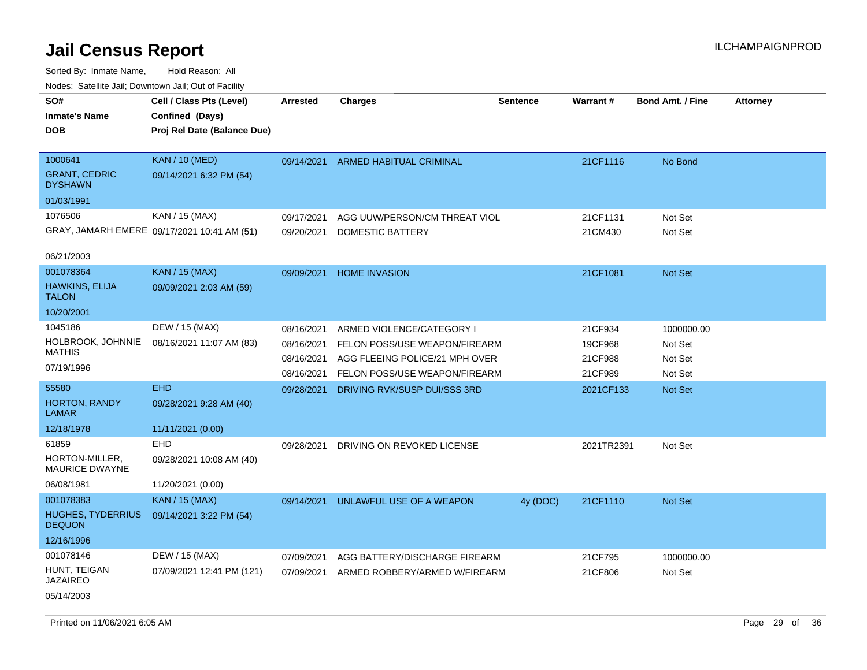Sorted By: Inmate Name, Hold Reason: All Nodes: Satellite Jail; Downtown Jail; Out of Facility

| roaco. Catolino cali, Downtown cali, Out of Facility |                                             |                 |                                |                 |            |                         |                 |
|------------------------------------------------------|---------------------------------------------|-----------------|--------------------------------|-----------------|------------|-------------------------|-----------------|
| SO#                                                  | Cell / Class Pts (Level)                    | <b>Arrested</b> | <b>Charges</b>                 | <b>Sentence</b> | Warrant#   | <b>Bond Amt. / Fine</b> | <b>Attorney</b> |
| <b>Inmate's Name</b>                                 | Confined (Days)                             |                 |                                |                 |            |                         |                 |
| <b>DOB</b>                                           | Proj Rel Date (Balance Due)                 |                 |                                |                 |            |                         |                 |
|                                                      |                                             |                 |                                |                 |            |                         |                 |
| 1000641                                              | <b>KAN</b> / 10 (MED)                       | 09/14/2021      | <b>ARMED HABITUAL CRIMINAL</b> |                 | 21CF1116   | No Bond                 |                 |
| <b>GRANT, CEDRIC</b><br><b>DYSHAWN</b>               | 09/14/2021 6:32 PM (54)                     |                 |                                |                 |            |                         |                 |
| 01/03/1991                                           |                                             |                 |                                |                 |            |                         |                 |
| 1076506                                              | KAN / 15 (MAX)                              | 09/17/2021      | AGG UUW/PERSON/CM THREAT VIOL  |                 | 21CF1131   | Not Set                 |                 |
|                                                      | GRAY, JAMARH EMERE 09/17/2021 10:41 AM (51) | 09/20/2021      | DOMESTIC BATTERY               |                 | 21CM430    | Not Set                 |                 |
|                                                      |                                             |                 |                                |                 |            |                         |                 |
| 06/21/2003                                           |                                             |                 |                                |                 |            |                         |                 |
| 001078364                                            | <b>KAN / 15 (MAX)</b>                       | 09/09/2021      | <b>HOME INVASION</b>           |                 | 21CF1081   | <b>Not Set</b>          |                 |
| <b>HAWKINS, ELIJA</b>                                | 09/09/2021 2:03 AM (59)                     |                 |                                |                 |            |                         |                 |
| <b>TALON</b>                                         |                                             |                 |                                |                 |            |                         |                 |
| 10/20/2001                                           |                                             |                 |                                |                 |            |                         |                 |
| 1045186                                              | DEW / 15 (MAX)                              | 08/16/2021      | ARMED VIOLENCE/CATEGORY I      |                 | 21CF934    | 1000000.00              |                 |
| HOLBROOK, JOHNNIE                                    | 08/16/2021 11:07 AM (83)                    | 08/16/2021      | FELON POSS/USE WEAPON/FIREARM  |                 | 19CF968    | Not Set                 |                 |
| <b>MATHIS</b>                                        |                                             | 08/16/2021      | AGG FLEEING POLICE/21 MPH OVER |                 | 21CF988    | Not Set                 |                 |
| 07/19/1996                                           |                                             | 08/16/2021      | FELON POSS/USE WEAPON/FIREARM  |                 | 21CF989    | Not Set                 |                 |
| 55580                                                | <b>EHD</b>                                  | 09/28/2021      | DRIVING RVK/SUSP DUI/SSS 3RD   |                 | 2021CF133  | Not Set                 |                 |
| HORTON, RANDY                                        | 09/28/2021 9:28 AM (40)                     |                 |                                |                 |            |                         |                 |
| LAMAR                                                |                                             |                 |                                |                 |            |                         |                 |
| 12/18/1978                                           | 11/11/2021 (0.00)                           |                 |                                |                 |            |                         |                 |
| 61859                                                | EHD                                         | 09/28/2021      | DRIVING ON REVOKED LICENSE     |                 | 2021TR2391 | Not Set                 |                 |
| HORTON-MILLER,<br><b>MAURICE DWAYNE</b>              | 09/28/2021 10:08 AM (40)                    |                 |                                |                 |            |                         |                 |
| 06/08/1981                                           | 11/20/2021 (0.00)                           |                 |                                |                 |            |                         |                 |
| 001078383                                            | KAN / 15 (MAX)                              | 09/14/2021      | UNLAWFUL USE OF A WEAPON       | 4y (DOC)        | 21CF1110   | Not Set                 |                 |
| <b>HUGHES, TYDERRIUS</b><br><b>DEQUON</b>            | 09/14/2021 3:22 PM (54)                     |                 |                                |                 |            |                         |                 |
| 12/16/1996                                           |                                             |                 |                                |                 |            |                         |                 |
| 001078146                                            | DEW / 15 (MAX)                              | 07/09/2021      | AGG BATTERY/DISCHARGE FIREARM  |                 | 21CF795    | 1000000.00              |                 |
| HUNT, TEIGAN                                         | 07/09/2021 12:41 PM (121)                   | 07/09/2021      | ARMED ROBBERY/ARMED W/FIREARM  |                 | 21CF806    | Not Set                 |                 |
| JAZAIREO                                             |                                             |                 |                                |                 |            |                         |                 |
| 05/14/2003                                           |                                             |                 |                                |                 |            |                         |                 |
|                                                      |                                             |                 |                                |                 |            |                         |                 |

Printed on 11/06/2021 6:05 AM **Page 29 of 36**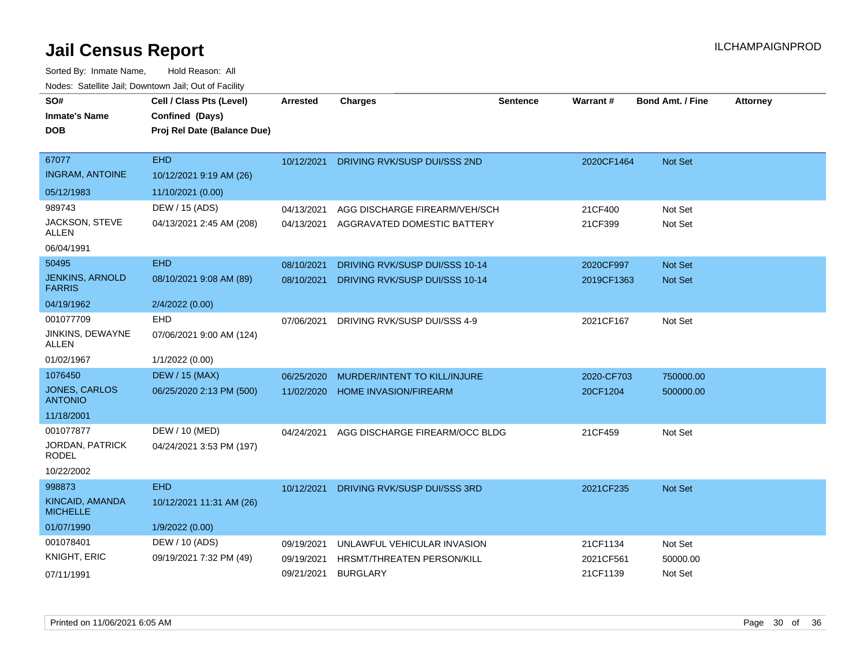| SO#<br><b>Inmate's Name</b><br><b>DOB</b> | Cell / Class Pts (Level)<br>Confined (Days)<br>Proj Rel Date (Balance Due) | Arrested   | <b>Charges</b>                    | <b>Sentence</b> | Warrant#   | <b>Bond Amt. / Fine</b> | <b>Attorney</b> |
|-------------------------------------------|----------------------------------------------------------------------------|------------|-----------------------------------|-----------------|------------|-------------------------|-----------------|
|                                           |                                                                            |            |                                   |                 |            |                         |                 |
| 67077                                     | <b>EHD</b>                                                                 | 10/12/2021 | DRIVING RVK/SUSP DUI/SSS 2ND      |                 | 2020CF1464 | Not Set                 |                 |
| <b>INGRAM, ANTOINE</b>                    | 10/12/2021 9:19 AM (26)                                                    |            |                                   |                 |            |                         |                 |
| 05/12/1983                                | 11/10/2021 (0.00)                                                          |            |                                   |                 |            |                         |                 |
| 989743                                    | DEW / 15 (ADS)                                                             | 04/13/2021 | AGG DISCHARGE FIREARM/VEH/SCH     |                 | 21CF400    | Not Set                 |                 |
| JACKSON, STEVE<br><b>ALLEN</b>            | 04/13/2021 2:45 AM (208)                                                   | 04/13/2021 | AGGRAVATED DOMESTIC BATTERY       |                 | 21CF399    | Not Set                 |                 |
| 06/04/1991                                |                                                                            |            |                                   |                 |            |                         |                 |
| 50495                                     | <b>EHD</b>                                                                 | 08/10/2021 | DRIVING RVK/SUSP DUI/SSS 10-14    |                 | 2020CF997  | <b>Not Set</b>          |                 |
| <b>JENKINS, ARNOLD</b><br><b>FARRIS</b>   | 08/10/2021 9:08 AM (89)                                                    | 08/10/2021 | DRIVING RVK/SUSP DUI/SSS 10-14    |                 | 2019CF1363 | <b>Not Set</b>          |                 |
| 04/19/1962                                | 2/4/2022 (0.00)                                                            |            |                                   |                 |            |                         |                 |
| 001077709                                 | EHD                                                                        | 07/06/2021 | DRIVING RVK/SUSP DUI/SSS 4-9      |                 | 2021CF167  | Not Set                 |                 |
| JINKINS, DEWAYNE<br>ALLEN                 | 07/06/2021 9:00 AM (124)                                                   |            |                                   |                 |            |                         |                 |
| 01/02/1967                                | 1/1/2022 (0.00)                                                            |            |                                   |                 |            |                         |                 |
| 1076450                                   | <b>DEW / 15 (MAX)</b>                                                      | 06/25/2020 | MURDER/INTENT TO KILL/INJURE      |                 | 2020-CF703 | 750000.00               |                 |
| JONES, CARLOS<br><b>ANTONIO</b>           | 06/25/2020 2:13 PM (500)                                                   | 11/02/2020 | <b>HOME INVASION/FIREARM</b>      |                 | 20CF1204   | 500000.00               |                 |
| 11/18/2001                                |                                                                            |            |                                   |                 |            |                         |                 |
| 001077877                                 | DEW / 10 (MED)                                                             | 04/24/2021 | AGG DISCHARGE FIREARM/OCC BLDG    |                 | 21CF459    | Not Set                 |                 |
| JORDAN, PATRICK<br><b>RODEL</b>           | 04/24/2021 3:53 PM (197)                                                   |            |                                   |                 |            |                         |                 |
| 10/22/2002                                |                                                                            |            |                                   |                 |            |                         |                 |
| 998873                                    | <b>EHD</b>                                                                 | 10/12/2021 | DRIVING RVK/SUSP DUI/SSS 3RD      |                 | 2021CF235  | <b>Not Set</b>          |                 |
| <b>KINCAID, AMANDA</b><br><b>MICHELLE</b> | 10/12/2021 11:31 AM (26)                                                   |            |                                   |                 |            |                         |                 |
| 01/07/1990                                | 1/9/2022 (0.00)                                                            |            |                                   |                 |            |                         |                 |
| 001078401                                 | DEW / 10 (ADS)                                                             | 09/19/2021 | UNLAWFUL VEHICULAR INVASION       |                 | 21CF1134   | Not Set                 |                 |
| KNIGHT, ERIC                              | 09/19/2021 7:32 PM (49)                                                    | 09/19/2021 | <b>HRSMT/THREATEN PERSON/KILL</b> |                 | 2021CF561  | 50000.00                |                 |
| 07/11/1991                                |                                                                            | 09/21/2021 | <b>BURGLARY</b>                   |                 | 21CF1139   | Not Set                 |                 |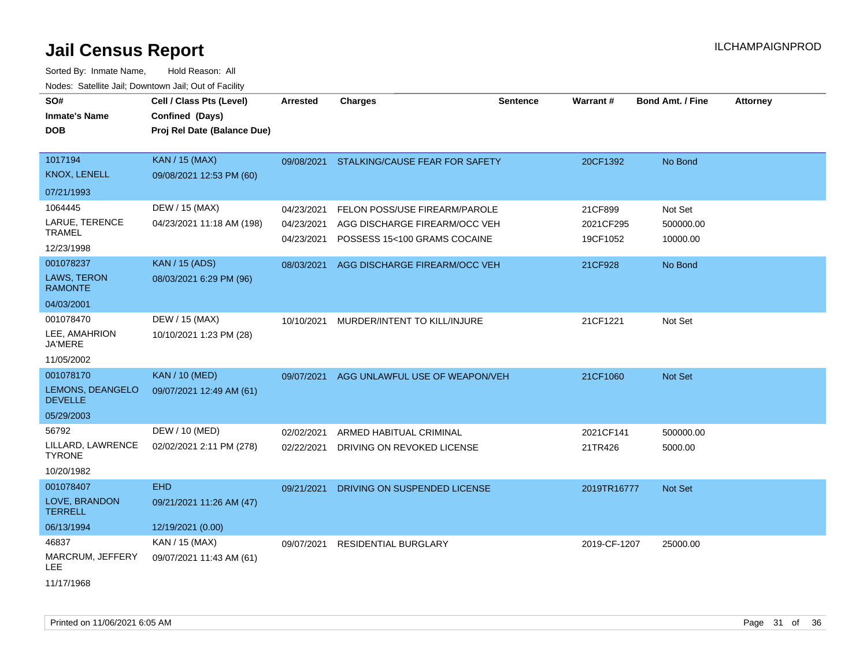| SO#<br><b>Inmate's Name</b><br><b>DOB</b>                             | Cell / Class Pts (Level)<br>Confined (Days)<br>Proj Rel Date (Balance Due) | <b>Arrested</b>                                      | <b>Charges</b>                                                                                                                  | <b>Sentence</b> | Warrant#                                    | Bond Amt. / Fine                            | <b>Attorney</b> |
|-----------------------------------------------------------------------|----------------------------------------------------------------------------|------------------------------------------------------|---------------------------------------------------------------------------------------------------------------------------------|-----------------|---------------------------------------------|---------------------------------------------|-----------------|
| 1017194<br><b>KNOX, LENELL</b><br>07/21/1993                          | <b>KAN</b> / 15 (MAX)<br>09/08/2021 12:53 PM (60)                          |                                                      | 09/08/2021 STALKING/CAUSE FEAR FOR SAFETY                                                                                       |                 | 20CF1392                                    | No Bond                                     |                 |
| 1064445<br>LARUE, TERENCE<br><b>TRAMEL</b><br>12/23/1998<br>001078237 | DEW / 15 (MAX)<br>04/23/2021 11:18 AM (198)<br><b>KAN</b> / 15 (ADS)       | 04/23/2021<br>04/23/2021<br>04/23/2021<br>08/03/2021 | FELON POSS/USE FIREARM/PAROLE<br>AGG DISCHARGE FIREARM/OCC VEH<br>POSSESS 15<100 GRAMS COCAINE<br>AGG DISCHARGE FIREARM/OCC VEH |                 | 21CF899<br>2021CF295<br>19CF1052<br>21CF928 | Not Set<br>500000.00<br>10000.00<br>No Bond |                 |
| LAWS, TERON<br><b>RAMONTE</b><br>04/03/2001                           | 08/03/2021 6:29 PM (96)                                                    |                                                      |                                                                                                                                 |                 |                                             |                                             |                 |
| 001078470<br>LEE, AMAHRION<br><b>JA'MERE</b><br>11/05/2002            | DEW / 15 (MAX)<br>10/10/2021 1:23 PM (28)                                  | 10/10/2021                                           | MURDER/INTENT TO KILL/INJURE                                                                                                    |                 | 21CF1221                                    | Not Set                                     |                 |
| 001078170<br>LEMONS, DEANGELO<br><b>DEVELLE</b><br>05/29/2003         | <b>KAN / 10 (MED)</b><br>09/07/2021 12:49 AM (61)                          | 09/07/2021                                           | AGG UNLAWFUL USE OF WEAPON/VEH                                                                                                  |                 | 21CF1060                                    | Not Set                                     |                 |
| 56792<br>LILLARD, LAWRENCE<br><b>TYRONE</b><br>10/20/1982             | DEW / 10 (MED)<br>02/02/2021 2:11 PM (278)                                 | 02/02/2021<br>02/22/2021                             | ARMED HABITUAL CRIMINAL<br>DRIVING ON REVOKED LICENSE                                                                           |                 | 2021CF141<br>21TR426                        | 500000.00<br>5000.00                        |                 |
| 001078407<br>LOVE, BRANDON<br><b>TERRELL</b><br>06/13/1994            | <b>EHD</b><br>09/21/2021 11:26 AM (47)<br>12/19/2021 (0.00)                | 09/21/2021                                           | DRIVING ON SUSPENDED LICENSE                                                                                                    |                 | 2019TR16777                                 | Not Set                                     |                 |
| 46837<br>MARCRUM, JEFFERY<br>LEE<br>11/17/1968                        | KAN / 15 (MAX)<br>09/07/2021 11:43 AM (61)                                 | 09/07/2021                                           | <b>RESIDENTIAL BURGLARY</b>                                                                                                     |                 | 2019-CF-1207                                | 25000.00                                    |                 |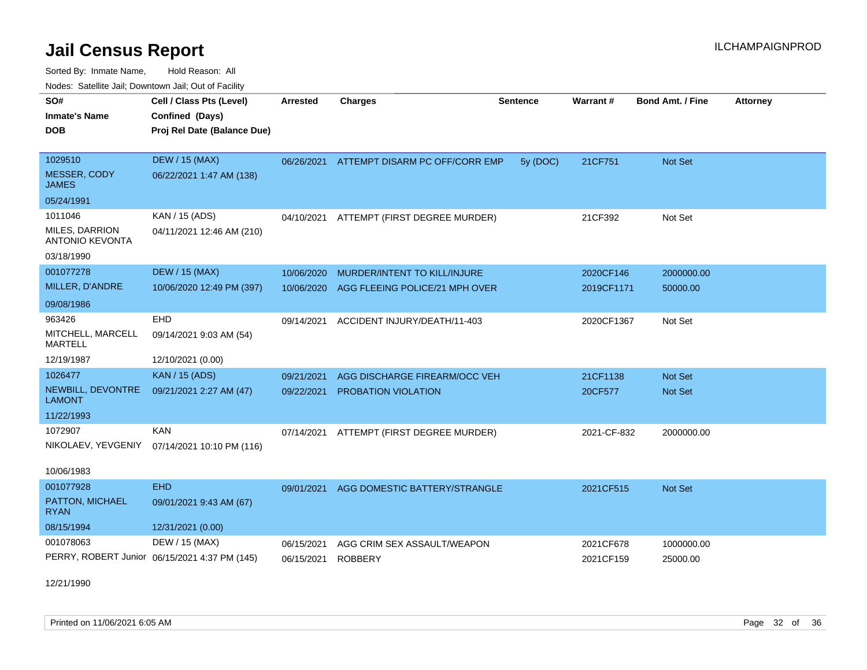Sorted By: Inmate Name, Hold Reason: All Nodes: Satellite Jail; Downtown Jail; Out of Facility

| SO#<br><b>Inmate's Name</b><br><b>DOB</b>                         | Cell / Class Pts (Level)<br>Confined (Days)<br>Proj Rel Date (Balance Due) | <b>Arrested</b>          | <b>Charges</b>                                | <b>Sentence</b> | Warrant#               | <b>Bond Amt. / Fine</b> | <b>Attorney</b> |
|-------------------------------------------------------------------|----------------------------------------------------------------------------|--------------------------|-----------------------------------------------|-----------------|------------------------|-------------------------|-----------------|
| 1029510<br><b>MESSER, CODY</b><br>JAMES                           | <b>DEW / 15 (MAX)</b><br>06/22/2021 1:47 AM (138)                          |                          | 06/26/2021 ATTEMPT DISARM PC OFF/CORR EMP     | 5y (DOC)        | 21CF751                | Not Set                 |                 |
| 05/24/1991                                                        |                                                                            |                          |                                               |                 |                        |                         |                 |
| 1011046<br>MILES, DARRION<br><b>ANTONIO KEVONTA</b><br>03/18/1990 | KAN / 15 (ADS)<br>04/11/2021 12:46 AM (210)                                |                          | 04/10/2021 ATTEMPT (FIRST DEGREE MURDER)      |                 | 21CF392                | Not Set                 |                 |
| 001077278                                                         | <b>DEW / 15 (MAX)</b>                                                      | 10/06/2020               | MURDER/INTENT TO KILL/INJURE                  |                 | 2020CF146              | 2000000.00              |                 |
| MILLER, D'ANDRE                                                   | 10/06/2020 12:49 PM (397)                                                  | 10/06/2020               | AGG FLEEING POLICE/21 MPH OVER                |                 | 2019CF1171             | 50000.00                |                 |
| 09/08/1986                                                        |                                                                            |                          |                                               |                 |                        |                         |                 |
| 963426<br>MITCHELL, MARCELL<br>MARTELL                            | <b>EHD</b><br>09/14/2021 9:03 AM (54)                                      | 09/14/2021               | ACCIDENT INJURY/DEATH/11-403                  |                 | 2020CF1367             | Not Set                 |                 |
| 12/19/1987                                                        | 12/10/2021 (0.00)                                                          |                          |                                               |                 |                        |                         |                 |
| 1026477                                                           | <b>KAN / 15 (ADS)</b>                                                      | 09/21/2021               | AGG DISCHARGE FIREARM/OCC VEH                 |                 | 21CF1138               | <b>Not Set</b>          |                 |
| NEWBILL, DEVONTRE<br><b>LAMONT</b>                                | 09/21/2021 2:27 AM (47)                                                    | 09/22/2021               | <b>PROBATION VIOLATION</b>                    |                 | 20CF577                | <b>Not Set</b>          |                 |
| 11/22/1993                                                        |                                                                            |                          |                                               |                 |                        |                         |                 |
| 1072907<br>10/06/1983                                             | <b>KAN</b><br>NIKOLAEV, YEVGENIY 07/14/2021 10:10 PM (116)                 | 07/14/2021               | ATTEMPT (FIRST DEGREE MURDER)                 |                 | 2021-CF-832            | 2000000.00              |                 |
| 001077928                                                         | <b>EHD</b>                                                                 |                          |                                               |                 |                        |                         |                 |
| PATTON, MICHAEL<br><b>RYAN</b>                                    | 09/01/2021 9:43 AM (67)                                                    | 09/01/2021               | AGG DOMESTIC BATTERY/STRANGLE                 |                 | 2021CF515              | <b>Not Set</b>          |                 |
| 08/15/1994                                                        | 12/31/2021 (0.00)                                                          |                          |                                               |                 |                        |                         |                 |
| 001078063                                                         | DEW / 15 (MAX)<br>PERRY, ROBERT Junior 06/15/2021 4:37 PM (145)            | 06/15/2021<br>06/15/2021 | AGG CRIM SEX ASSAULT/WEAPON<br><b>ROBBERY</b> |                 | 2021CF678<br>2021CF159 | 1000000.00<br>25000.00  |                 |
|                                                                   |                                                                            |                          |                                               |                 |                        |                         |                 |

12/21/1990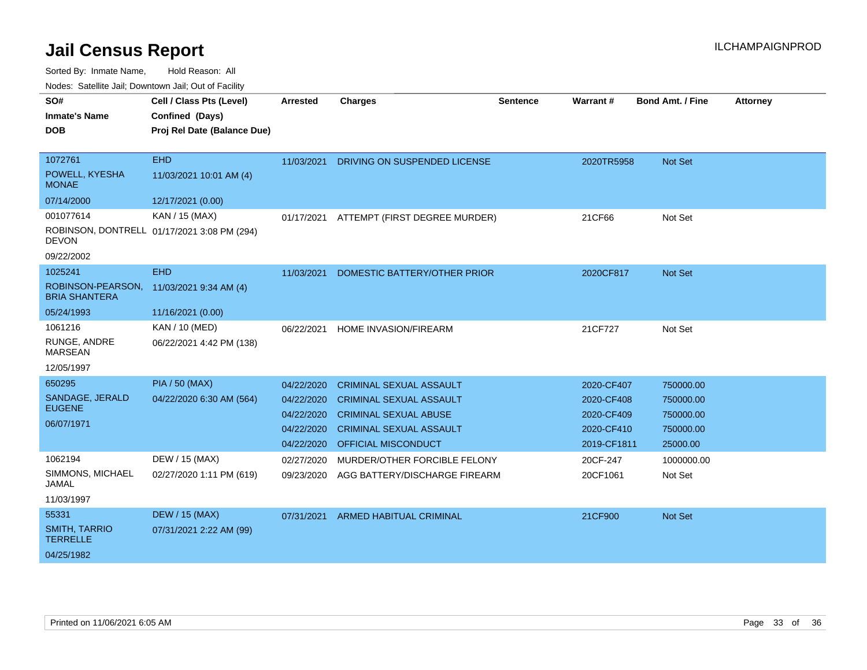Sorted By: Inmate Name, Hold Reason: All

Nodes: Satellite Jail; Downtown Jail; Out of Facility

| SO#                                       | Cell / Class Pts (Level)                    | <b>Arrested</b> | <b>Charges</b>                 | <b>Sentence</b> | <b>Warrant#</b> | <b>Bond Amt. / Fine</b> | <b>Attorney</b> |
|-------------------------------------------|---------------------------------------------|-----------------|--------------------------------|-----------------|-----------------|-------------------------|-----------------|
| <b>Inmate's Name</b>                      | Confined (Days)                             |                 |                                |                 |                 |                         |                 |
| <b>DOB</b>                                | Proj Rel Date (Balance Due)                 |                 |                                |                 |                 |                         |                 |
| 1072761                                   | <b>EHD</b>                                  | 11/03/2021      |                                |                 |                 |                         |                 |
| POWELL, KYESHA<br><b>MONAE</b>            | 11/03/2021 10:01 AM (4)                     |                 | DRIVING ON SUSPENDED LICENSE   |                 | 2020TR5958      | Not Set                 |                 |
| 07/14/2000                                | 12/17/2021 (0.00)                           |                 |                                |                 |                 |                         |                 |
| 001077614                                 | KAN / 15 (MAX)                              | 01/17/2021      | ATTEMPT (FIRST DEGREE MURDER)  |                 | 21CF66          | Not Set                 |                 |
| <b>DEVON</b>                              | ROBINSON, DONTRELL 01/17/2021 3:08 PM (294) |                 |                                |                 |                 |                         |                 |
| 09/22/2002                                |                                             |                 |                                |                 |                 |                         |                 |
| 1025241                                   | <b>EHD</b>                                  | 11/03/2021      | DOMESTIC BATTERY/OTHER PRIOR   |                 | 2020CF817       | Not Set                 |                 |
| ROBINSON-PEARSON,<br><b>BRIA SHANTERA</b> | 11/03/2021 9:34 AM (4)                      |                 |                                |                 |                 |                         |                 |
| 05/24/1993                                | 11/16/2021 (0.00)                           |                 |                                |                 |                 |                         |                 |
| 1061216                                   | <b>KAN / 10 (MED)</b>                       | 06/22/2021      | <b>HOME INVASION/FIREARM</b>   |                 | 21CF727         | Not Set                 |                 |
| RUNGE, ANDRE<br><b>MARSEAN</b>            | 06/22/2021 4:42 PM (138)                    |                 |                                |                 |                 |                         |                 |
| 12/05/1997                                |                                             |                 |                                |                 |                 |                         |                 |
| 650295                                    | <b>PIA / 50 (MAX)</b>                       | 04/22/2020      | <b>CRIMINAL SEXUAL ASSAULT</b> |                 | 2020-CF407      | 750000.00               |                 |
| SANDAGE, JERALD                           | 04/22/2020 6:30 AM (564)                    | 04/22/2020      | <b>CRIMINAL SEXUAL ASSAULT</b> |                 | 2020-CF408      | 750000.00               |                 |
| <b>EUGENE</b>                             |                                             | 04/22/2020      | <b>CRIMINAL SEXUAL ABUSE</b>   |                 | 2020-CF409      | 750000.00               |                 |
| 06/07/1971                                |                                             | 04/22/2020      | <b>CRIMINAL SEXUAL ASSAULT</b> |                 | 2020-CF410      | 750000.00               |                 |
|                                           |                                             | 04/22/2020      | <b>OFFICIAL MISCONDUCT</b>     |                 | 2019-CF1811     | 25000.00                |                 |
| 1062194                                   | DEW / 15 (MAX)                              | 02/27/2020      | MURDER/OTHER FORCIBLE FELONY   |                 | 20CF-247        | 1000000.00              |                 |
| SIMMONS, MICHAEL<br><b>JAMAL</b>          | 02/27/2020 1:11 PM (619)                    | 09/23/2020      | AGG BATTERY/DISCHARGE FIREARM  |                 | 20CF1061        | Not Set                 |                 |
| 11/03/1997                                |                                             |                 |                                |                 |                 |                         |                 |
| 55331                                     | <b>DEW / 15 (MAX)</b>                       | 07/31/2021      | <b>ARMED HABITUAL CRIMINAL</b> |                 | 21CF900         | <b>Not Set</b>          |                 |
| <b>SMITH, TARRIO</b><br><b>TERRELLE</b>   | 07/31/2021 2:22 AM (99)                     |                 |                                |                 |                 |                         |                 |
| 04/25/1982                                |                                             |                 |                                |                 |                 |                         |                 |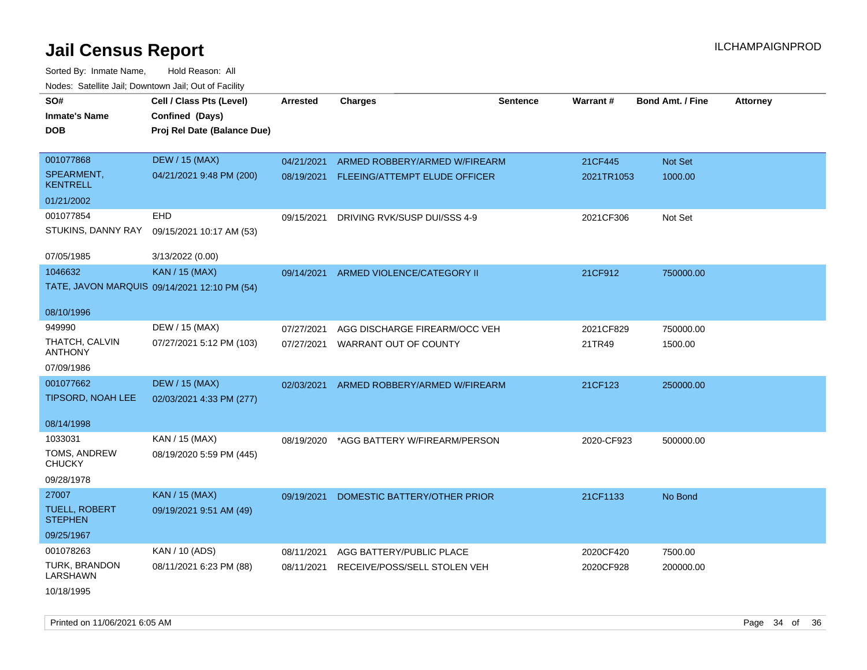Sorted By: Inmate Name, Hold Reason: All Nodes: Satellite Jail; Downtown Jail; Out of Facility

| SO#                                    | Cell / Class Pts (Level)                     | <b>Arrested</b> | <b>Charges</b>                           | <b>Sentence</b> | Warrant#   | <b>Bond Amt. / Fine</b> | <b>Attorney</b> |
|----------------------------------------|----------------------------------------------|-----------------|------------------------------------------|-----------------|------------|-------------------------|-----------------|
| <b>Inmate's Name</b>                   | Confined (Days)                              |                 |                                          |                 |            |                         |                 |
| <b>DOB</b>                             | Proj Rel Date (Balance Due)                  |                 |                                          |                 |            |                         |                 |
|                                        |                                              |                 |                                          |                 |            |                         |                 |
| 001077868                              | <b>DEW / 15 (MAX)</b>                        | 04/21/2021      | ARMED ROBBERY/ARMED W/FIREARM            |                 | 21CF445    | Not Set                 |                 |
| SPEARMENT,<br><b>KENTRELL</b>          | 04/21/2021 9:48 PM (200)                     |                 | 08/19/2021 FLEEING/ATTEMPT ELUDE OFFICER |                 | 2021TR1053 | 1000.00                 |                 |
| 01/21/2002                             |                                              |                 |                                          |                 |            |                         |                 |
| 001077854                              | <b>EHD</b>                                   | 09/15/2021      | DRIVING RVK/SUSP DUI/SSS 4-9             |                 | 2021CF306  | Not Set                 |                 |
| STUKINS, DANNY RAY                     | 09/15/2021 10:17 AM (53)                     |                 |                                          |                 |            |                         |                 |
| 07/05/1985                             | 3/13/2022 (0.00)                             |                 |                                          |                 |            |                         |                 |
| 1046632                                | <b>KAN / 15 (MAX)</b>                        | 09/14/2021      | ARMED VIOLENCE/CATEGORY II               |                 | 21CF912    | 750000.00               |                 |
|                                        | TATE, JAVON MARQUIS 09/14/2021 12:10 PM (54) |                 |                                          |                 |            |                         |                 |
| 08/10/1996                             |                                              |                 |                                          |                 |            |                         |                 |
| 949990                                 | DEW / 15 (MAX)                               | 07/27/2021      | AGG DISCHARGE FIREARM/OCC VEH            |                 | 2021CF829  | 750000.00               |                 |
| THATCH, CALVIN<br><b>ANTHONY</b>       | 07/27/2021 5:12 PM (103)                     | 07/27/2021      | WARRANT OUT OF COUNTY                    |                 | 21TR49     | 1500.00                 |                 |
| 07/09/1986                             |                                              |                 |                                          |                 |            |                         |                 |
| 001077662                              | <b>DEW / 15 (MAX)</b>                        | 02/03/2021      | ARMED ROBBERY/ARMED W/FIREARM            |                 | 21CF123    | 250000.00               |                 |
| TIPSORD, NOAH LEE                      | 02/03/2021 4:33 PM (277)                     |                 |                                          |                 |            |                         |                 |
| 08/14/1998                             |                                              |                 |                                          |                 |            |                         |                 |
| 1033031                                | KAN / 15 (MAX)                               | 08/19/2020      | *AGG BATTERY W/FIREARM/PERSON            |                 | 2020-CF923 | 500000.00               |                 |
| TOMS, ANDREW<br><b>CHUCKY</b>          | 08/19/2020 5:59 PM (445)                     |                 |                                          |                 |            |                         |                 |
| 09/28/1978                             |                                              |                 |                                          |                 |            |                         |                 |
| 27007                                  | <b>KAN / 15 (MAX)</b>                        | 09/19/2021      | DOMESTIC BATTERY/OTHER PRIOR             |                 | 21CF1133   | No Bond                 |                 |
| <b>TUELL, ROBERT</b><br><b>STEPHEN</b> | 09/19/2021 9:51 AM (49)                      |                 |                                          |                 |            |                         |                 |
| 09/25/1967                             |                                              |                 |                                          |                 |            |                         |                 |
| 001078263                              | KAN / 10 (ADS)                               | 08/11/2021      | AGG BATTERY/PUBLIC PLACE                 |                 | 2020CF420  | 7500.00                 |                 |
| TURK, BRANDON<br><b>LARSHAWN</b>       | 08/11/2021 6:23 PM (88)                      | 08/11/2021      | RECEIVE/POSS/SELL STOLEN VEH             |                 | 2020CF928  | 200000.00               |                 |
| 10/18/1995                             |                                              |                 |                                          |                 |            |                         |                 |

Printed on 11/06/2021 6:05 AM **Page 34 of 36**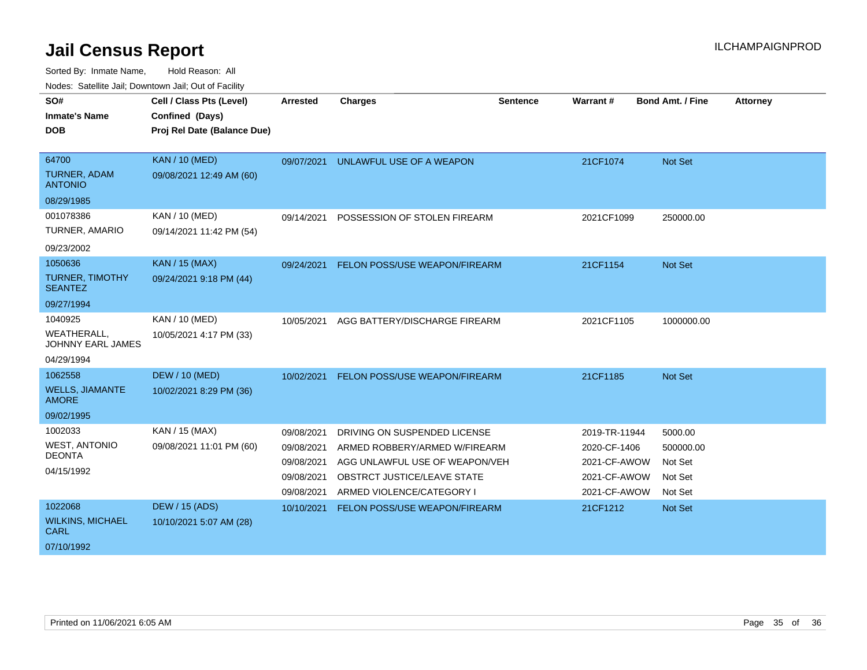| SO#                                            | Cell / Class Pts (Level)    | <b>Arrested</b> | <b>Charges</b>                       | <b>Sentence</b> | <b>Warrant#</b> | <b>Bond Amt. / Fine</b> | <b>Attorney</b> |
|------------------------------------------------|-----------------------------|-----------------|--------------------------------------|-----------------|-----------------|-------------------------|-----------------|
| <b>Inmate's Name</b>                           | Confined (Days)             |                 |                                      |                 |                 |                         |                 |
| <b>DOB</b>                                     | Proj Rel Date (Balance Due) |                 |                                      |                 |                 |                         |                 |
|                                                |                             |                 |                                      |                 |                 |                         |                 |
| 64700                                          | <b>KAN / 10 (MED)</b>       | 09/07/2021      | UNLAWFUL USE OF A WEAPON             |                 | 21CF1074        | Not Set                 |                 |
| <b>TURNER, ADAM</b><br><b>ANTONIO</b>          | 09/08/2021 12:49 AM (60)    |                 |                                      |                 |                 |                         |                 |
| 08/29/1985                                     |                             |                 |                                      |                 |                 |                         |                 |
| 001078386                                      | <b>KAN / 10 (MED)</b>       | 09/14/2021      | POSSESSION OF STOLEN FIREARM         |                 | 2021CF1099      | 250000.00               |                 |
| TURNER, AMARIO                                 | 09/14/2021 11:42 PM (54)    |                 |                                      |                 |                 |                         |                 |
| 09/23/2002                                     |                             |                 |                                      |                 |                 |                         |                 |
| 1050636                                        | <b>KAN / 15 (MAX)</b>       | 09/24/2021      | <b>FELON POSS/USE WEAPON/FIREARM</b> |                 | 21CF1154        | <b>Not Set</b>          |                 |
| <b>TURNER, TIMOTHY</b><br><b>SEANTEZ</b>       | 09/24/2021 9:18 PM (44)     |                 |                                      |                 |                 |                         |                 |
| 09/27/1994                                     |                             |                 |                                      |                 |                 |                         |                 |
| 1040925                                        | KAN / 10 (MED)              | 10/05/2021      | AGG BATTERY/DISCHARGE FIREARM        |                 | 2021CF1105      | 1000000.00              |                 |
| <b>WEATHERALL,</b><br><b>JOHNNY EARL JAMES</b> | 10/05/2021 4:17 PM (33)     |                 |                                      |                 |                 |                         |                 |
| 04/29/1994                                     |                             |                 |                                      |                 |                 |                         |                 |
| 1062558                                        | <b>DEW / 10 (MED)</b>       | 10/02/2021      | <b>FELON POSS/USE WEAPON/FIREARM</b> |                 | 21CF1185        | <b>Not Set</b>          |                 |
| <b>WELLS, JIAMANTE</b><br><b>AMORE</b>         | 10/02/2021 8:29 PM (36)     |                 |                                      |                 |                 |                         |                 |
| 09/02/1995                                     |                             |                 |                                      |                 |                 |                         |                 |
| 1002033                                        | KAN / 15 (MAX)              | 09/08/2021      | DRIVING ON SUSPENDED LICENSE         |                 | 2019-TR-11944   | 5000.00                 |                 |
| <b>WEST, ANTONIO</b>                           | 09/08/2021 11:01 PM (60)    | 09/08/2021      | ARMED ROBBERY/ARMED W/FIREARM        |                 | 2020-CF-1406    | 500000.00               |                 |
| <b>DEONTA</b>                                  |                             | 09/08/2021      | AGG UNLAWFUL USE OF WEAPON/VEH       |                 | 2021-CF-AWOW    | Not Set                 |                 |
| 04/15/1992                                     |                             | 09/08/2021      | OBSTRCT JUSTICE/LEAVE STATE          |                 | 2021-CF-AWOW    | Not Set                 |                 |
|                                                |                             | 09/08/2021      | ARMED VIOLENCE/CATEGORY I            |                 | 2021-CF-AWOW    | Not Set                 |                 |
| 1022068                                        | <b>DEW / 15 (ADS)</b>       | 10/10/2021      | FELON POSS/USE WEAPON/FIREARM        |                 | 21CF1212        | Not Set                 |                 |
| <b>WILKINS, MICHAEL</b><br><b>CARL</b>         | 10/10/2021 5:07 AM (28)     |                 |                                      |                 |                 |                         |                 |
| 07/10/1992                                     |                             |                 |                                      |                 |                 |                         |                 |